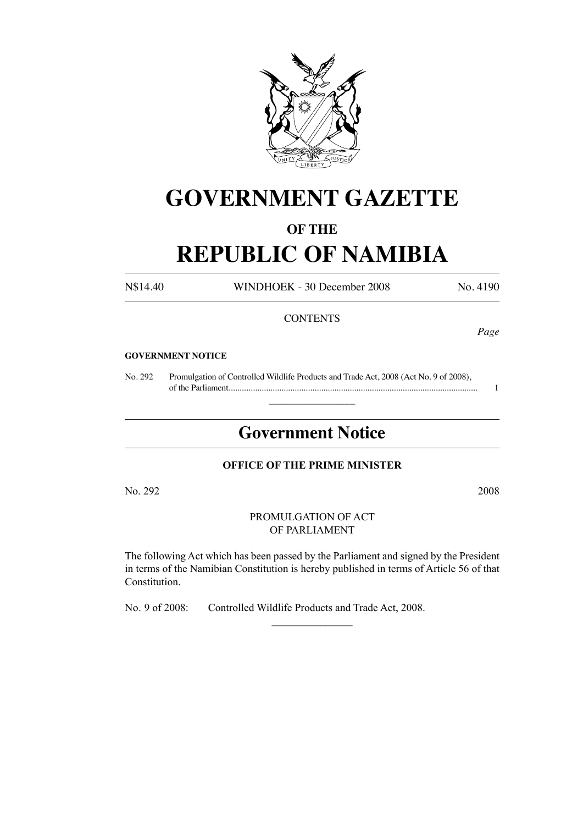

# **GOVERNMENT GAZETTE**

# **OF THE**

# **REPUBLIC OF NAMIBIA**

N\$14.40 WINDHOEK - 30 December 2008 No. 4190

#### **CONTENTS**

*Page*

#### **GOVERNMENT NOTICE**

No. 292 Promulgation of Controlled Wildlife Products and Trade Act, 2008 (Act No. 9 of 2008), of the Parliament................................................................................................................. 1

# **Government Notice**

 $\overline{\phantom{a}}$  , where  $\overline{\phantom{a}}$ 

#### **OFFICE OF THE PRIME MINISTER**

No. 292 2008

PROMULGATION OF ACT OF PARLIAMENT

The following Act which has been passed by the Parliament and signed by the President in terms of the Namibian Constitution is hereby published in terms of Article 56 of that Constitution.

 $\overline{\phantom{a}}$  , where  $\overline{\phantom{a}}$ 

No. 9 of 2008: Controlled Wildlife Products and Trade Act, 2008.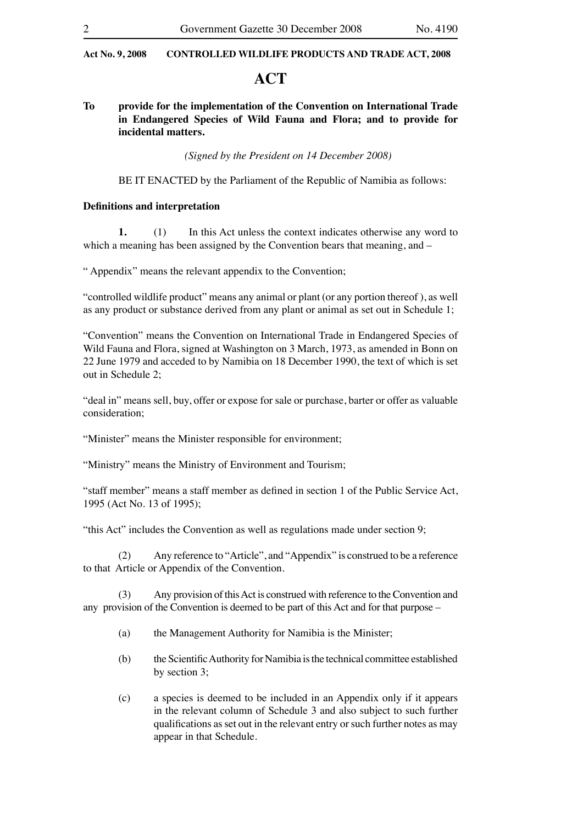# **ACT**

#### **To provide for the implementation of the Convention on International Trade in Endangered Species of Wild Fauna and Flora; and to provide for incidental matters.**

*(Signed by the President on 14 December 2008)*

BE IT ENACTED by the Parliament of the Republic of Namibia as follows:

#### **Definitions and interpretation**

**1.** (1) In this Act unless the context indicates otherwise any word to which a meaning has been assigned by the Convention bears that meaning, and –

" Appendix" means the relevant appendix to the Convention;

"controlled wildlife product" means any animal or plant (or any portion thereof ), as well as any product or substance derived from any plant or animal as set out in Schedule 1;

"Convention" means the Convention on International Trade in Endangered Species of Wild Fauna and Flora, signed at Washington on 3 March, 1973, as amended in Bonn on 22 June 1979 and acceded to by Namibia on 18 December 1990, the text of which is set out in Schedule 2;

"deal in" means sell, buy, offer or expose for sale or purchase, barter or offer as valuable consideration;

"Minister" means the Minister responsible for environment;

"Ministry" means the Ministry of Environment and Tourism;

"staff member" means a staff member as defined in section 1 of the Public Service Act, 1995 (Act No. 13 of 1995);

"this Act" includes the Convention as well as regulations made under section 9;

(2) Any reference to "Article", and "Appendix" is construed to be a reference to that Article or Appendix of the Convention.

(3) Any provision of this Act is construed with reference to the Convention and any provision of the Convention is deemed to be part of this Act and for that purpose –

- (a) the Management Authority for Namibia is the Minister;
- (b) the Scientific Authority for Namibia is the technical committee established by section 3;
- (c) a species is deemed to be included in an Appendix only if it appears in the relevant column of Schedule 3 and also subject to such further qualifications as set out in the relevant entry or such further notes as may appear in that Schedule.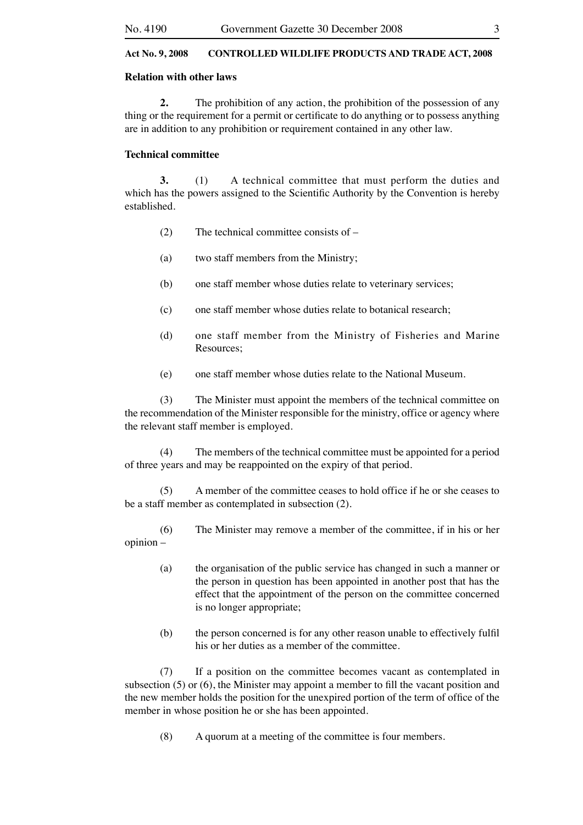#### **Relation with other laws**

**2.** The prohibition of any action, the prohibition of the possession of any thing or the requirement for a permit or certificate to do anything or to possess anything are in addition to any prohibition or requirement contained in any other law.

#### **Technical committee**

**3.** (1) A technical committee that must perform the duties and which has the powers assigned to the Scientific Authority by the Convention is hereby established.

- (2) The technical committee consists of –
- (a) two staff members from the Ministry;
- (b) one staff member whose duties relate to veterinary services;
- (c) one staff member whose duties relate to botanical research;
- (d) one staff member from the Ministry of Fisheries and Marine Resources;
- (e) one staff member whose duties relate to the National Museum.

(3) The Minister must appoint the members of the technical committee on the recommendation of the Minister responsible for the ministry, office or agency where the relevant staff member is employed.

(4) The members of the technical committee must be appointed for a period of three years and may be reappointed on the expiry of that period.

(5) A member of the committee ceases to hold office if he or she ceases to be a staff member as contemplated in subsection (2).

(6) The Minister may remove a member of the committee, if in his or her opinion –

- (a) the organisation of the public service has changed in such a manner or the person in question has been appointed in another post that has the effect that the appointment of the person on the committee concerned is no longer appropriate;
- (b) the person concerned is for any other reason unable to effectively fulfil his or her duties as a member of the committee.

(7) If a position on the committee becomes vacant as contemplated in subsection (5) or (6), the Minister may appoint a member to fill the vacant position and the new member holds the position for the unexpired portion of the term of office of the member in whose position he or she has been appointed.

(8) A quorum at a meeting of the committee is four members.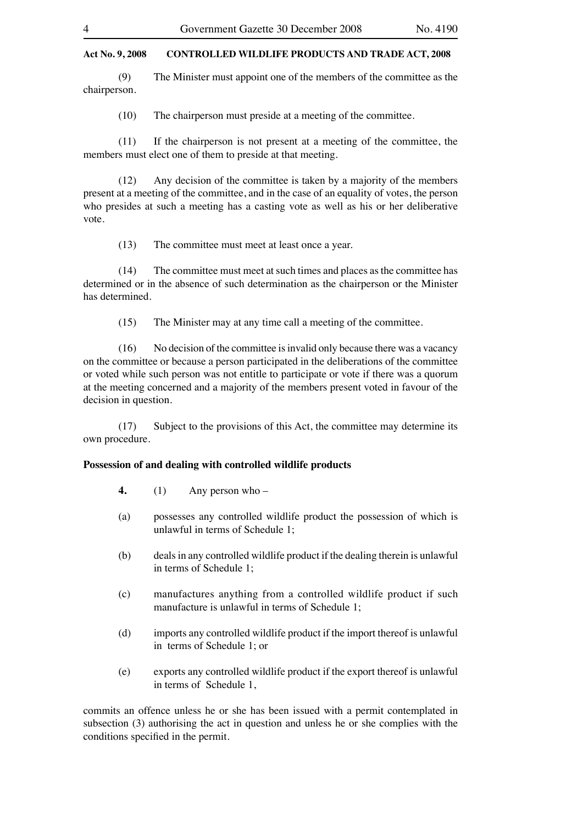(9) The Minister must appoint one of the members of the committee as the chairperson.

(10) The chairperson must preside at a meeting of the committee.

(11) If the chairperson is not present at a meeting of the committee, the members must elect one of them to preside at that meeting.

(12) Any decision of the committee is taken by a majority of the members present at a meeting of the committee, and in the case of an equality of votes, the person who presides at such a meeting has a casting vote as well as his or her deliberative vote.

(13) The committee must meet at least once a year.

(14) The committee must meet at such times and places as the committee has determined or in the absence of such determination as the chairperson or the Minister has determined.

(15) The Minister may at any time call a meeting of the committee.

(16) No decision of the committee is invalid only because there was a vacancy on the committee or because a person participated in the deliberations of the committee or voted while such person was not entitle to participate or vote if there was a quorum at the meeting concerned and a majority of the members present voted in favour of the decision in question.

(17) Subject to the provisions of this Act, the committee may determine its own procedure.

#### **Possession of and dealing with controlled wildlife products**

- **4.** (1) Any person who –
- (a) possesses any controlled wildlife product the possession of which is unlawful in terms of Schedule 1;
- (b) deals in any controlled wildlife product if the dealing therein is unlawful in terms of Schedule 1;
- (c) manufactures anything from a controlled wildlife product if such manufacture is unlawful in terms of Schedule 1;
- (d) imports any controlled wildlife product if the import thereof is unlawful in terms of Schedule 1; or
- (e) exports any controlled wildlife product if the export thereof is unlawful in terms of Schedule 1,

commits an offence unless he or she has been issued with a permit contemplated in subsection (3) authorising the act in question and unless he or she complies with the conditions specified in the permit.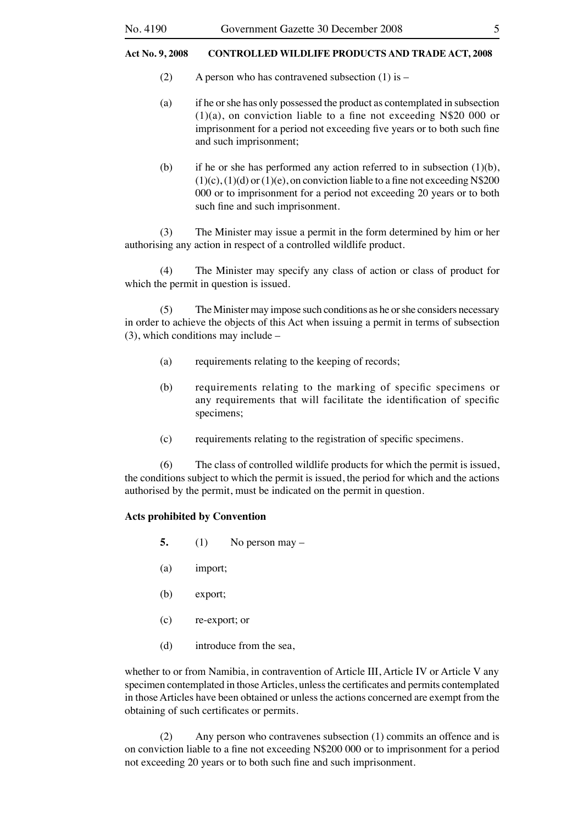- (2) A person who has contravened subsection  $(1)$  is –
- (a) if he or she has only possessed the product as contemplated in subsection (1)(a), on conviction liable to a fine not exceeding N\$20 000 or imprisonment for a period not exceeding five years or to both such fine and such imprisonment;
- (b) if he or she has performed any action referred to in subsection  $(1)(b)$ ,  $(1)(c)$ ,  $(1)(d)$  or  $(1)(e)$ , on conviction liable to a fine not exceeding N\$200 000 or to imprisonment for a period not exceeding 20 years or to both such fine and such imprisonment.

(3) The Minister may issue a permit in the form determined by him or her authorising any action in respect of a controlled wildlife product.

(4) The Minister may specify any class of action or class of product for which the permit in question is issued.

(5) The Minister may impose such conditions as he or she considers necessary in order to achieve the objects of this Act when issuing a permit in terms of subsection (3), which conditions may include –

- (a) requirements relating to the keeping of records;
- (b) requirements relating to the marking of specific specimens or any requirements that will facilitate the identification of specific specimens;
- (c) requirements relating to the registration of specific specimens.

(6) The class of controlled wildlife products for which the permit is issued, the conditions subject to which the permit is issued, the period for which and the actions authorised by the permit, must be indicated on the permit in question.

#### **Acts prohibited by Convention**

- **5.** (1) No person may –
- (a) import;
- (b) export;
- (c) re-export; or
- (d) introduce from the sea,

whether to or from Namibia, in contravention of Article III, Article IV or Article V any specimen contemplated in those Articles, unless the certificates and permits contemplated in those Articles have been obtained or unless the actions concerned are exempt from the obtaining of such certificates or permits.

(2) Any person who contravenes subsection (1) commits an offence and is on conviction liable to a fine not exceeding N\$200 000 or to imprisonment for a period not exceeding 20 years or to both such fine and such imprisonment.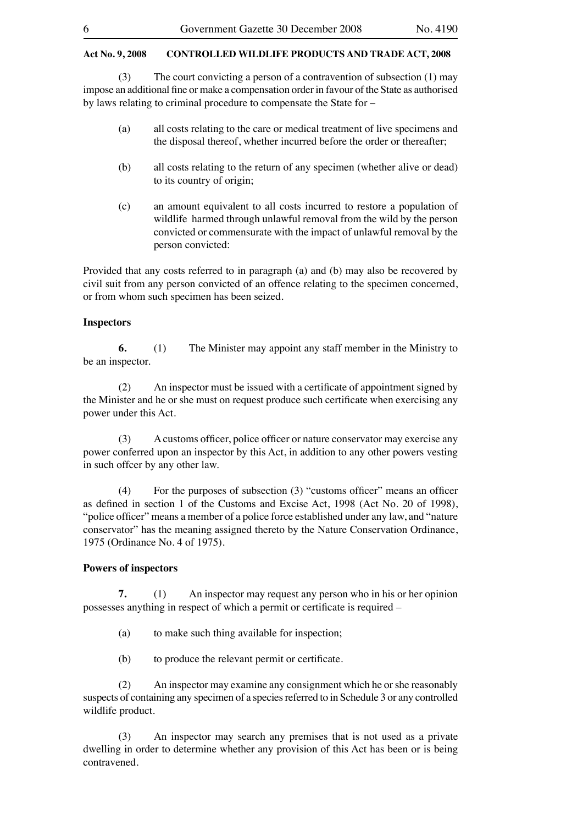(3) The court convicting a person of a contravention of subsection (1) may impose an additional fine or make a compensation order in favour of the State as authorised by laws relating to criminal procedure to compensate the State for –

- (a) all costs relating to the care or medical treatment of live specimens and the disposal thereof, whether incurred before the order or thereafter;
- (b) all costs relating to the return of any specimen (whether alive or dead) to its country of origin;
- (c) an amount equivalent to all costs incurred to restore a population of wildlife harmed through unlawful removal from the wild by the person convicted or commensurate with the impact of unlawful removal by the person convicted:

Provided that any costs referred to in paragraph (a) and (b) may also be recovered by civil suit from any person convicted of an offence relating to the specimen concerned, or from whom such specimen has been seized.

#### **Inspectors**

**6.** (1) The Minister may appoint any staff member in the Ministry to be an inspector.

(2) An inspector must be issued with a certificate of appointment signed by the Minister and he or she must on request produce such certificate when exercising any power under this Act.

(3) A customs officer, police officer or nature conservator may exercise any power conferred upon an inspector by this Act, in addition to any other powers vesting in such offcer by any other law.

(4) For the purposes of subsection (3) "customs officer" means an officer as defined in section 1 of the Customs and Excise Act, 1998 (Act No. 20 of 1998), "police officer" means a member of a police force established under any law, and "nature conservator" has the meaning assigned thereto by the Nature Conservation Ordinance, 1975 (Ordinance No. 4 of 1975).

#### **Powers of inspectors**

**7.** (1) An inspector may request any person who in his or her opinion possesses anything in respect of which a permit or certificate is required –

(a) to make such thing available for inspection;

(b) to produce the relevant permit or certificate.

(2) An inspector may examine any consignment which he or she reasonably suspects of containing any specimen of a species referred to in Schedule 3 or any controlled wildlife product.

(3) An inspector may search any premises that is not used as a private dwelling in order to determine whether any provision of this Act has been or is being contravened.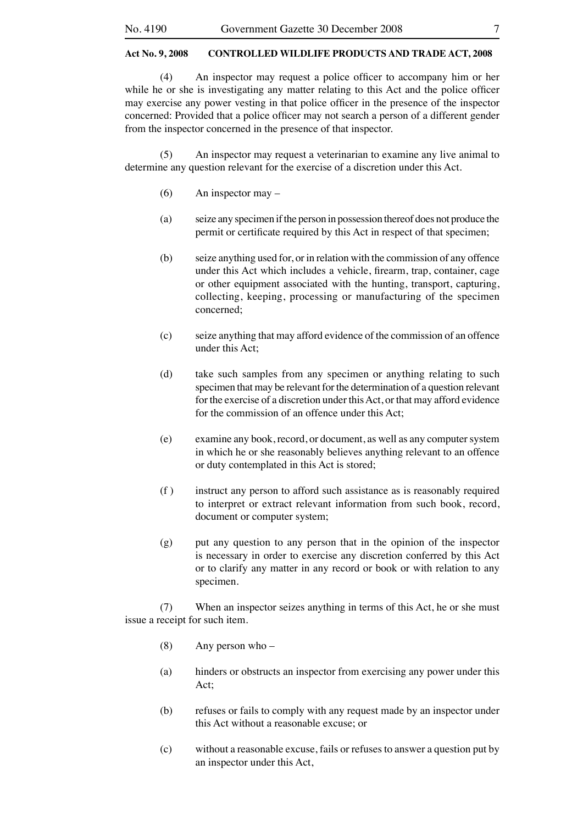(4) An inspector may request a police officer to accompany him or her while he or she is investigating any matter relating to this Act and the police officer may exercise any power vesting in that police officer in the presence of the inspector concerned: Provided that a police officer may not search a person of a different gender from the inspector concerned in the presence of that inspector.

(5) An inspector may request a veterinarian to examine any live animal to determine any question relevant for the exercise of a discretion under this Act.

- (6) An inspector may –
- (a) seize any specimen if the person in possession thereof does not produce the permit or certificate required by this Act in respect of that specimen;
- (b) seize anything used for, or in relation with the commission of any offence under this Act which includes a vehicle, firearm, trap, container, cage or other equipment associated with the hunting, transport, capturing, collecting, keeping, processing or manufacturing of the specimen concerned;
- (c) seize anything that may afford evidence of the commission of an offence under this Act;
- (d) take such samples from any specimen or anything relating to such specimen that may be relevant for the determination of a question relevant for the exercise of a discretion under this Act, or that may afford evidence for the commission of an offence under this Act;
- (e) examine any book, record, or document, as well as any computer system in which he or she reasonably believes anything relevant to an offence or duty contemplated in this Act is stored;
- (f ) instruct any person to afford such assistance as is reasonably required to interpret or extract relevant information from such book, record, document or computer system;
- (g) put any question to any person that in the opinion of the inspector is necessary in order to exercise any discretion conferred by this Act or to clarify any matter in any record or book or with relation to any specimen.

(7) When an inspector seizes anything in terms of this Act, he or she must issue a receipt for such item.

- (8) Any person who –
- (a) hinders or obstructs an inspector from exercising any power under this Act;
- (b) refuses or fails to comply with any request made by an inspector under this Act without a reasonable excuse; or
- (c) without a reasonable excuse, fails or refuses to answer a question put by an inspector under this Act,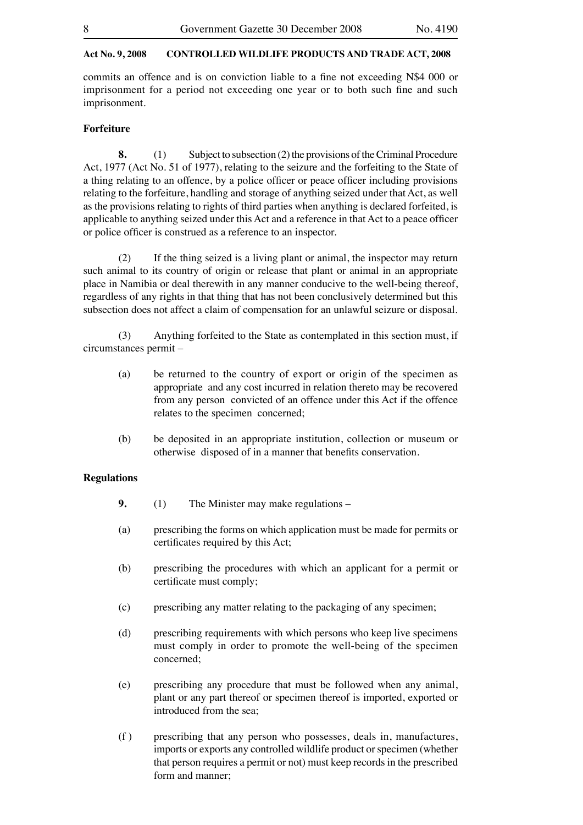commits an offence and is on conviction liable to a fine not exceeding N\$4 000 or imprisonment for a period not exceeding one year or to both such fine and such imprisonment.

#### **Forfeiture**

**8.** (1) Subject to subsection (2) the provisions of the Criminal Procedure Act, 1977 (Act No. 51 of 1977), relating to the seizure and the forfeiting to the State of a thing relating to an offence, by a police officer or peace officer including provisions relating to the forfeiture, handling and storage of anything seized under that Act, as well as the provisions relating to rights of third parties when anything is declared forfeited, is applicable to anything seized under this Act and a reference in that Act to a peace officer or police officer is construed as a reference to an inspector.

(2) If the thing seized is a living plant or animal, the inspector may return such animal to its country of origin or release that plant or animal in an appropriate place in Namibia or deal therewith in any manner conducive to the well-being thereof, regardless of any rights in that thing that has not been conclusively determined but this subsection does not affect a claim of compensation for an unlawful seizure or disposal.

(3) Anything forfeited to the State as contemplated in this section must, if circumstances permit –

- (a) be returned to the country of export or origin of the specimen as appropriate and any cost incurred in relation thereto may be recovered from any person convicted of an offence under this Act if the offence relates to the specimen concerned;
- (b) be deposited in an appropriate institution, collection or museum or otherwise disposed of in a manner that benefits conservation.

#### **Regulations**

- **9.** (1) The Minister may make regulations –
- (a) prescribing the forms on which application must be made for permits or certificates required by this Act;
- (b) prescribing the procedures with which an applicant for a permit or certificate must comply;
- (c) prescribing any matter relating to the packaging of any specimen;
- (d) prescribing requirements with which persons who keep live specimens must comply in order to promote the well-being of the specimen concerned;
- (e) prescribing any procedure that must be followed when any animal, plant or any part thereof or specimen thereof is imported, exported or introduced from the sea;
- (f ) prescribing that any person who possesses, deals in, manufactures, imports or exports any controlled wildlife product or specimen (whether that person requires a permit or not) must keep records in the prescribed form and manner;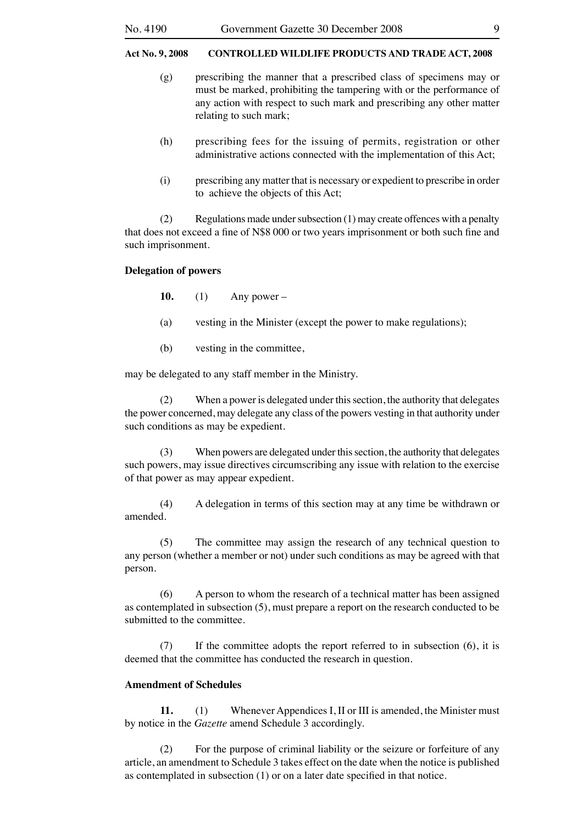- (g) prescribing the manner that a prescribed class of specimens may or must be marked, prohibiting the tampering with or the performance of any action with respect to such mark and prescribing any other matter relating to such mark;
- (h) prescribing fees for the issuing of permits, registration or other administrative actions connected with the implementation of this Act;
- (i) prescribing any matter that is necessary or expedient to prescribe in order to achieve the objects of this Act;

(2) Regulations made under subsection (1) may create offences with a penalty that does not exceed a fine of N\$8 000 or two years imprisonment or both such fine and such imprisonment.

#### **Delegation of powers**

**10.** (1) Any power –

- (a) vesting in the Minister (except the power to make regulations);
- (b) vesting in the committee,

may be delegated to any staff member in the Ministry.

(2) When a power is delegated under this section, the authority that delegates the power concerned, may delegate any class of the powers vesting in that authority under such conditions as may be expedient.

(3) When powers are delegated under this section, the authority that delegates such powers, may issue directives circumscribing any issue with relation to the exercise of that power as may appear expedient.

(4) A delegation in terms of this section may at any time be withdrawn or amended.

(5) The committee may assign the research of any technical question to any person (whether a member or not) under such conditions as may be agreed with that person.

(6) A person to whom the research of a technical matter has been assigned as contemplated in subsection (5), must prepare a report on the research conducted to be submitted to the committee.

(7) If the committee adopts the report referred to in subsection (6), it is deemed that the committee has conducted the research in question.

#### **Amendment of Schedules**

**11.** (1) Whenever Appendices I, II or III is amended, the Minister must by notice in the *Gazette* amend Schedule 3 accordingly.

(2) For the purpose of criminal liability or the seizure or forfeiture of any article, an amendment to Schedule 3 takes effect on the date when the notice is published as contemplated in subsection (1) or on a later date specified in that notice.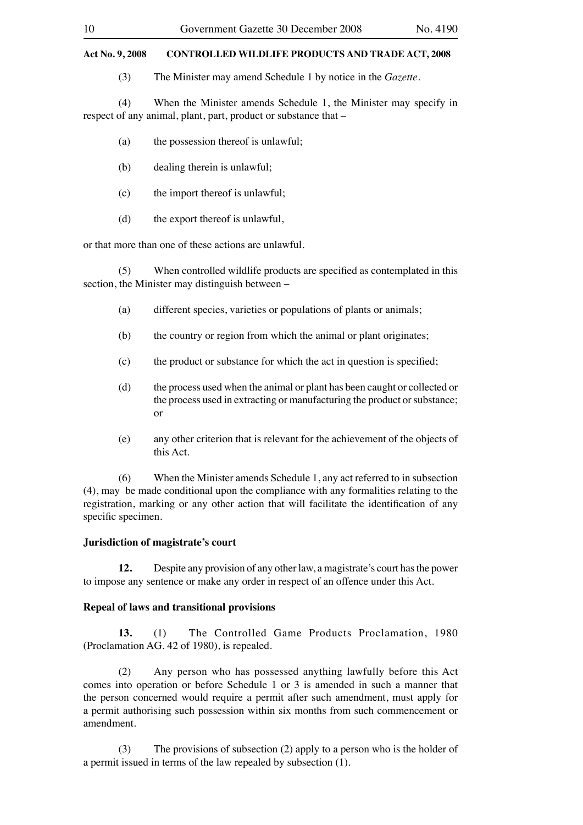(3) The Minister may amend Schedule 1 by notice in the *Gazette*.

(4) When the Minister amends Schedule 1, the Minister may specify in respect of any animal, plant, part, product or substance that –

- (a) the possession thereof is unlawful;
- (b) dealing therein is unlawful;
- (c) the import thereof is unlawful;
- (d) the export thereof is unlawful,

or that more than one of these actions are unlawful.

(5) When controlled wildlife products are specified as contemplated in this section, the Minister may distinguish between –

- (a) different species, varieties or populations of plants or animals;
- (b) the country or region from which the animal or plant originates;
- (c) the product or substance for which the act in question is specified;
- (d) the process used when the animal or plant has been caught or collected or the process used in extracting or manufacturing the product or substance; or
- (e) any other criterion that is relevant for the achievement of the objects of this Act.

(6) When the Minister amends Schedule 1, any act referred to in subsection (4), may be made conditional upon the compliance with any formalities relating to the registration, marking or any other action that will facilitate the identification of any specific specimen.

#### **Jurisdiction of magistrate's court**

**12.** Despite any provision of any other law, a magistrate's court has the power to impose any sentence or make any order in respect of an offence under this Act.

#### **Repeal of laws and transitional provisions**

**13.** (1) The Controlled Game Products Proclamation, 1980 (Proclamation AG. 42 of 1980), is repealed.

(2) Any person who has possessed anything lawfully before this Act comes into operation or before Schedule 1 or 3 is amended in such a manner that the person concerned would require a permit after such amendment, must apply for a permit authorising such possession within six months from such commencement or amendment.

(3) The provisions of subsection (2) apply to a person who is the holder of a permit issued in terms of the law repealed by subsection (1).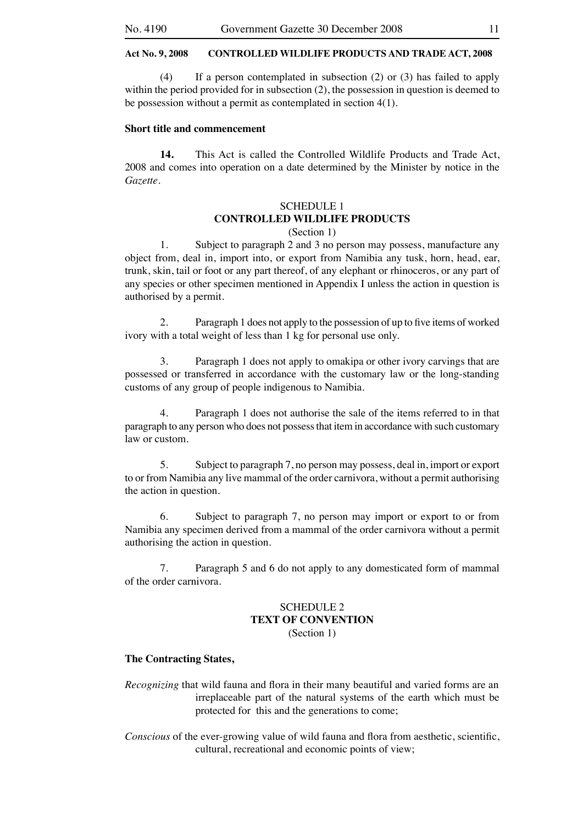(4) If a person contemplated in subsection (2) or (3) has failed to apply within the period provided for in subsection (2), the possession in question is deemed to be possession without a permit as contemplated in section 4(1).

#### **Short title and commencement**

**14.** This Act is called the Controlled Wildlife Products and Trade Act, 2008 and comes into operation on a date determined by the Minister by notice in the *Gazette*.

#### SCHEDULE 1 **CONTROLLED WILDLIFE PRODUCTS**

(Section 1)

1. Subject to paragraph 2 and 3 no person may possess, manufacture any object from, deal in, import into, or export from Namibia any tusk, horn, head, ear, trunk, skin, tail or foot or any part thereof, of any elephant or rhinoceros, or any part of any species or other specimen mentioned in Appendix I unless the action in question is authorised by a permit.

2. Paragraph 1 does not apply to the possession of up to five items of worked ivory with a total weight of less than 1 kg for personal use only.

3. Paragraph 1 does not apply to omakipa or other ivory carvings that are possessed or transferred in accordance with the customary law or the long-standing customs of any group of people indigenous to Namibia.

4. Paragraph 1 does not authorise the sale of the items referred to in that paragraph to any person who does not possess that item in accordance with such customary law or custom.

5. Subject to paragraph 7, no person may possess, deal in, import or export to or from Namibia any live mammal of the order carnivora, without a permit authorising the action in question.

6. Subject to paragraph 7, no person may import or export to or from Namibia any specimen derived from a mammal of the order carnivora without a permit authorising the action in question.

7. Paragraph 5 and 6 do not apply to any domesticated form of mammal of the order carnivora.

#### SCHEDULE 2 **TEXT OF CONVENTION**  (Section 1)

#### **The Contracting States,**

*Recognizing* that wild fauna and flora in their many beautiful and varied forms are an irreplaceable part of the natural systems of the earth which must be protected for this and the generations to come;

*Conscious* of the ever-growing value of wild fauna and flora from aesthetic, scientific, cultural, recreational and economic points of view;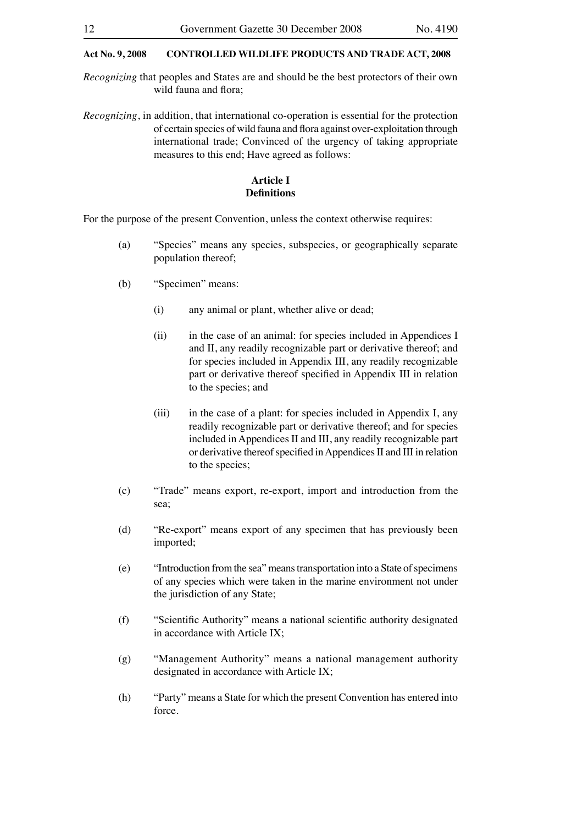- *Recognizing* that peoples and States are and should be the best protectors of their own wild fauna and flora;
- *Recognizing*, in addition, that international co-operation is essential for the protection of certain species of wild fauna and flora against over-exploitation through international trade; Convinced of the urgency of taking appropriate measures to this end; Have agreed as follows:

#### **Article I Definitions**

For the purpose of the present Convention, unless the context otherwise requires:

- (a) "Species" means any species, subspecies, or geographically separate population thereof;
- (b) "Specimen" means:
	- (i) any animal or plant, whether alive or dead;
	- (ii) in the case of an animal: for species included in Appendices I and II, any readily recognizable part or derivative thereof; and for species included in Appendix III, any readily recognizable part or derivative thereof specified in Appendix III in relation to the species; and
	- (iii) in the case of a plant: for species included in Appendix I, any readily recognizable part or derivative thereof; and for species included in Appendices II and III, any readily recognizable part or derivative thereof specified in Appendices II and III in relation to the species;
- (c) "Trade" means export, re-export, import and introduction from the sea;
- (d) "Re-export" means export of any specimen that has previously been imported;
- (e) "Introduction from the sea" means transportation into a State of specimens of any species which were taken in the marine environment not under the jurisdiction of any State;
- (f) "Scientific Authority" means a national scientific authority designated in accordance with Article IX;
- (g) "Management Authority" means a national management authority designated in accordance with Article IX;
- (h) "Party" means a State for which the present Convention has entered into force.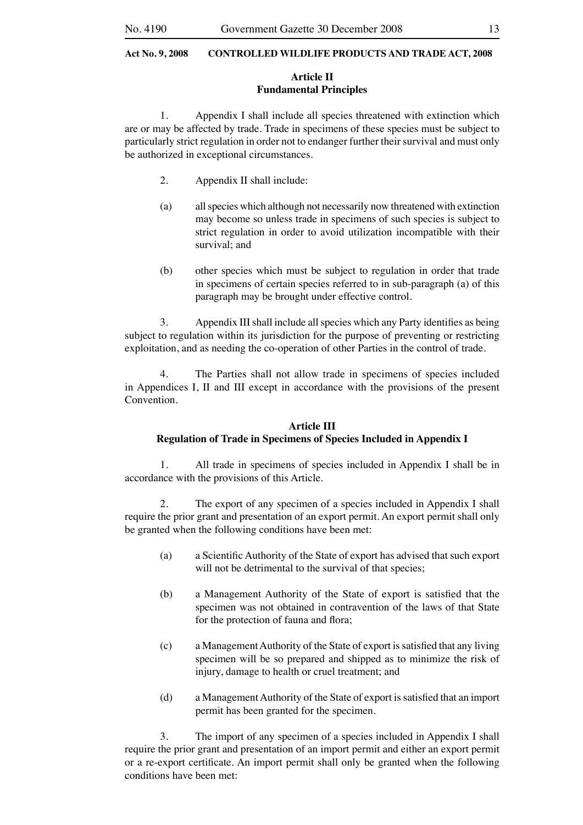#### **Article II Fundamental Principles**

1. Appendix I shall include all species threatened with extinction which are or may be affected by trade. Trade in specimens of these species must be subject to particularly strict regulation in order not to endanger further their survival and must only be authorized in exceptional circumstances.

- 2. Appendix II shall include:
- (a) all species which although not necessarily now threatened with extinction may become so unless trade in specimens of such species is subject to strict regulation in order to avoid utilization incompatible with their survival; and
- (b) other species which must be subject to regulation in order that trade in specimens of certain species referred to in sub-paragraph (a) of this paragraph may be brought under effective control.

3. Appendix III shall include all species which any Party identifies as being subject to regulation within its jurisdiction for the purpose of preventing or restricting exploitation, and as needing the co-operation of other Parties in the control of trade.

4. The Parties shall not allow trade in specimens of species included in Appendices I, II and III except in accordance with the provisions of the present Convention.

#### **Article III**

#### **Regulation of Trade in Specimens of Species Included in Appendix I**

1. All trade in specimens of species included in Appendix I shall be in accordance with the provisions of this Article.

2. The export of any specimen of a species included in Appendix I shall require the prior grant and presentation of an export permit. An export permit shall only be granted when the following conditions have been met:

- (a) a Scientific Authority of the State of export has advised that such export will not be detrimental to the survival of that species;
- (b) a Management Authority of the State of export is satisfied that the specimen was not obtained in contravention of the laws of that State for the protection of fauna and flora;
- (c) a Management Authority of the State of export is satisfied that any living specimen will be so prepared and shipped as to minimize the risk of injury, damage to health or cruel treatment; and
- (d) a Management Authority of the State of export is satisfied that an import permit has been granted for the specimen.

3. The import of any specimen of a species included in Appendix I shall require the prior grant and presentation of an import permit and either an export permit or a re-export certificate. An import permit shall only be granted when the following conditions have been met: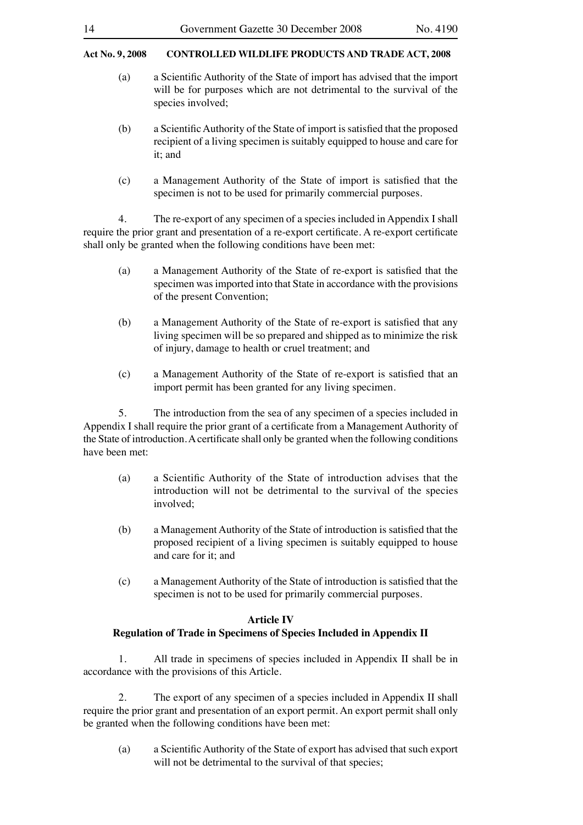- (a) a Scientific Authority of the State of import has advised that the import will be for purposes which are not detrimental to the survival of the species involved;
- (b) a Scientific Authority of the State of import is satisfied that the proposed recipient of a living specimen is suitably equipped to house and care for it; and
- (c) a Management Authority of the State of import is satisfied that the specimen is not to be used for primarily commercial purposes.

4. The re-export of any specimen of a species included in Appendix I shall require the prior grant and presentation of a re-export certificate. A re-export certificate shall only be granted when the following conditions have been met:

- (a) a Management Authority of the State of re-export is satisfied that the specimen was imported into that State in accordance with the provisions of the present Convention;
- (b) a Management Authority of the State of re-export is satisfied that any living specimen will be so prepared and shipped as to minimize the risk of injury, damage to health or cruel treatment; and
- (c) a Management Authority of the State of re-export is satisfied that an import permit has been granted for any living specimen.

5. The introduction from the sea of any specimen of a species included in Appendix I shall require the prior grant of a certificate from a Management Authority of the State of introduction. A certificate shall only be granted when the following conditions have been met:

- (a) a Scientific Authority of the State of introduction advises that the introduction will not be detrimental to the survival of the species involved;
- (b) a Management Authority of the State of introduction is satisfied that the proposed recipient of a living specimen is suitably equipped to house and care for it; and
- (c) a Management Authority of the State of introduction is satisfied that the specimen is not to be used for primarily commercial purposes.

#### **Article IV Regulation of Trade in Specimens of Species Included in Appendix II**

1. All trade in specimens of species included in Appendix II shall be in accordance with the provisions of this Article.

2. The export of any specimen of a species included in Appendix II shall require the prior grant and presentation of an export permit. An export permit shall only be granted when the following conditions have been met:

(a) a Scientific Authority of the State of export has advised that such export will not be detrimental to the survival of that species;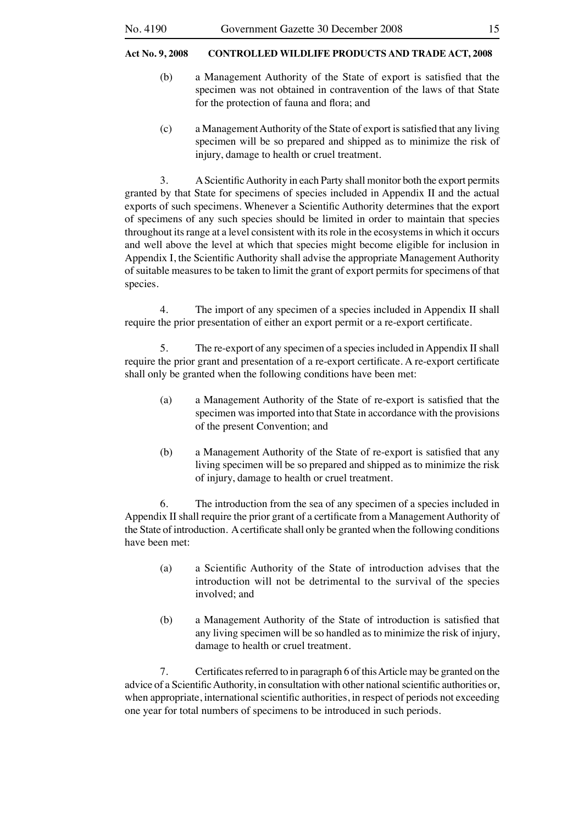- (b) a Management Authority of the State of export is satisfied that the specimen was not obtained in contravention of the laws of that State for the protection of fauna and flora; and
- (c) a Management Authority of the State of export is satisfied that any living specimen will be so prepared and shipped as to minimize the risk of injury, damage to health or cruel treatment.

3. A Scientific Authority in each Party shall monitor both the export permits granted by that State for specimens of species included in Appendix II and the actual exports of such specimens. Whenever a Scientific Authority determines that the export of specimens of any such species should be limited in order to maintain that species throughout its range at a level consistent with its role in the ecosystems in which it occurs and well above the level at which that species might become eligible for inclusion in Appendix I, the Scientific Authority shall advise the appropriate Management Authority of suitable measures to be taken to limit the grant of export permits for specimens of that species.

4. The import of any specimen of a species included in Appendix II shall require the prior presentation of either an export permit or a re-export certificate.

5. The re-export of any specimen of a species included in Appendix II shall require the prior grant and presentation of a re-export certificate. A re-export certificate shall only be granted when the following conditions have been met:

- (a) a Management Authority of the State of re-export is satisfied that the specimen was imported into that State in accordance with the provisions of the present Convention; and
- (b) a Management Authority of the State of re-export is satisfied that any living specimen will be so prepared and shipped as to minimize the risk of injury, damage to health or cruel treatment.

6. The introduction from the sea of any specimen of a species included in Appendix II shall require the prior grant of a certificate from a Management Authority of the State of introduction. A certificate shall only be granted when the following conditions have been met:

- (a) a Scientific Authority of the State of introduction advises that the introduction will not be detrimental to the survival of the species involved; and
- (b) a Management Authority of the State of introduction is satisfied that any living specimen will be so handled as to minimize the risk of injury, damage to health or cruel treatment.

7. Certificates referred to in paragraph 6 of this Article may be granted on the advice of a Scientific Authority, in consultation with other national scientific authorities or, when appropriate, international scientific authorities, in respect of periods not exceeding one year for total numbers of specimens to be introduced in such periods.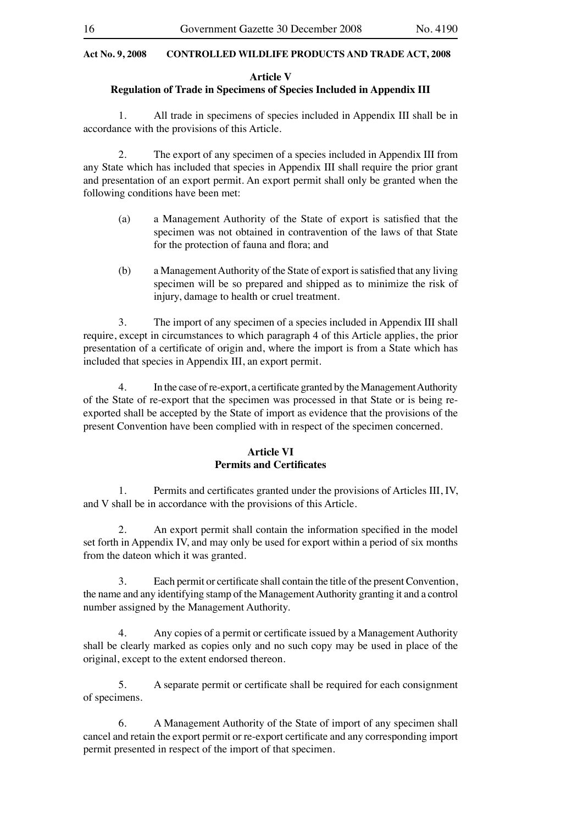#### **Article V**

#### **Regulation of Trade in Specimens of Species Included in Appendix III**

1. All trade in specimens of species included in Appendix III shall be in accordance with the provisions of this Article.

2. The export of any specimen of a species included in Appendix III from any State which has included that species in Appendix III shall require the prior grant and presentation of an export permit. An export permit shall only be granted when the following conditions have been met:

- (a) a Management Authority of the State of export is satisfied that the specimen was not obtained in contravention of the laws of that State for the protection of fauna and flora; and
- (b) a Management Authority of the State of export is satisfied that any living specimen will be so prepared and shipped as to minimize the risk of injury, damage to health or cruel treatment.

3. The import of any specimen of a species included in Appendix III shall require, except in circumstances to which paragraph 4 of this Article applies, the prior presentation of a certificate of origin and, where the import is from a State which has included that species in Appendix III, an export permit.

4. In the case of re-export, a certificate granted by the Management Authority of the State of re-export that the specimen was processed in that State or is being reexported shall be accepted by the State of import as evidence that the provisions of the present Convention have been complied with in respect of the specimen concerned.

#### **Article VI Permits and Certificates**

1. Permits and certificates granted under the provisions of Articles III, IV, and V shall be in accordance with the provisions of this Article.

2. An export permit shall contain the information specified in the model set forth in Appendix IV, and may only be used for export within a period of six months from the dateon which it was granted.

3. Each permit or certificate shall contain the title of the present Convention, the name and any identifying stamp of the Management Authority granting it and a control number assigned by the Management Authority.

4. Any copies of a permit or certificate issued by a Management Authority shall be clearly marked as copies only and no such copy may be used in place of the original, except to the extent endorsed thereon.

5. A separate permit or certificate shall be required for each consignment of specimens.

6. A Management Authority of the State of import of any specimen shall cancel and retain the export permit or re-export certificate and any corresponding import permit presented in respect of the import of that specimen.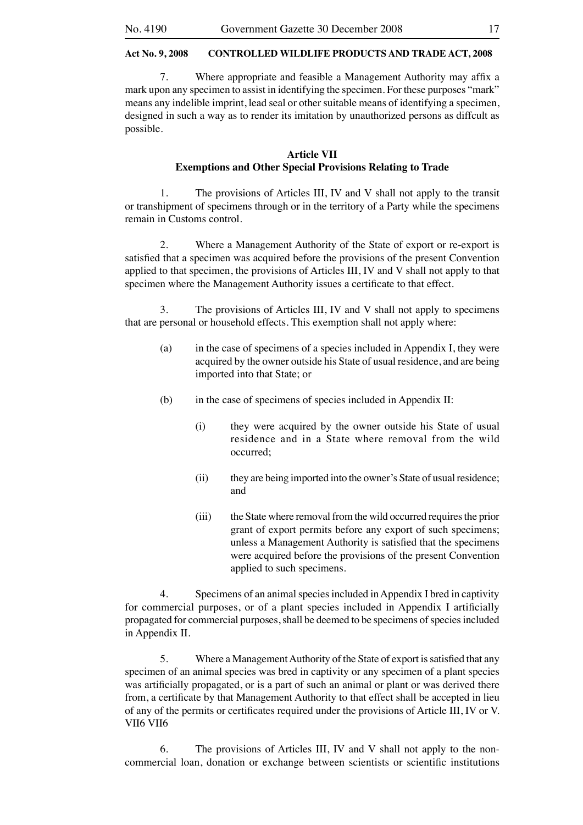7. Where appropriate and feasible a Management Authority may affix a mark upon any specimen to assist in identifying the specimen. For these purposes "mark" means any indelible imprint, lead seal or other suitable means of identifying a specimen, designed in such a way as to render its imitation by unauthorized persons as diffcult as possible.

#### **Article VII Exemptions and Other Special Provisions Relating to Trade**

1. The provisions of Articles III, IV and V shall not apply to the transit or transhipment of specimens through or in the territory of a Party while the specimens remain in Customs control.

2. Where a Management Authority of the State of export or re-export is satisfied that a specimen was acquired before the provisions of the present Convention applied to that specimen, the provisions of Articles III, IV and V shall not apply to that specimen where the Management Authority issues a certificate to that effect.

3. The provisions of Articles III, IV and V shall not apply to specimens that are personal or household effects. This exemption shall not apply where:

- (a) in the case of specimens of a species included in Appendix I, they were acquired by the owner outside his State of usual residence, and are being imported into that State; or
- (b) in the case of specimens of species included in Appendix II:
	- (i) they were acquired by the owner outside his State of usual residence and in a State where removal from the wild occurred;
	- (ii) they are being imported into the owner's State of usual residence; and
	- (iii) the State where removal from the wild occurred requires the prior grant of export permits before any export of such specimens; unless a Management Authority is satisfied that the specimens were acquired before the provisions of the present Convention applied to such specimens.

4. Specimens of an animal species included in Appendix I bred in captivity for commercial purposes, or of a plant species included in Appendix I artificially propagated for commercial purposes, shall be deemed to be specimens of species included in Appendix II.

5. Where a Management Authority of the State of export is satisfied that any specimen of an animal species was bred in captivity or any specimen of a plant species was artificially propagated, or is a part of such an animal or plant or was derived there from, a certificate by that Management Authority to that effect shall be accepted in lieu of any of the permits or certificates required under the provisions of Article III, IV or V. VII6 VII6

6. The provisions of Articles III, IV and V shall not apply to the noncommercial loan, donation or exchange between scientists or scientific institutions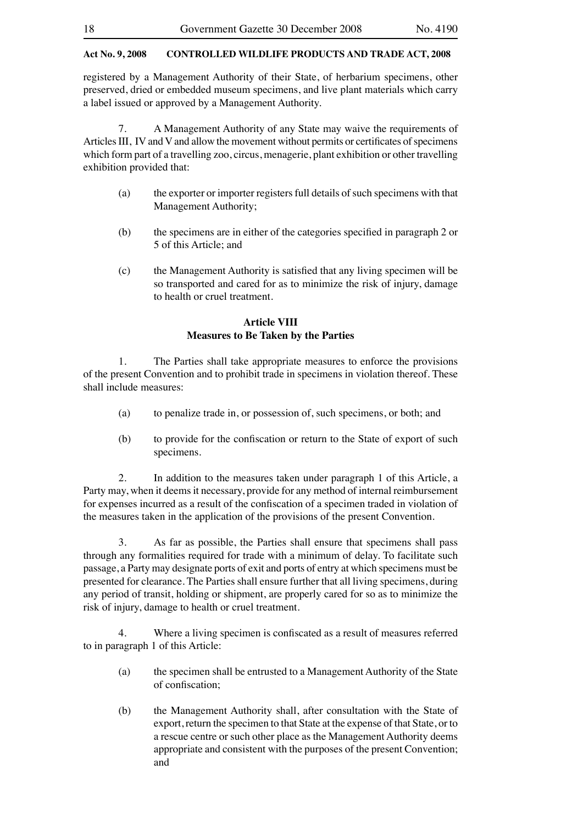registered by a Management Authority of their State, of herbarium specimens, other preserved, dried or embedded museum specimens, and live plant materials which carry a label issued or approved by a Management Authority.

7. A Management Authority of any State may waive the requirements of Articles III, IV and V and allow the movement without permits or certificates of specimens which form part of a travelling zoo, circus, menagerie, plant exhibition or other travelling exhibition provided that:

- (a) the exporter or importer registers full details of such specimens with that Management Authority;
- (b) the specimens are in either of the categories specified in paragraph 2 or 5 of this Article; and
- (c) the Management Authority is satisfied that any living specimen will be so transported and cared for as to minimize the risk of injury, damage to health or cruel treatment.

#### **Article VIII Measures to Be Taken by the Parties**

1. The Parties shall take appropriate measures to enforce the provisions of the present Convention and to prohibit trade in specimens in violation thereof. These shall include measures:

- (a) to penalize trade in, or possession of, such specimens, or both; and
- (b) to provide for the confiscation or return to the State of export of such specimens.

2. In addition to the measures taken under paragraph 1 of this Article, a Party may, when it deems it necessary, provide for any method of internal reimbursement for expenses incurred as a result of the confiscation of a specimen traded in violation of the measures taken in the application of the provisions of the present Convention.

3. As far as possible, the Parties shall ensure that specimens shall pass through any formalities required for trade with a minimum of delay. To facilitate such passage, a Party may designate ports of exit and ports of entry at which specimens must be presented for clearance. The Parties shall ensure further that all living specimens, during any period of transit, holding or shipment, are properly cared for so as to minimize the risk of injury, damage to health or cruel treatment.

4. Where a living specimen is confiscated as a result of measures referred to in paragraph 1 of this Article:

- (a) the specimen shall be entrusted to a Management Authority of the State of confiscation;
- (b) the Management Authority shall, after consultation with the State of export, return the specimen to that State at the expense of that State, or to a rescue centre or such other place as the Management Authority deems appropriate and consistent with the purposes of the present Convention; and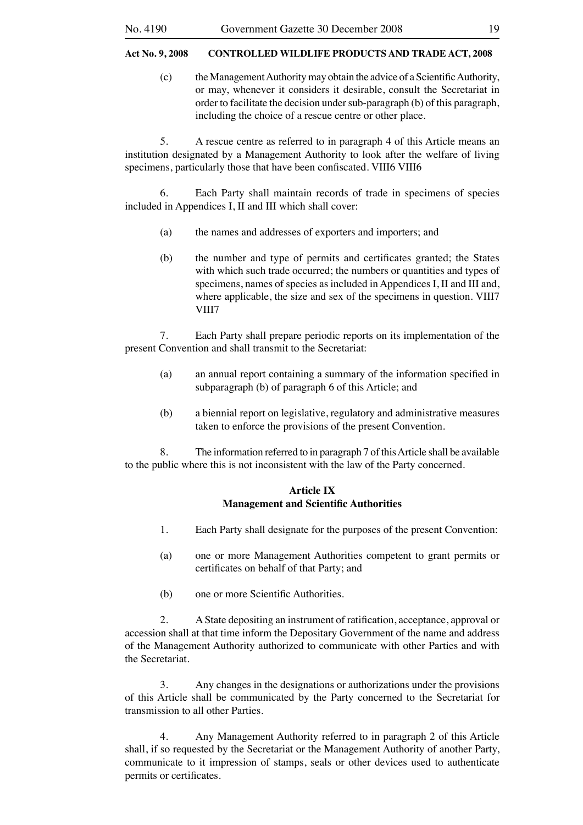(c) the Management Authority may obtain the advice of a Scientific Authority, or may, whenever it considers it desirable, consult the Secretariat in order to facilitate the decision under sub-paragraph (b) of this paragraph, including the choice of a rescue centre or other place.

5. A rescue centre as referred to in paragraph 4 of this Article means an institution designated by a Management Authority to look after the welfare of living specimens, particularly those that have been confiscated. VIII6 VIII6

6. Each Party shall maintain records of trade in specimens of species included in Appendices I, II and III which shall cover:

- (a) the names and addresses of exporters and importers; and
- (b) the number and type of permits and certificates granted; the States with which such trade occurred; the numbers or quantities and types of specimens, names of species as included in Appendices I, II and III and, where applicable, the size and sex of the specimens in question. VIII7 VIII7

7. Each Party shall prepare periodic reports on its implementation of the present Convention and shall transmit to the Secretariat:

- (a) an annual report containing a summary of the information specified in subparagraph (b) of paragraph 6 of this Article; and
- (b) a biennial report on legislative, regulatory and administrative measures taken to enforce the provisions of the present Convention.

8. The information referred to in paragraph 7 of this Article shall be available to the public where this is not inconsistent with the law of the Party concerned.

#### **Article IX Management and Scientific Authorities**

- 1. Each Party shall designate for the purposes of the present Convention:
- (a) one or more Management Authorities competent to grant permits or certificates on behalf of that Party; and
- (b) one or more Scientific Authorities.

2. A State depositing an instrument of ratification, acceptance, approval or accession shall at that time inform the Depositary Government of the name and address of the Management Authority authorized to communicate with other Parties and with the Secretariat.

3. Any changes in the designations or authorizations under the provisions of this Article shall be communicated by the Party concerned to the Secretariat for transmission to all other Parties.

4. Any Management Authority referred to in paragraph 2 of this Article shall, if so requested by the Secretariat or the Management Authority of another Party, communicate to it impression of stamps, seals or other devices used to authenticate permits or certificates.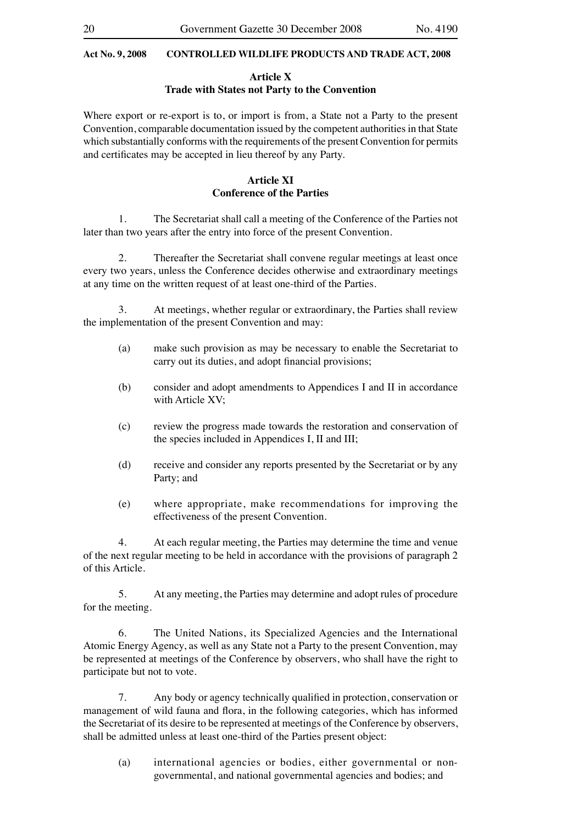#### **Article X Trade with States not Party to the Convention**

Where export or re-export is to, or import is from, a State not a Party to the present Convention, comparable documentation issued by the competent authorities in that State which substantially conforms with the requirements of the present Convention for permits and certificates may be accepted in lieu thereof by any Party.

#### **Article XI Conference of the Parties**

1. The Secretariat shall call a meeting of the Conference of the Parties not later than two years after the entry into force of the present Convention.

2. Thereafter the Secretariat shall convene regular meetings at least once every two years, unless the Conference decides otherwise and extraordinary meetings at any time on the written request of at least one-third of the Parties.

3. At meetings, whether regular or extraordinary, the Parties shall review the implementation of the present Convention and may:

- (a) make such provision as may be necessary to enable the Secretariat to carry out its duties, and adopt financial provisions;
- (b) consider and adopt amendments to Appendices I and II in accordance with Article XV;
- (c) review the progress made towards the restoration and conservation of the species included in Appendices I, II and III;
- (d) receive and consider any reports presented by the Secretariat or by any Party; and
- (e) where appropriate, make recommendations for improving the effectiveness of the present Convention.

4. At each regular meeting, the Parties may determine the time and venue of the next regular meeting to be held in accordance with the provisions of paragraph 2 of this Article.

5. At any meeting, the Parties may determine and adopt rules of procedure for the meeting.

6. The United Nations, its Specialized Agencies and the International Atomic Energy Agency, as well as any State not a Party to the present Convention, may be represented at meetings of the Conference by observers, who shall have the right to participate but not to vote.

7. Any body or agency technically qualified in protection, conservation or management of wild fauna and flora, in the following categories, which has informed the Secretariat of its desire to be represented at meetings of the Conference by observers, shall be admitted unless at least one-third of the Parties present object:

(a) international agencies or bodies, either governmental or nongovernmental, and national governmental agencies and bodies; and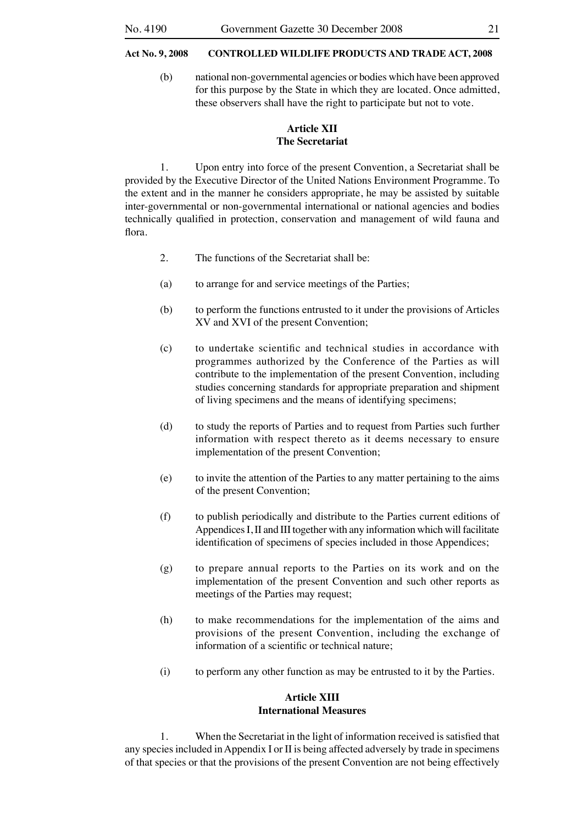(b) national non-governmental agencies or bodies which have been approved for this purpose by the State in which they are located. Once admitted, these observers shall have the right to participate but not to vote.

#### **Article XII The Secretariat**

1. Upon entry into force of the present Convention, a Secretariat shall be provided by the Executive Director of the United Nations Environment Programme. To the extent and in the manner he considers appropriate, he may be assisted by suitable inter-governmental or non-governmental international or national agencies and bodies technically qualified in protection, conservation and management of wild fauna and flora.

- 2. The functions of the Secretariat shall be:
- (a) to arrange for and service meetings of the Parties;
- (b) to perform the functions entrusted to it under the provisions of Articles XV and XVI of the present Convention;
- (c) to undertake scientific and technical studies in accordance with programmes authorized by the Conference of the Parties as will contribute to the implementation of the present Convention, including studies concerning standards for appropriate preparation and shipment of living specimens and the means of identifying specimens;
- (d) to study the reports of Parties and to request from Parties such further information with respect thereto as it deems necessary to ensure implementation of the present Convention;
- (e) to invite the attention of the Parties to any matter pertaining to the aims of the present Convention;
- (f) to publish periodically and distribute to the Parties current editions of Appendices I, II and III together with any information which will facilitate identification of specimens of species included in those Appendices;
- (g) to prepare annual reports to the Parties on its work and on the implementation of the present Convention and such other reports as meetings of the Parties may request;
- (h) to make recommendations for the implementation of the aims and provisions of the present Convention, including the exchange of information of a scientific or technical nature;
- (i) to perform any other function as may be entrusted to it by the Parties.

#### **Article XIII International Measures**

1. When the Secretariat in the light of information received is satisfied that any species included in Appendix I or II is being affected adversely by trade in specimens of that species or that the provisions of the present Convention are not being effectively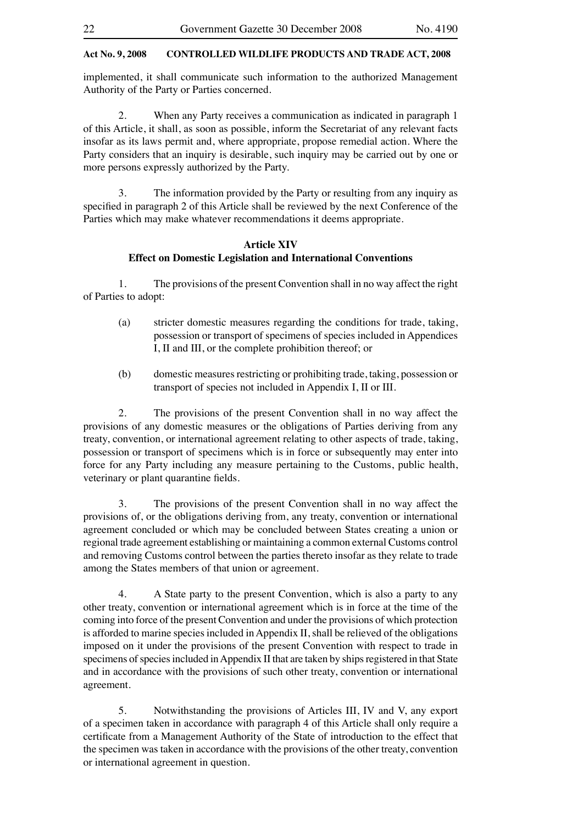implemented, it shall communicate such information to the authorized Management Authority of the Party or Parties concerned.

2. When any Party receives a communication as indicated in paragraph 1 of this Article, it shall, as soon as possible, inform the Secretariat of any relevant facts insofar as its laws permit and, where appropriate, propose remedial action. Where the Party considers that an inquiry is desirable, such inquiry may be carried out by one or more persons expressly authorized by the Party.

3. The information provided by the Party or resulting from any inquiry as specified in paragraph 2 of this Article shall be reviewed by the next Conference of the Parties which may make whatever recommendations it deems appropriate.

#### **Article XIV Effect on Domestic Legislation and International Conventions**

1. The provisions of the present Convention shall in no way affect the right of Parties to adopt:

- (a) stricter domestic measures regarding the conditions for trade, taking, possession or transport of specimens of species included in Appendices I, II and III, or the complete prohibition thereof; or
- (b) domestic measures restricting or prohibiting trade, taking, possession or transport of species not included in Appendix I, II or III.

2. The provisions of the present Convention shall in no way affect the provisions of any domestic measures or the obligations of Parties deriving from any treaty, convention, or international agreement relating to other aspects of trade, taking, possession or transport of specimens which is in force or subsequently may enter into force for any Party including any measure pertaining to the Customs, public health, veterinary or plant quarantine fields.

3. The provisions of the present Convention shall in no way affect the provisions of, or the obligations deriving from, any treaty, convention or international agreement concluded or which may be concluded between States creating a union or regional trade agreement establishing or maintaining a common external Customs control and removing Customs control between the parties thereto insofar as they relate to trade among the States members of that union or agreement.

4. A State party to the present Convention, which is also a party to any other treaty, convention or international agreement which is in force at the time of the coming into force of the present Convention and under the provisions of which protection is afforded to marine species included in Appendix II, shall be relieved of the obligations imposed on it under the provisions of the present Convention with respect to trade in specimens of species included in Appendix II that are taken by ships registered in that State and in accordance with the provisions of such other treaty, convention or international agreement.

5. Notwithstanding the provisions of Articles III, IV and V, any export of a specimen taken in accordance with paragraph 4 of this Article shall only require a certificate from a Management Authority of the State of introduction to the effect that the specimen was taken in accordance with the provisions of the other treaty, convention or international agreement in question.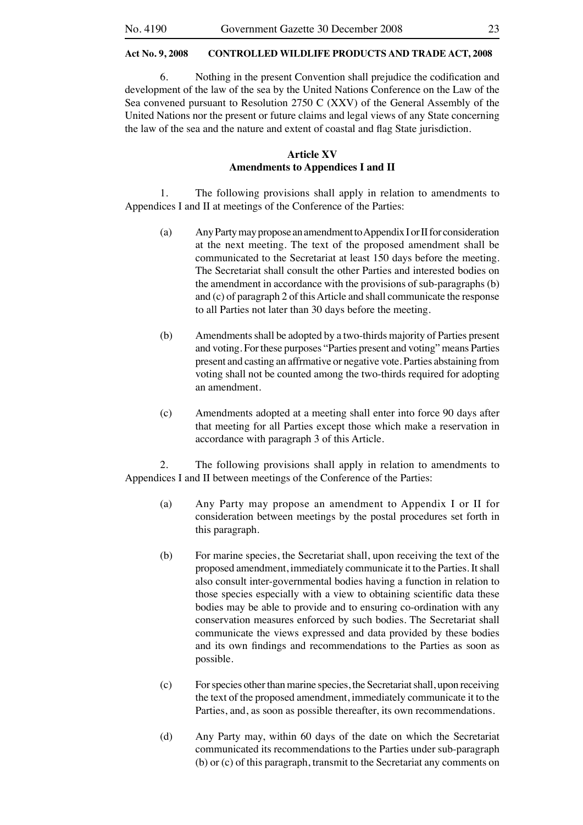6. Nothing in the present Convention shall prejudice the codification and development of the law of the sea by the United Nations Conference on the Law of the Sea convened pursuant to Resolution 2750 C (XXV) of the General Assembly of the United Nations nor the present or future claims and legal views of any State concerning the law of the sea and the nature and extent of coastal and flag State jurisdiction.

#### **Article XV Amendments to Appendices I and II**

1. The following provisions shall apply in relation to amendments to Appendices I and II at meetings of the Conference of the Parties:

- (a) Any Party may propose an amendment to Appendix I or II for consideration at the next meeting. The text of the proposed amendment shall be communicated to the Secretariat at least 150 days before the meeting. The Secretariat shall consult the other Parties and interested bodies on the amendment in accordance with the provisions of sub-paragraphs (b) and (c) of paragraph 2 of this Article and shall communicate the response to all Parties not later than 30 days before the meeting.
- (b) Amendments shall be adopted by a two-thirds majority of Parties present and voting. For these purposes "Parties present and voting" means Parties present and casting an affrmative or negative vote. Parties abstaining from voting shall not be counted among the two-thirds required for adopting an amendment.
- (c) Amendments adopted at a meeting shall enter into force 90 days after that meeting for all Parties except those which make a reservation in accordance with paragraph 3 of this Article.

2. The following provisions shall apply in relation to amendments to Appendices I and II between meetings of the Conference of the Parties:

- (a) Any Party may propose an amendment to Appendix I or II for consideration between meetings by the postal procedures set forth in this paragraph.
- (b) For marine species, the Secretariat shall, upon receiving the text of the proposed amendment, immediately communicate it to the Parties. It shall also consult inter-governmental bodies having a function in relation to those species especially with a view to obtaining scientific data these bodies may be able to provide and to ensuring co-ordination with any conservation measures enforced by such bodies. The Secretariat shall communicate the views expressed and data provided by these bodies and its own findings and recommendations to the Parties as soon as possible.
- (c) For species other than marine species, the Secretariat shall, upon receiving the text of the proposed amendment, immediately communicate it to the Parties, and, as soon as possible thereafter, its own recommendations.
- (d) Any Party may, within 60 days of the date on which the Secretariat communicated its recommendations to the Parties under sub-paragraph (b) or (c) of this paragraph, transmit to the Secretariat any comments on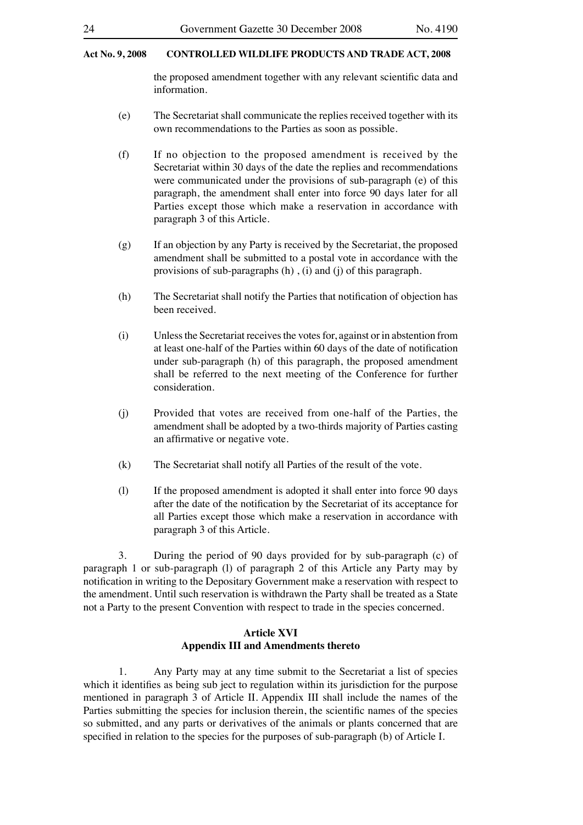the proposed amendment together with any relevant scientific data and information.

- (e) The Secretariat shall communicate the replies received together with its own recommendations to the Parties as soon as possible.
- (f) If no objection to the proposed amendment is received by the Secretariat within 30 days of the date the replies and recommendations were communicated under the provisions of sub-paragraph (e) of this paragraph, the amendment shall enter into force 90 days later for all Parties except those which make a reservation in accordance with paragraph 3 of this Article.
- (g) If an objection by any Party is received by the Secretariat, the proposed amendment shall be submitted to a postal vote in accordance with the provisions of sub-paragraphs (h) , (i) and (j) of this paragraph.
- (h) The Secretariat shall notify the Parties that notification of objection has been received.
- (i) Unless the Secretariat receives the votes for, against or in abstention from at least one-half of the Parties within 60 days of the date of notification under sub-paragraph (h) of this paragraph, the proposed amendment shall be referred to the next meeting of the Conference for further consideration.
- (j) Provided that votes are received from one-half of the Parties, the amendment shall be adopted by a two-thirds majority of Parties casting an affirmative or negative vote.
- (k) The Secretariat shall notify all Parties of the result of the vote.
- (l) If the proposed amendment is adopted it shall enter into force 90 days after the date of the notification by the Secretariat of its acceptance for all Parties except those which make a reservation in accordance with paragraph 3 of this Article.

3. During the period of 90 days provided for by sub-paragraph (c) of paragraph 1 or sub-paragraph (l) of paragraph 2 of this Article any Party may by notification in writing to the Depositary Government make a reservation with respect to the amendment. Until such reservation is withdrawn the Party shall be treated as a State not a Party to the present Convention with respect to trade in the species concerned.

#### **Article XVI Appendix III and Amendments thereto**

1. Any Party may at any time submit to the Secretariat a list of species which it identifies as being sub ject to regulation within its jurisdiction for the purpose mentioned in paragraph 3 of Article II. Appendix III shall include the names of the Parties submitting the species for inclusion therein, the scientific names of the species so submitted, and any parts or derivatives of the animals or plants concerned that are specified in relation to the species for the purposes of sub-paragraph (b) of Article I.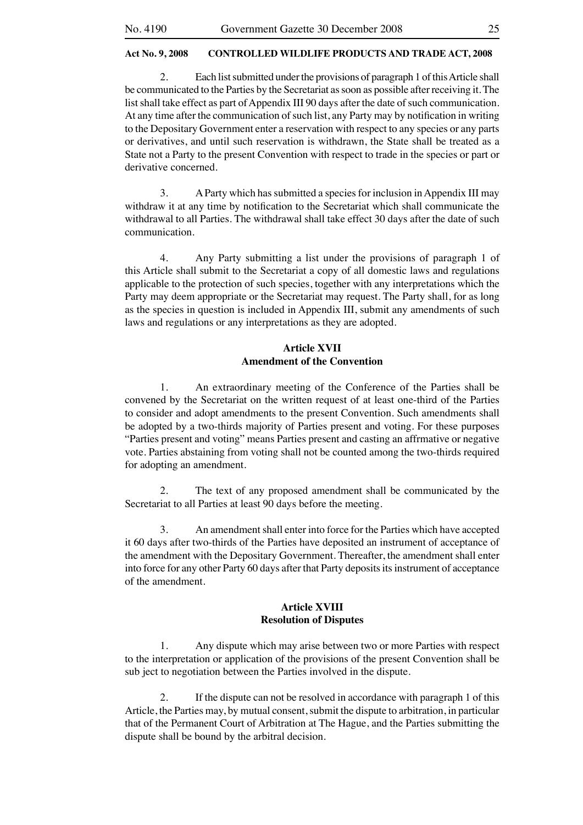2. Each list submitted under the provisions of paragraph 1 of this Article shall be communicated to the Parties by the Secretariat as soon as possible after receiving it. The list shall take effect as part of Appendix III 90 days after the date of such communication. At any time after the communication of such list, any Party may by notification in writing to the Depositary Government enter a reservation with respect to any species or any parts or derivatives, and until such reservation is withdrawn, the State shall be treated as a State not a Party to the present Convention with respect to trade in the species or part or derivative concerned.

3. A Party which has submitted a species for inclusion in Appendix III may withdraw it at any time by notification to the Secretariat which shall communicate the withdrawal to all Parties. The withdrawal shall take effect 30 days after the date of such communication.

4. Any Party submitting a list under the provisions of paragraph 1 of this Article shall submit to the Secretariat a copy of all domestic laws and regulations applicable to the protection of such species, together with any interpretations which the Party may deem appropriate or the Secretariat may request. The Party shall, for as long as the species in question is included in Appendix III, submit any amendments of such laws and regulations or any interpretations as they are adopted.

#### **Article XVII Amendment of the Convention**

1. An extraordinary meeting of the Conference of the Parties shall be convened by the Secretariat on the written request of at least one-third of the Parties to consider and adopt amendments to the present Convention. Such amendments shall be adopted by a two-thirds majority of Parties present and voting. For these purposes "Parties present and voting" means Parties present and casting an affrmative or negative vote. Parties abstaining from voting shall not be counted among the two-thirds required for adopting an amendment.

2. The text of any proposed amendment shall be communicated by the Secretariat to all Parties at least 90 days before the meeting.

3. An amendment shall enter into force for the Parties which have accepted it 60 days after two-thirds of the Parties have deposited an instrument of acceptance of the amendment with the Depositary Government. Thereafter, the amendment shall enter into force for any other Party 60 days after that Party deposits its instrument of acceptance of the amendment.

#### **Article XVIII Resolution of Disputes**

1. Any dispute which may arise between two or more Parties with respect to the interpretation or application of the provisions of the present Convention shall be sub ject to negotiation between the Parties involved in the dispute.

2. If the dispute can not be resolved in accordance with paragraph 1 of this Article, the Parties may, by mutual consent, submit the dispute to arbitration, in particular that of the Permanent Court of Arbitration at The Hague, and the Parties submitting the dispute shall be bound by the arbitral decision.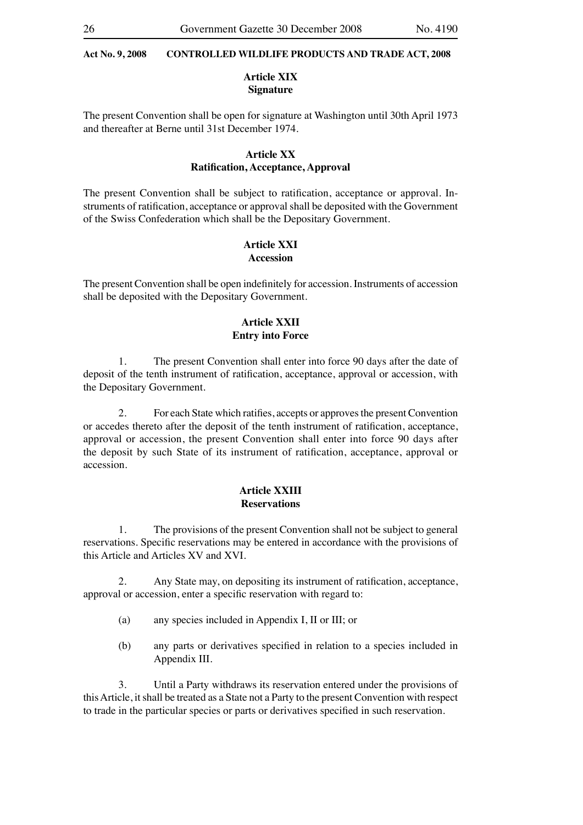#### **Article XIX Signature**

The present Convention shall be open for signature at Washington until 30th April 1973 and thereafter at Berne until 31st December 1974.

#### **Article XX Ratification, Acceptance, Approval**

The present Convention shall be subject to ratification, acceptance or approval. Instruments of ratification, acceptance or approval shall be deposited with the Government of the Swiss Confederation which shall be the Depositary Government.

#### **Article XXI**

#### **Accession**

The present Convention shall be open indefinitely for accession. Instruments of accession shall be deposited with the Depositary Government.

#### **Article XXII Entry into Force**

1. The present Convention shall enter into force 90 days after the date of deposit of the tenth instrument of ratification, acceptance, approval or accession, with the Depositary Government.

2. For each State which ratifies, accepts or approves the present Convention or accedes thereto after the deposit of the tenth instrument of ratification, acceptance, approval or accession, the present Convention shall enter into force 90 days after the deposit by such State of its instrument of ratification, acceptance, approval or accession.

#### **Article XXIII Reservations**

1. The provisions of the present Convention shall not be subject to general reservations. Specific reservations may be entered in accordance with the provisions of this Article and Articles XV and XVI.

2. Any State may, on depositing its instrument of ratification, acceptance, approval or accession, enter a specific reservation with regard to:

- (a) any species included in Appendix I, II or III; or
- (b) any parts or derivatives specified in relation to a species included in Appendix III.

3. Until a Party withdraws its reservation entered under the provisions of this Article, it shall be treated as a State not a Party to the present Convention with respect to trade in the particular species or parts or derivatives specified in such reservation.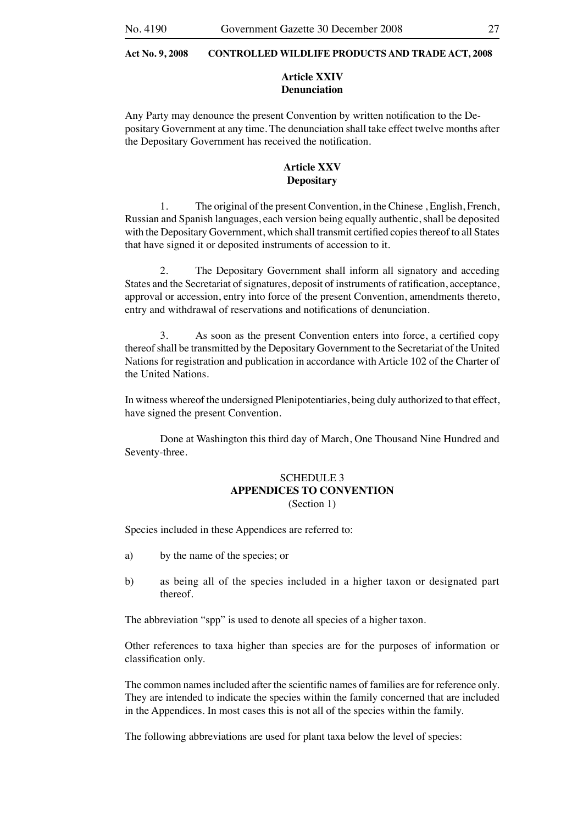#### **Article XXIV Denunciation**

Any Party may denounce the present Convention by written notification to the Depositary Government at any time. The denunciation shall take effect twelve months after the Depositary Government has received the notification.

#### **Article XXV Depositary**

1. The original of the present Convention, in the Chinese , English, French, Russian and Spanish languages, each version being equally authentic, shall be deposited with the Depositary Government, which shall transmit certified copies thereof to all States that have signed it or deposited instruments of accession to it.

2. The Depositary Government shall inform all signatory and acceding States and the Secretariat of signatures, deposit of instruments of ratification, acceptance, approval or accession, entry into force of the present Convention, amendments thereto, entry and withdrawal of reservations and notifications of denunciation.

3. As soon as the present Convention enters into force, a certified copy thereof shall be transmitted by the Depositary Government to the Secretariat of the United Nations for registration and publication in accordance with Article 102 of the Charter of the United Nations.

In witness whereof the undersigned Plenipotentiaries, being duly authorized to that effect, have signed the present Convention.

Done at Washington this third day of March, One Thousand Nine Hundred and Seventy-three.

#### SCHEDULE 3 **APPENDICES TO CONVENTION** (Section 1)

Species included in these Appendices are referred to:

- a) by the name of the species; or
- b) as being all of the species included in a higher taxon or designated part thereof.

The abbreviation "spp" is used to denote all species of a higher taxon.

Other references to taxa higher than species are for the purposes of information or classification only.

The common names included after the scientific names of families are for reference only. They are intended to indicate the species within the family concerned that are included in the Appendices. In most cases this is not all of the species within the family.

The following abbreviations are used for plant taxa below the level of species: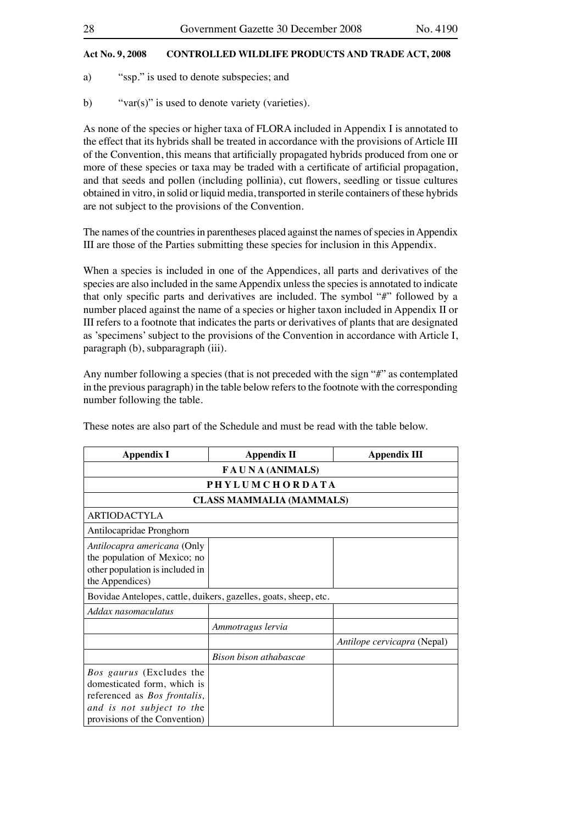- a) "ssp." is used to denote subspecies; and
- b) "var(s)" is used to denote variety (varieties).

As none of the species or higher taxa of FLORA included in Appendix I is annotated to the effect that its hybrids shall be treated in accordance with the provisions of Article III of the Convention, this means that artificially propagated hybrids produced from one or more of these species or taxa may be traded with a certificate of artificial propagation, and that seeds and pollen (including pollinia), cut flowers, seedling or tissue cultures obtained in vitro, in solid or liquid media, transported in sterile containers of these hybrids are not subject to the provisions of the Convention.

The names of the countries in parentheses placed against the names of species in Appendix III are those of the Parties submitting these species for inclusion in this Appendix.

When a species is included in one of the Appendices, all parts and derivatives of the species are also included in the same Appendix unless the species is annotated to indicate that only specific parts and derivatives are included. The symbol "#" followed by a number placed against the name of a species or higher taxon included in Appendix II or III refers to a footnote that indicates the parts or derivatives of plants that are designated as 'specimens' subject to the provisions of the Convention in accordance with Article I, paragraph (b), subparagraph (iii).

Any number following a species (that is not preceded with the sign "#" as contemplated in the previous paragraph) in the table below refers to the footnote with the corresponding number following the table.

| Appendix I                                                                                                                                                    | <b>Appendix II</b>              | <b>Appendix III</b>         |
|---------------------------------------------------------------------------------------------------------------------------------------------------------------|---------------------------------|-----------------------------|
|                                                                                                                                                               | FAUNA(ANIMALS)                  |                             |
|                                                                                                                                                               | <b>PHYLUMCHORDATA</b>           |                             |
|                                                                                                                                                               | <b>CLASS MAMMALIA (MAMMALS)</b> |                             |
| <b>ARTIODACTYLA</b>                                                                                                                                           |                                 |                             |
| Antilocapridae Pronghorn                                                                                                                                      |                                 |                             |
| Antilocapra americana (Only<br>the population of Mexico; no<br>other population is included in<br>the Appendices)                                             |                                 |                             |
| Bovidae Antelopes, cattle, duikers, gazelles, goats, sheep, etc.                                                                                              |                                 |                             |
| Addax nasomaculatus                                                                                                                                           |                                 |                             |
|                                                                                                                                                               | Ammotragus lervia               |                             |
|                                                                                                                                                               |                                 | Antilope cervicapra (Nepal) |
|                                                                                                                                                               | Bison bison athabascae          |                             |
| Bos gaurus (Excludes the<br>domesticated form, which is<br>referenced as <i>Bos frontalis</i> ,<br>and is not subject to the<br>provisions of the Convention) |                                 |                             |

These notes are also part of the Schedule and must be read with the table below.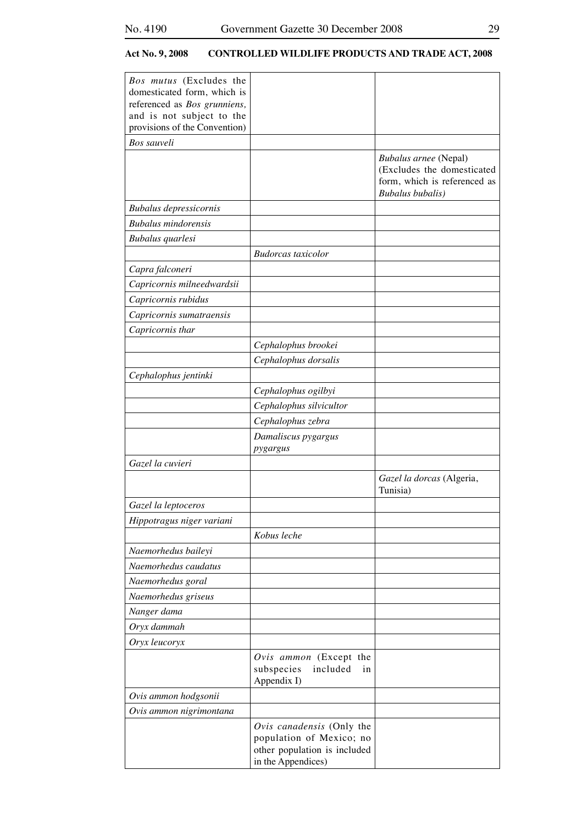| Bos mutus (Excludes the<br>domesticated form, which is     |                                                                       |                                                                                       |
|------------------------------------------------------------|-----------------------------------------------------------------------|---------------------------------------------------------------------------------------|
| referenced as Bos grunniens,                               |                                                                       |                                                                                       |
| and is not subject to the<br>provisions of the Convention) |                                                                       |                                                                                       |
| Bos sauveli                                                |                                                                       |                                                                                       |
|                                                            |                                                                       | <b>Bubalus arnee (Nepal)</b>                                                          |
|                                                            |                                                                       | (Excludes the domesticated<br>form, which is referenced as<br><b>Bubalus</b> bubalis) |
| <b>Bubalus</b> depressicornis                              |                                                                       |                                                                                       |
| <b>Bubalus mindorensis</b>                                 |                                                                       |                                                                                       |
| Bubalus quarlesi                                           |                                                                       |                                                                                       |
|                                                            | <b>Budorcas</b> taxicolor                                             |                                                                                       |
| Capra falconeri                                            |                                                                       |                                                                                       |
| Capricornis milneedwardsii                                 |                                                                       |                                                                                       |
| Capricornis rubidus                                        |                                                                       |                                                                                       |
| Capricornis sumatraensis                                   |                                                                       |                                                                                       |
| Capricornis thar                                           |                                                                       |                                                                                       |
|                                                            | Cephalophus brookei                                                   |                                                                                       |
|                                                            | Cephalophus dorsalis                                                  |                                                                                       |
| Cephalophus jentinki                                       |                                                                       |                                                                                       |
|                                                            | Cephalophus ogilbyi                                                   |                                                                                       |
|                                                            | Cephalophus silvicultor                                               |                                                                                       |
|                                                            | Cephalophus zebra                                                     |                                                                                       |
|                                                            | Damaliscus pygargus<br>pygargus                                       |                                                                                       |
| Gazel la cuvieri                                           |                                                                       |                                                                                       |
|                                                            |                                                                       | Gazel la dorcas (Algeria,<br>Tunisia)                                                 |
| Gazel la leptoceros                                        |                                                                       |                                                                                       |
| Hippotragus niger variani                                  |                                                                       |                                                                                       |
|                                                            | Kobus leche                                                           |                                                                                       |
| Naemorhedus baileyi                                        |                                                                       |                                                                                       |
| Naemorhedus caudatus                                       |                                                                       |                                                                                       |
| Naemorhedus goral                                          |                                                                       |                                                                                       |
| Naemorhedus griseus                                        |                                                                       |                                                                                       |
| Nanger dama                                                |                                                                       |                                                                                       |
| Oryx dammah                                                |                                                                       |                                                                                       |
| Oryx leucoryx                                              |                                                                       |                                                                                       |
|                                                            | Ovis ammon (Except the<br>subspecies<br>included<br>1n<br>Appendix I) |                                                                                       |
| Ovis ammon hodgsonii                                       |                                                                       |                                                                                       |
| Ovis ammon nigrimontana                                    |                                                                       |                                                                                       |
|                                                            | Ovis canadensis (Only the                                             |                                                                                       |
|                                                            | population of Mexico; no                                              |                                                                                       |
|                                                            | other population is included<br>in the Appendices)                    |                                                                                       |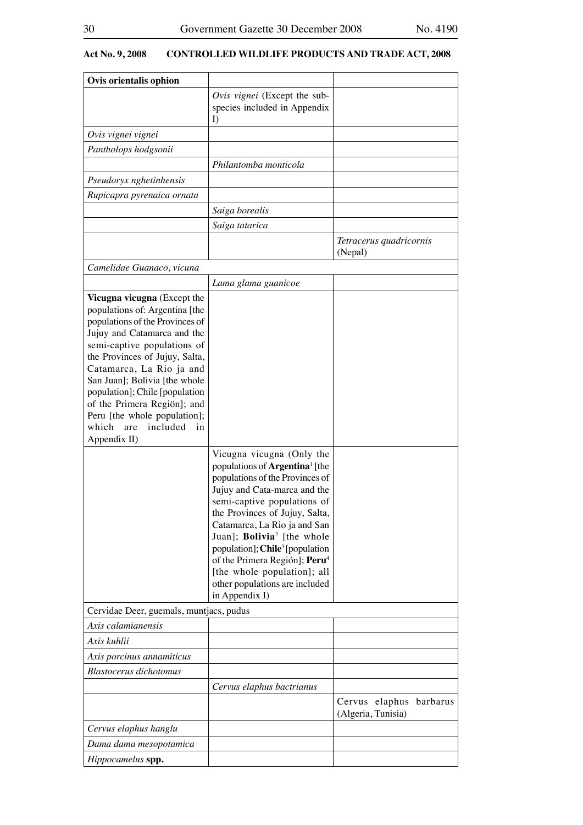| Ovis orientalis ophion                                                                                                                                                                                                                                                                                                                                                                                           |                                                                                                                                                                                                                                                                                                                                                                                                                         |                                               |
|------------------------------------------------------------------------------------------------------------------------------------------------------------------------------------------------------------------------------------------------------------------------------------------------------------------------------------------------------------------------------------------------------------------|-------------------------------------------------------------------------------------------------------------------------------------------------------------------------------------------------------------------------------------------------------------------------------------------------------------------------------------------------------------------------------------------------------------------------|-----------------------------------------------|
|                                                                                                                                                                                                                                                                                                                                                                                                                  | Ovis vignei (Except the sub-<br>species included in Appendix<br>I)                                                                                                                                                                                                                                                                                                                                                      |                                               |
| Ovis vignei vignei                                                                                                                                                                                                                                                                                                                                                                                               |                                                                                                                                                                                                                                                                                                                                                                                                                         |                                               |
| Pantholops hodgsonii                                                                                                                                                                                                                                                                                                                                                                                             |                                                                                                                                                                                                                                                                                                                                                                                                                         |                                               |
|                                                                                                                                                                                                                                                                                                                                                                                                                  | Philantomba monticola                                                                                                                                                                                                                                                                                                                                                                                                   |                                               |
| Pseudoryx nghetinhensis                                                                                                                                                                                                                                                                                                                                                                                          |                                                                                                                                                                                                                                                                                                                                                                                                                         |                                               |
| Rupicapra pyrenaica ornata                                                                                                                                                                                                                                                                                                                                                                                       |                                                                                                                                                                                                                                                                                                                                                                                                                         |                                               |
|                                                                                                                                                                                                                                                                                                                                                                                                                  | Saiga borealis                                                                                                                                                                                                                                                                                                                                                                                                          |                                               |
|                                                                                                                                                                                                                                                                                                                                                                                                                  | Saiga tatarica                                                                                                                                                                                                                                                                                                                                                                                                          |                                               |
|                                                                                                                                                                                                                                                                                                                                                                                                                  |                                                                                                                                                                                                                                                                                                                                                                                                                         | Tetracerus quadricornis<br>(Nepal)            |
| Camelidae Guanaco, vicuna                                                                                                                                                                                                                                                                                                                                                                                        |                                                                                                                                                                                                                                                                                                                                                                                                                         |                                               |
|                                                                                                                                                                                                                                                                                                                                                                                                                  | Lama glama guanicoe                                                                                                                                                                                                                                                                                                                                                                                                     |                                               |
| Vicugna vicugna (Except the<br>populations of: Argentina [the<br>populations of the Provinces of<br>Jujuy and Catamarca and the<br>semi-captive populations of<br>the Provinces of Jujuy, Salta,<br>Catamarca, La Rio ja and<br>San Juan]; Bolivia [the whole<br>population]; Chile [population<br>of the Primera Regiön]; and<br>Peru [the whole population];<br>which<br>included<br>are<br>in<br>Appendix II) | Vicugna vicugna (Only the<br>populations of <b>Argentina</b> <sup>1</sup> [the<br>populations of the Provinces of<br>Jujuy and Cata-marca and the<br>semi-captive populations of<br>the Provinces of Jujuy, Salta,<br>Catamarca, La Rio ja and San<br>Juan]; Bolivia <sup>2</sup> [the whole<br>population]; Chile <sup>3</sup> [population<br>of the Primera Región]; Peru <sup>4</sup><br>[the whole population]; all |                                               |
|                                                                                                                                                                                                                                                                                                                                                                                                                  | other populations are included                                                                                                                                                                                                                                                                                                                                                                                          |                                               |
| Cervidae Deer, guemals, muntjacs, pudus                                                                                                                                                                                                                                                                                                                                                                          | in Appendix I)                                                                                                                                                                                                                                                                                                                                                                                                          |                                               |
| Axis calamianensis                                                                                                                                                                                                                                                                                                                                                                                               |                                                                                                                                                                                                                                                                                                                                                                                                                         |                                               |
| Axis kuhlii                                                                                                                                                                                                                                                                                                                                                                                                      |                                                                                                                                                                                                                                                                                                                                                                                                                         |                                               |
| Axis porcinus annamiticus                                                                                                                                                                                                                                                                                                                                                                                        |                                                                                                                                                                                                                                                                                                                                                                                                                         |                                               |
| <b>Blastocerus</b> dichotomus                                                                                                                                                                                                                                                                                                                                                                                    |                                                                                                                                                                                                                                                                                                                                                                                                                         |                                               |
|                                                                                                                                                                                                                                                                                                                                                                                                                  | Cervus elaphus bactrianus                                                                                                                                                                                                                                                                                                                                                                                               |                                               |
|                                                                                                                                                                                                                                                                                                                                                                                                                  |                                                                                                                                                                                                                                                                                                                                                                                                                         | Cervus elaphus barbarus<br>(Algeria, Tunisia) |
| Cervus elaphus hanglu                                                                                                                                                                                                                                                                                                                                                                                            |                                                                                                                                                                                                                                                                                                                                                                                                                         |                                               |
| Dama dama mesopotamica                                                                                                                                                                                                                                                                                                                                                                                           |                                                                                                                                                                                                                                                                                                                                                                                                                         |                                               |
| Hippocamelus spp.                                                                                                                                                                                                                                                                                                                                                                                                |                                                                                                                                                                                                                                                                                                                                                                                                                         |                                               |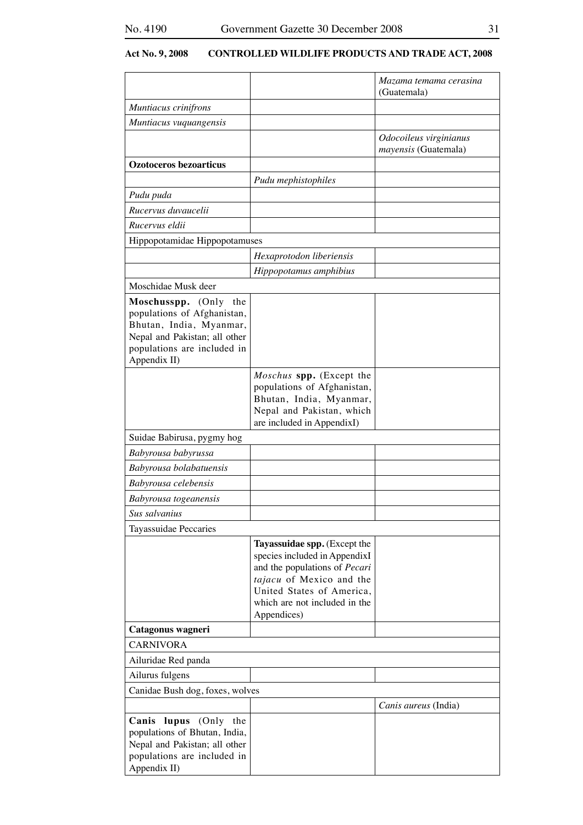|                                                                                                                                                                 |                                                                                                                                                                                                         | Mazama temama cerasina<br>(Guatemala)          |
|-----------------------------------------------------------------------------------------------------------------------------------------------------------------|---------------------------------------------------------------------------------------------------------------------------------------------------------------------------------------------------------|------------------------------------------------|
| Muntiacus crinifrons                                                                                                                                            |                                                                                                                                                                                                         |                                                |
| Muntiacus vuquangensis                                                                                                                                          |                                                                                                                                                                                                         |                                                |
|                                                                                                                                                                 |                                                                                                                                                                                                         | Odocoileus virginianus<br>mayensis (Guatemala) |
| <b>Ozotoceros</b> bezoarticus                                                                                                                                   |                                                                                                                                                                                                         |                                                |
|                                                                                                                                                                 | Pudu mephistophiles                                                                                                                                                                                     |                                                |
| Pudu puda                                                                                                                                                       |                                                                                                                                                                                                         |                                                |
| Rucervus duvaucelii                                                                                                                                             |                                                                                                                                                                                                         |                                                |
| Rucervus eldii                                                                                                                                                  |                                                                                                                                                                                                         |                                                |
| Hippopotamidae Hippopotamuses                                                                                                                                   |                                                                                                                                                                                                         |                                                |
|                                                                                                                                                                 | Hexaprotodon liberiensis                                                                                                                                                                                |                                                |
|                                                                                                                                                                 | Hippopotamus amphibius                                                                                                                                                                                  |                                                |
| Moschidae Musk deer                                                                                                                                             |                                                                                                                                                                                                         |                                                |
| Moschusspp. (Only the<br>populations of Afghanistan,<br>Bhutan, India, Myanmar,<br>Nepal and Pakistan; all other<br>populations are included in<br>Appendix II) |                                                                                                                                                                                                         |                                                |
|                                                                                                                                                                 | Moschus spp. (Except the<br>populations of Afghanistan,<br>Bhutan, India, Myanmar,<br>Nepal and Pakistan, which<br>are included in AppendixI)                                                           |                                                |
| Suidae Babirusa, pygmy hog                                                                                                                                      |                                                                                                                                                                                                         |                                                |
| Babyrousa babyrussa                                                                                                                                             |                                                                                                                                                                                                         |                                                |
| Babyrousa bolabatuensis                                                                                                                                         |                                                                                                                                                                                                         |                                                |
| Babyrousa celebensis                                                                                                                                            |                                                                                                                                                                                                         |                                                |
| Babyrousa togeanensis                                                                                                                                           |                                                                                                                                                                                                         |                                                |
| Sus salvanius                                                                                                                                                   |                                                                                                                                                                                                         |                                                |
| Tayassuidae Peccaries                                                                                                                                           |                                                                                                                                                                                                         |                                                |
|                                                                                                                                                                 | Tayassuidae spp. (Except the<br>species included in AppendixI<br>and the populations of Pecari<br>tajacu of Mexico and the<br>United States of America,<br>which are not included in the<br>Appendices) |                                                |
| Catagonus wagneri                                                                                                                                               |                                                                                                                                                                                                         |                                                |
| <b>CARNIVORA</b>                                                                                                                                                |                                                                                                                                                                                                         |                                                |
| Ailuridae Red panda                                                                                                                                             |                                                                                                                                                                                                         |                                                |
| Ailurus fulgens                                                                                                                                                 |                                                                                                                                                                                                         |                                                |
| Canidae Bush dog, foxes, wolves                                                                                                                                 |                                                                                                                                                                                                         |                                                |
|                                                                                                                                                                 |                                                                                                                                                                                                         | Canis aureus (India)                           |
| Canis lupus (Only the<br>populations of Bhutan, India,<br>Nepal and Pakistan; all other<br>populations are included in<br>Appendix II)                          |                                                                                                                                                                                                         |                                                |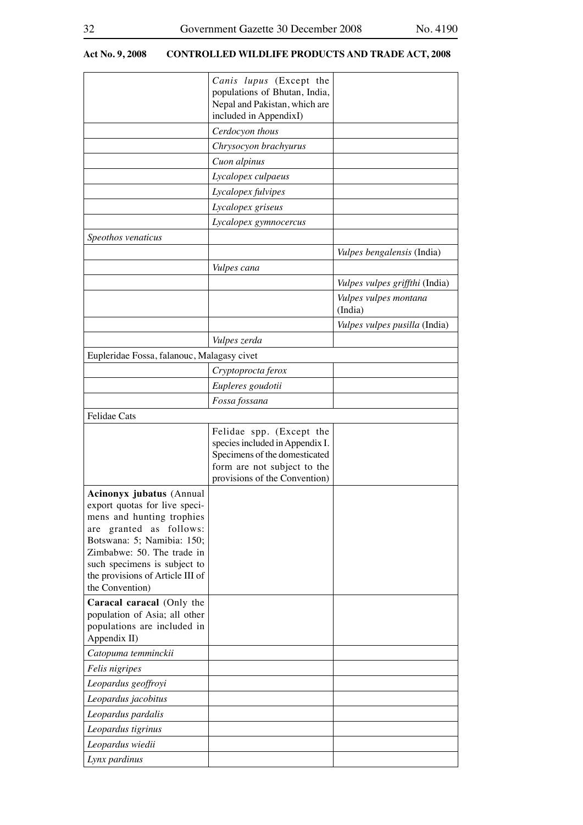|                                                                              | Canis lupus (Except the<br>populations of Bhutan, India,<br>Nepal and Pakistan, which are<br>included in AppendixI)                                          |                                |
|------------------------------------------------------------------------------|--------------------------------------------------------------------------------------------------------------------------------------------------------------|--------------------------------|
|                                                                              | Cerdocyon thous                                                                                                                                              |                                |
|                                                                              | Chrysocyon brachyurus                                                                                                                                        |                                |
|                                                                              | Cuon alpinus                                                                                                                                                 |                                |
|                                                                              | Lycalopex culpaeus                                                                                                                                           |                                |
|                                                                              | Lycalopex fulvipes                                                                                                                                           |                                |
|                                                                              | Lycalopex griseus                                                                                                                                            |                                |
|                                                                              | Lycalopex gymnocercus                                                                                                                                        |                                |
| Speothos venaticus                                                           |                                                                                                                                                              |                                |
|                                                                              |                                                                                                                                                              | Vulpes bengalensis (India)     |
|                                                                              | Vulpes cana                                                                                                                                                  |                                |
|                                                                              |                                                                                                                                                              | Vulpes vulpes griffthi (India) |
|                                                                              |                                                                                                                                                              | Vulpes vulpes montana          |
|                                                                              |                                                                                                                                                              | (India)                        |
|                                                                              |                                                                                                                                                              | Vulpes vulpes pusilla (India)  |
|                                                                              | Vulpes zerda                                                                                                                                                 |                                |
| Eupleridae Fossa, falanouc, Malagasy civet                                   |                                                                                                                                                              |                                |
|                                                                              | Cryptoprocta ferox                                                                                                                                           |                                |
|                                                                              | Eupleres goudotii                                                                                                                                            |                                |
|                                                                              | Fossa fossana                                                                                                                                                |                                |
| Felidae Cats                                                                 |                                                                                                                                                              |                                |
|                                                                              | Felidae spp. (Except the<br>species included in Appendix I.<br>Specimens of the domesticated<br>form are not subject to the<br>provisions of the Convention) |                                |
| Acinonyx jubatus (Annual                                                     |                                                                                                                                                              |                                |
| export quotas for live speci-                                                |                                                                                                                                                              |                                |
| mens and hunting trophies<br>are granted as follows:                         |                                                                                                                                                              |                                |
| Botswana: 5; Namibia: 150;                                                   |                                                                                                                                                              |                                |
| Zimbabwe: 50. The trade in                                                   |                                                                                                                                                              |                                |
| such specimens is subject to                                                 |                                                                                                                                                              |                                |
| the provisions of Article III of<br>the Convention)                          |                                                                                                                                                              |                                |
| Caracal caracal (Only the                                                    |                                                                                                                                                              |                                |
| population of Asia; all other<br>populations are included in<br>Appendix II) |                                                                                                                                                              |                                |
| Catopuma temminckii                                                          |                                                                                                                                                              |                                |
| Felis nigripes                                                               |                                                                                                                                                              |                                |
| Leopardus geoffroyi                                                          |                                                                                                                                                              |                                |
| Leopardus jacobitus                                                          |                                                                                                                                                              |                                |
| Leopardus pardalis                                                           |                                                                                                                                                              |                                |
| Leopardus tigrinus                                                           |                                                                                                                                                              |                                |
| Leopardus wiedii                                                             |                                                                                                                                                              |                                |
| Lynx pardinus                                                                |                                                                                                                                                              |                                |
|                                                                              |                                                                                                                                                              |                                |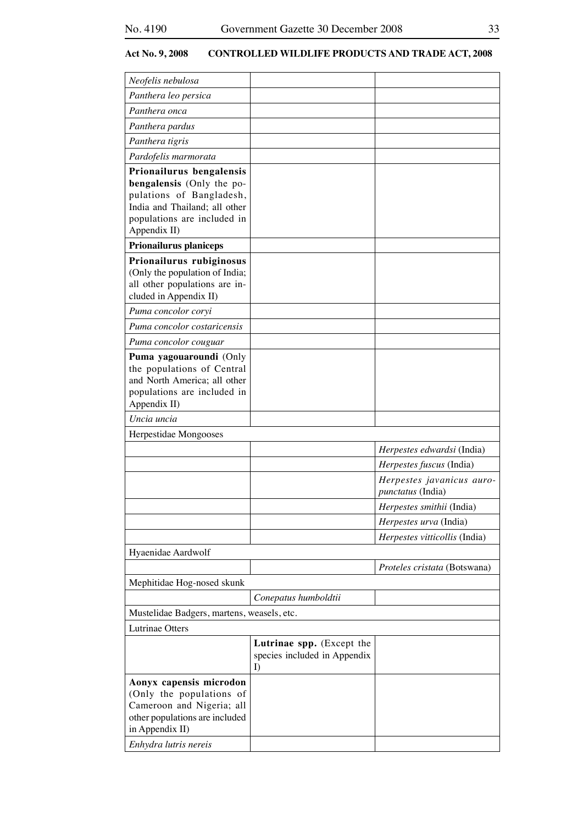| Neofelis nebulosa                                               |                                                           |                                                       |
|-----------------------------------------------------------------|-----------------------------------------------------------|-------------------------------------------------------|
| Panthera leo persica                                            |                                                           |                                                       |
| Panthera onca                                                   |                                                           |                                                       |
| Panthera pardus                                                 |                                                           |                                                       |
| Panthera tigris                                                 |                                                           |                                                       |
| Pardofelis marmorata                                            |                                                           |                                                       |
| Prionailurus bengalensis                                        |                                                           |                                                       |
| bengalensis (Only the po-                                       |                                                           |                                                       |
| pulations of Bangladesh,<br>India and Thailand; all other       |                                                           |                                                       |
| populations are included in                                     |                                                           |                                                       |
| Appendix II)                                                    |                                                           |                                                       |
| Prionailurus planiceps                                          |                                                           |                                                       |
| Prionailurus rubiginosus                                        |                                                           |                                                       |
| (Only the population of India;<br>all other populations are in- |                                                           |                                                       |
| cluded in Appendix II)                                          |                                                           |                                                       |
| Puma concolor coryi                                             |                                                           |                                                       |
| Puma concolor costaricensis                                     |                                                           |                                                       |
| Puma concolor couguar                                           |                                                           |                                                       |
| Puma yagouaroundi (Only                                         |                                                           |                                                       |
| the populations of Central                                      |                                                           |                                                       |
| and North America; all other                                    |                                                           |                                                       |
| populations are included in                                     |                                                           |                                                       |
| Appendix II)                                                    |                                                           |                                                       |
| Uncia uncia                                                     |                                                           |                                                       |
| Herpestidae Mongooses                                           |                                                           |                                                       |
|                                                                 |                                                           | Herpestes edwardsi (India)                            |
|                                                                 |                                                           | Herpestes fuscus (India)                              |
|                                                                 |                                                           | Herpestes javanicus auro-<br><i>punctatus</i> (India) |
|                                                                 |                                                           | Herpestes smithii (India)                             |
|                                                                 |                                                           | Herpestes urva (India)                                |
|                                                                 |                                                           | Herpestes vitticollis (India)                         |
| Hyaenidae Aardwolf                                              |                                                           |                                                       |
|                                                                 |                                                           | Proteles cristata (Botswana)                          |
| Mephitidae Hog-nosed skunk                                      |                                                           |                                                       |
|                                                                 | Conepatus humboldtii                                      |                                                       |
| Mustelidae Badgers, martens, weasels, etc.                      |                                                           |                                                       |
| Lutrinae Otters                                                 |                                                           |                                                       |
|                                                                 | Lutrinae spp. (Except the<br>species included in Appendix |                                                       |
|                                                                 | I)                                                        |                                                       |
| Aonyx capensis microdon                                         |                                                           |                                                       |
| (Only the populations of                                        |                                                           |                                                       |
| Cameroon and Nigeria; all                                       |                                                           |                                                       |
| other populations are included<br>in Appendix II)               |                                                           |                                                       |
|                                                                 |                                                           |                                                       |
| Enhydra lutris nereis                                           |                                                           |                                                       |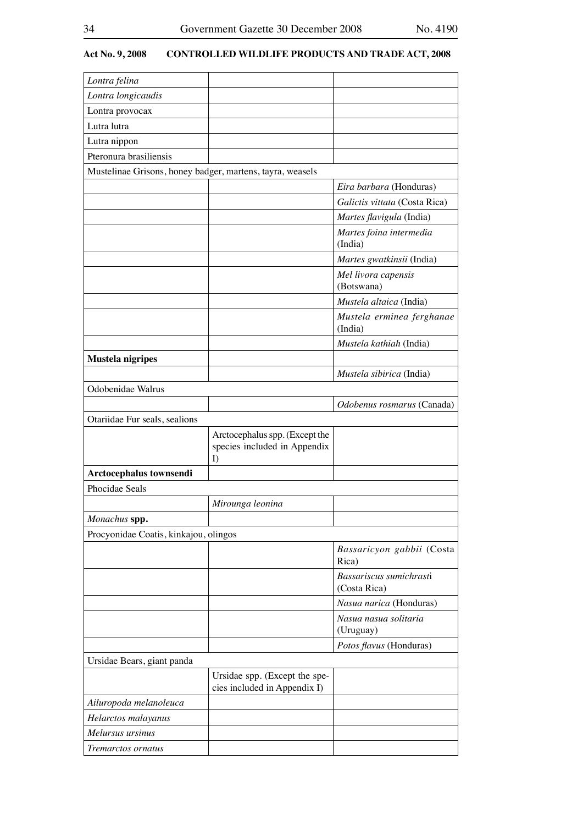| Lontra felina                                             |                                                                      |                                         |
|-----------------------------------------------------------|----------------------------------------------------------------------|-----------------------------------------|
| Lontra longicaudis                                        |                                                                      |                                         |
| Lontra provocax                                           |                                                                      |                                         |
| Lutra lutra                                               |                                                                      |                                         |
| Lutra nippon                                              |                                                                      |                                         |
| Pteronura brasiliensis                                    |                                                                      |                                         |
| Mustelinae Grisons, honey badger, martens, tayra, weasels |                                                                      |                                         |
|                                                           |                                                                      | Eira barbara (Honduras)                 |
|                                                           |                                                                      | Galictis vittata (Costa Rica)           |
|                                                           |                                                                      | Martes flavigula (India)                |
|                                                           |                                                                      | Martes foina intermedia<br>(India)      |
|                                                           |                                                                      | Martes gwatkinsii (India)               |
|                                                           |                                                                      | Mel livora capensis<br>(Botswana)       |
|                                                           |                                                                      | Mustela altaica (India)                 |
|                                                           |                                                                      | Mustela erminea ferghanae<br>(India)    |
|                                                           |                                                                      | Mustela kathiah (India)                 |
| <b>Mustela nigripes</b>                                   |                                                                      |                                         |
|                                                           |                                                                      | Mustela sibirica (India)                |
| Odobenidae Walrus                                         |                                                                      |                                         |
|                                                           |                                                                      | Odobenus rosmarus (Canada)              |
| Otariidae Fur seals, sealions                             |                                                                      |                                         |
|                                                           | Arctocephalus spp. (Except the<br>species included in Appendix<br>I) |                                         |
| Arctocephalus townsendi                                   |                                                                      |                                         |
| Phocidae Seals                                            |                                                                      |                                         |
|                                                           | Mirounga leonina                                                     |                                         |
| Monachus spp.                                             |                                                                      |                                         |
| Procyonidae Coatis, kinkajou, olingos                     |                                                                      |                                         |
|                                                           |                                                                      | Bassaricyon gabbii (Costa<br>Rica)      |
|                                                           |                                                                      | Bassariscus sumichrasti<br>(Costa Rica) |
|                                                           |                                                                      | Nasua narica (Honduras)                 |
|                                                           |                                                                      | Nasua nasua solitaria<br>(Uruguay)      |
|                                                           |                                                                      | Potos flavus (Honduras)                 |
| Ursidae Bears, giant panda                                |                                                                      |                                         |
|                                                           |                                                                      |                                         |
|                                                           | Ursidae spp. (Except the spe-<br>cies included in Appendix I)        |                                         |
| Ailuropoda melanoleuca                                    |                                                                      |                                         |
| Helarctos malayanus                                       |                                                                      |                                         |
| Melursus ursinus                                          |                                                                      |                                         |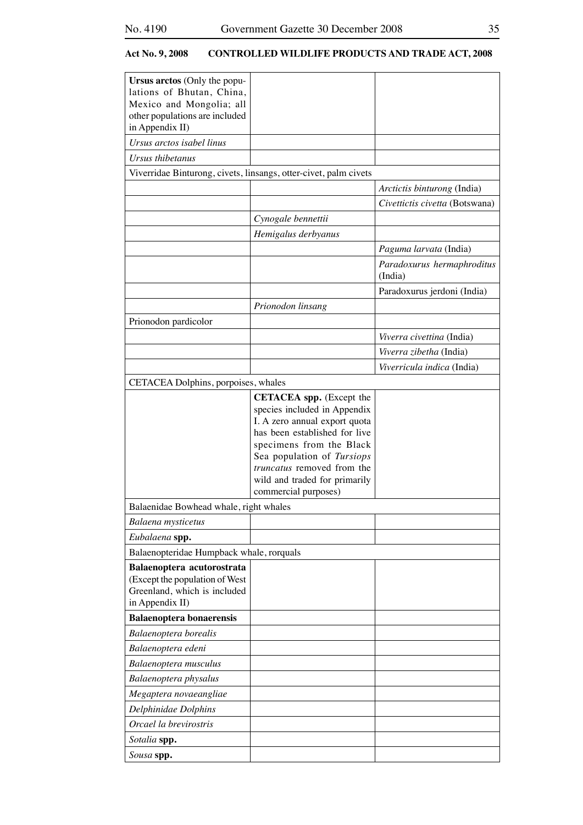| Ursus arctos (Only the popu-<br>lations of Bhutan, China,<br>Mexico and Mongolia; all<br>other populations are included<br>in Appendix II) |                                                                                                                            |                                       |
|--------------------------------------------------------------------------------------------------------------------------------------------|----------------------------------------------------------------------------------------------------------------------------|---------------------------------------|
| Ursus arctos isabel linus                                                                                                                  |                                                                                                                            |                                       |
| Ursus thibetanus                                                                                                                           |                                                                                                                            |                                       |
|                                                                                                                                            | Viverridae Binturong, civets, linsangs, otter-civet, palm civets                                                           |                                       |
|                                                                                                                                            |                                                                                                                            | Arctictis binturong (India)           |
|                                                                                                                                            |                                                                                                                            | Civettictis civetta (Botswana)        |
|                                                                                                                                            | Cynogale bennettii                                                                                                         |                                       |
|                                                                                                                                            | Hemigalus derbyanus                                                                                                        |                                       |
|                                                                                                                                            |                                                                                                                            | Paguma larvata (India)                |
|                                                                                                                                            |                                                                                                                            | Paradoxurus hermaphroditus<br>(India) |
|                                                                                                                                            |                                                                                                                            | Paradoxurus jerdoni (India)           |
|                                                                                                                                            | Prionodon linsang                                                                                                          |                                       |
| Prionodon pardicolor                                                                                                                       |                                                                                                                            |                                       |
|                                                                                                                                            |                                                                                                                            | Viverra civettina (India)             |
|                                                                                                                                            |                                                                                                                            | Viverra zibetha (India)               |
|                                                                                                                                            |                                                                                                                            | Viverricula indica (India)            |
| CETACEA Dolphins, porpoises, whales                                                                                                        |                                                                                                                            |                                       |
|                                                                                                                                            | <b>CETACEA</b> spp. (Except the                                                                                            |                                       |
|                                                                                                                                            | species included in Appendix<br>I. A zero annual export quota<br>has been established for live<br>specimens from the Black |                                       |
|                                                                                                                                            | Sea population of Tursiops<br>truncatus removed from the<br>wild and traded for primarily<br>commercial purposes)          |                                       |
| Balaenidae Bowhead whale, right whales                                                                                                     |                                                                                                                            |                                       |
| Balaena mysticetus                                                                                                                         |                                                                                                                            |                                       |
| Eubalaena spp.                                                                                                                             |                                                                                                                            |                                       |
| Balaenopteridae Humpback whale, rorquals                                                                                                   |                                                                                                                            |                                       |
| Balaenoptera acutorostrata<br>(Except the population of West<br>Greenland, which is included<br>in Appendix II)                            |                                                                                                                            |                                       |
| <b>Balaenoptera bonaerensis</b>                                                                                                            |                                                                                                                            |                                       |
| Balaenoptera borealis                                                                                                                      |                                                                                                                            |                                       |
| Balaenoptera edeni                                                                                                                         |                                                                                                                            |                                       |
| Balaenoptera musculus                                                                                                                      |                                                                                                                            |                                       |
| Balaenoptera physalus                                                                                                                      |                                                                                                                            |                                       |
| Megaptera novaeangliae                                                                                                                     |                                                                                                                            |                                       |
| Delphinidae Dolphins                                                                                                                       |                                                                                                                            |                                       |
| Orcael la brevirostris                                                                                                                     |                                                                                                                            |                                       |
| Sotalia spp.                                                                                                                               |                                                                                                                            |                                       |
| Sousa spp.                                                                                                                                 |                                                                                                                            |                                       |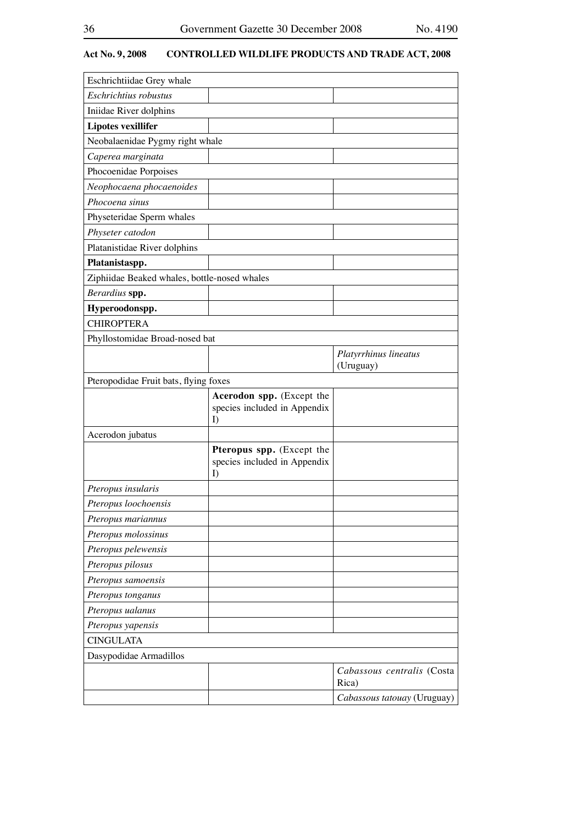| Eschrichtiidae Grey whale                    |                                                                         |                                     |
|----------------------------------------------|-------------------------------------------------------------------------|-------------------------------------|
| Eschrichtius robustus                        |                                                                         |                                     |
| Iniidae River dolphins                       |                                                                         |                                     |
| <b>Lipotes vexillifer</b>                    |                                                                         |                                     |
| Neobalaenidae Pygmy right whale              |                                                                         |                                     |
| Caperea marginata                            |                                                                         |                                     |
| Phocoenidae Porpoises                        |                                                                         |                                     |
| Neophocaena phocaenoides                     |                                                                         |                                     |
| Phocoena sinus                               |                                                                         |                                     |
| Physeteridae Sperm whales                    |                                                                         |                                     |
| Physeter catodon                             |                                                                         |                                     |
| Platanistidae River dolphins                 |                                                                         |                                     |
| Platanistaspp.                               |                                                                         |                                     |
| Ziphiidae Beaked whales, bottle-nosed whales |                                                                         |                                     |
| Berardius spp.                               |                                                                         |                                     |
| Hyperoodonspp.                               |                                                                         |                                     |
| <b>CHIROPTERA</b>                            |                                                                         |                                     |
| Phyllostomidae Broad-nosed bat               |                                                                         |                                     |
|                                              |                                                                         | Platyrrhinus lineatus               |
|                                              |                                                                         | (Uruguay)                           |
| Pteropodidae Fruit bats, flying foxes        |                                                                         |                                     |
|                                              |                                                                         |                                     |
|                                              | Acerodon spp. (Except the<br>species included in Appendix               |                                     |
|                                              | $_{\rm D}$                                                              |                                     |
| Acerodon jubatus                             |                                                                         |                                     |
|                                              | Pteropus spp. (Except the<br>species included in Appendix<br>$_{\rm D}$ |                                     |
| Pteropus insularis                           |                                                                         |                                     |
| Pteropus loochoensis                         |                                                                         |                                     |
| Pteropus mariannus                           |                                                                         |                                     |
| Pteropus molossinus                          |                                                                         |                                     |
| Pteropus pelewensis                          |                                                                         |                                     |
| Pteropus pilosus                             |                                                                         |                                     |
| Pteropus samoensis                           |                                                                         |                                     |
| Pteropus tonganus                            |                                                                         |                                     |
| Pteropus ualanus                             |                                                                         |                                     |
| Pteropus yapensis                            |                                                                         |                                     |
| <b>CINGULATA</b>                             |                                                                         |                                     |
| Dasypodidae Armadillos                       |                                                                         |                                     |
|                                              |                                                                         | Cabassous centralis (Costa<br>Rica) |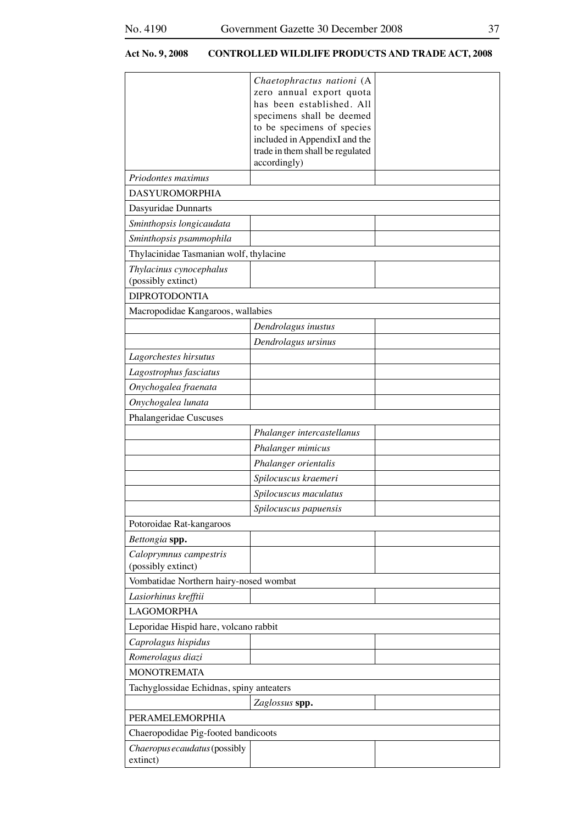|                                              | Chaetophractus nationi (A<br>zero annual export quota<br>has been established. All<br>specimens shall be deemed<br>to be specimens of species<br>included in AppendixI and the<br>trade in them shall be regulated<br>accordingly) |  |
|----------------------------------------------|------------------------------------------------------------------------------------------------------------------------------------------------------------------------------------------------------------------------------------|--|
| Priodontes maximus                           |                                                                                                                                                                                                                                    |  |
| <b>DASYUROMORPHIA</b>                        |                                                                                                                                                                                                                                    |  |
| Dasyuridae Dunnarts                          |                                                                                                                                                                                                                                    |  |
| Sminthopsis longicaudata                     |                                                                                                                                                                                                                                    |  |
| Sminthopsis psammophila                      |                                                                                                                                                                                                                                    |  |
| Thylacinidae Tasmanian wolf, thylacine       |                                                                                                                                                                                                                                    |  |
| Thylacinus cynocephalus                      |                                                                                                                                                                                                                                    |  |
| (possibly extinct)                           |                                                                                                                                                                                                                                    |  |
| <b>DIPROTODONTIA</b>                         |                                                                                                                                                                                                                                    |  |
| Macropodidae Kangaroos, wallabies            |                                                                                                                                                                                                                                    |  |
|                                              | Dendrolagus inustus                                                                                                                                                                                                                |  |
|                                              | Dendrolagus ursinus                                                                                                                                                                                                                |  |
| Lagorchestes hirsutus                        |                                                                                                                                                                                                                                    |  |
| Lagostrophus fasciatus                       |                                                                                                                                                                                                                                    |  |
| Onychogalea fraenata                         |                                                                                                                                                                                                                                    |  |
| Onychogalea lunata                           |                                                                                                                                                                                                                                    |  |
| Phalangeridae Cuscuses                       |                                                                                                                                                                                                                                    |  |
|                                              | Phalanger intercastellanus                                                                                                                                                                                                         |  |
|                                              | Phalanger mimicus                                                                                                                                                                                                                  |  |
|                                              | Phalanger orientalis                                                                                                                                                                                                               |  |
|                                              | Spilocuscus kraemeri                                                                                                                                                                                                               |  |
|                                              | Spilocuscus maculatus                                                                                                                                                                                                              |  |
|                                              | Spilocuscus papuensis                                                                                                                                                                                                              |  |
| Potoroidae Rat-kangaroos                     |                                                                                                                                                                                                                                    |  |
| Bettongia spp.                               |                                                                                                                                                                                                                                    |  |
| Caloprymnus campestris<br>(possibly extinct) |                                                                                                                                                                                                                                    |  |
| Vombatidae Northern hairy-nosed wombat       |                                                                                                                                                                                                                                    |  |
| Lasiorhinus krefftii                         |                                                                                                                                                                                                                                    |  |
| <b>LAGOMORPHA</b>                            |                                                                                                                                                                                                                                    |  |
| Leporidae Hispid hare, volcano rabbit        |                                                                                                                                                                                                                                    |  |
| Caprolagus hispidus                          |                                                                                                                                                                                                                                    |  |
| Romerolagus diazi                            |                                                                                                                                                                                                                                    |  |
| <b>MONOTREMATA</b>                           |                                                                                                                                                                                                                                    |  |
| Tachyglossidae Echidnas, spiny anteaters     |                                                                                                                                                                                                                                    |  |
|                                              | Zaglossus spp.                                                                                                                                                                                                                     |  |
| PERAMELEMORPHIA                              |                                                                                                                                                                                                                                    |  |
| Chaeropodidae Pig-footed bandicoots          |                                                                                                                                                                                                                                    |  |
| Chaeropus ecaudatus (possibly<br>extinct)    |                                                                                                                                                                                                                                    |  |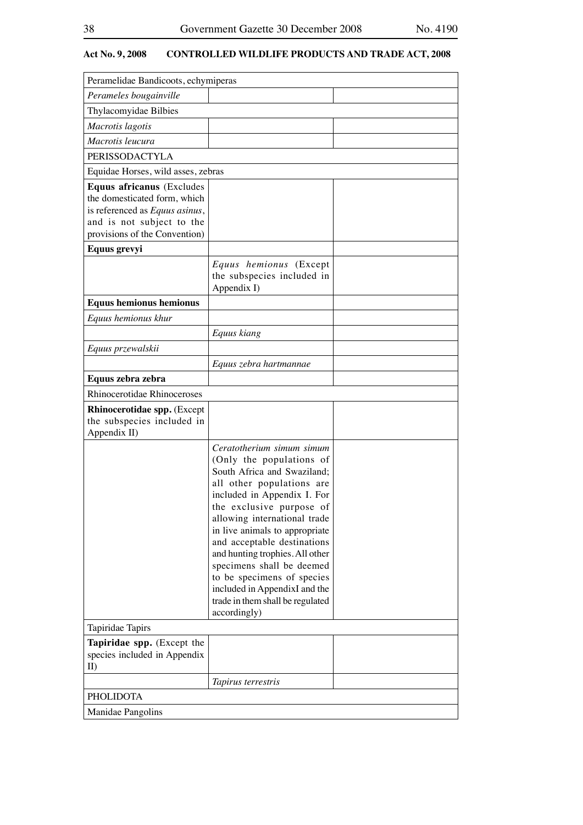| Peramelidae Bandicoots, echymiperas                                                                                                                       |                                                                                                                                                                                                                                                                                                                                                                                                                                                                  |  |
|-----------------------------------------------------------------------------------------------------------------------------------------------------------|------------------------------------------------------------------------------------------------------------------------------------------------------------------------------------------------------------------------------------------------------------------------------------------------------------------------------------------------------------------------------------------------------------------------------------------------------------------|--|
| Perameles bougainville                                                                                                                                    |                                                                                                                                                                                                                                                                                                                                                                                                                                                                  |  |
| Thylacomyidae Bilbies                                                                                                                                     |                                                                                                                                                                                                                                                                                                                                                                                                                                                                  |  |
| Macrotis lagotis                                                                                                                                          |                                                                                                                                                                                                                                                                                                                                                                                                                                                                  |  |
| Macrotis leucura                                                                                                                                          |                                                                                                                                                                                                                                                                                                                                                                                                                                                                  |  |
| <b>PERISSODACTYLA</b>                                                                                                                                     |                                                                                                                                                                                                                                                                                                                                                                                                                                                                  |  |
| Equidae Horses, wild asses, zebras                                                                                                                        |                                                                                                                                                                                                                                                                                                                                                                                                                                                                  |  |
| Equus africanus (Excludes<br>the domesticated form, which<br>is referenced as Equus asinus,<br>and is not subject to the<br>provisions of the Convention) |                                                                                                                                                                                                                                                                                                                                                                                                                                                                  |  |
| Equus grevyi                                                                                                                                              |                                                                                                                                                                                                                                                                                                                                                                                                                                                                  |  |
|                                                                                                                                                           | Equus hemionus (Except<br>the subspecies included in<br>Appendix I)                                                                                                                                                                                                                                                                                                                                                                                              |  |
| <b>Equus hemionus hemionus</b>                                                                                                                            |                                                                                                                                                                                                                                                                                                                                                                                                                                                                  |  |
| Equus hemionus khur                                                                                                                                       |                                                                                                                                                                                                                                                                                                                                                                                                                                                                  |  |
|                                                                                                                                                           | Equus kiang                                                                                                                                                                                                                                                                                                                                                                                                                                                      |  |
| Equus przewalskii                                                                                                                                         |                                                                                                                                                                                                                                                                                                                                                                                                                                                                  |  |
|                                                                                                                                                           | Equus zebra hartmannae                                                                                                                                                                                                                                                                                                                                                                                                                                           |  |
| Equus zebra zebra                                                                                                                                         |                                                                                                                                                                                                                                                                                                                                                                                                                                                                  |  |
| Rhinocerotidae Rhinoceroses                                                                                                                               |                                                                                                                                                                                                                                                                                                                                                                                                                                                                  |  |
| Rhinocerotidae spp. (Except<br>the subspecies included in<br>Appendix II)                                                                                 |                                                                                                                                                                                                                                                                                                                                                                                                                                                                  |  |
| Tapiridae Tapirs                                                                                                                                          | Ceratotherium simum simum<br>(Only the populations of<br>South Africa and Swaziland;<br>all other populations are<br>included in Appendix I. For<br>the exclusive purpose of<br>allowing international trade<br>in live animals to appropriate<br>and acceptable destinations<br>and hunting trophies. All other<br>specimens shall be deemed<br>to be specimens of species<br>included in AppendixI and the<br>trade in them shall be regulated<br>accordingly) |  |
| Tapiridae spp. (Except the                                                                                                                                |                                                                                                                                                                                                                                                                                                                                                                                                                                                                  |  |
| species included in Appendix<br>II)                                                                                                                       |                                                                                                                                                                                                                                                                                                                                                                                                                                                                  |  |
|                                                                                                                                                           | Tapirus terrestris                                                                                                                                                                                                                                                                                                                                                                                                                                               |  |
| <b>PHOLIDOTA</b>                                                                                                                                          |                                                                                                                                                                                                                                                                                                                                                                                                                                                                  |  |
| Manidae Pangolins                                                                                                                                         |                                                                                                                                                                                                                                                                                                                                                                                                                                                                  |  |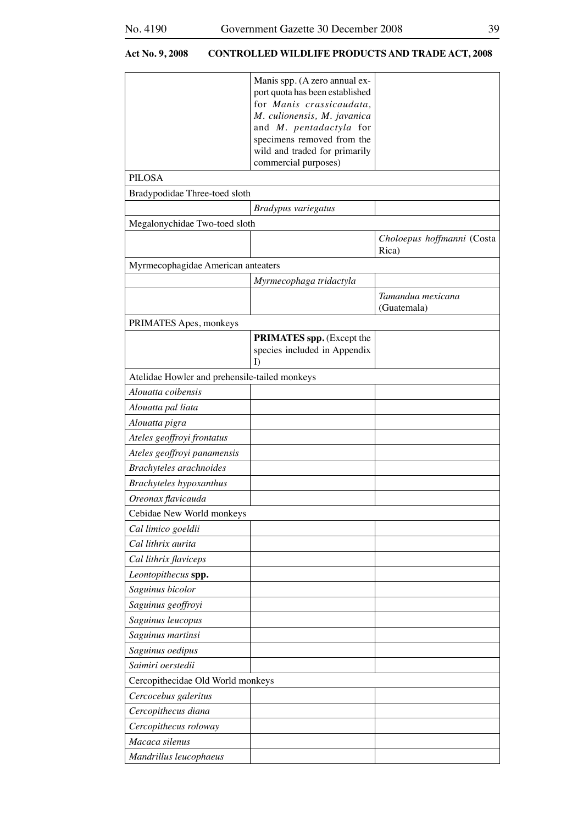|                                               | Manis spp. (A zero annual ex-<br>port quota has been established<br>for Manis crassicaudata,<br>M. culionensis, M. javanica<br>and M. pentadactyla for<br>specimens removed from the<br>wild and traded for primarily<br>commercial purposes) |                                     |
|-----------------------------------------------|-----------------------------------------------------------------------------------------------------------------------------------------------------------------------------------------------------------------------------------------------|-------------------------------------|
| <b>PILOSA</b>                                 |                                                                                                                                                                                                                                               |                                     |
| Bradypodidae Three-toed sloth                 |                                                                                                                                                                                                                                               |                                     |
|                                               | Bradypus variegatus                                                                                                                                                                                                                           |                                     |
| Megalonychidae Two-toed sloth                 |                                                                                                                                                                                                                                               |                                     |
|                                               |                                                                                                                                                                                                                                               | Choloepus hoffmanni (Costa<br>Rica) |
| Myrmecophagidae American anteaters            |                                                                                                                                                                                                                                               |                                     |
|                                               | Myrmecophaga tridactyla                                                                                                                                                                                                                       |                                     |
|                                               |                                                                                                                                                                                                                                               | Tamandua mexicana<br>(Guatemala)    |
| PRIMATES Apes, monkeys                        |                                                                                                                                                                                                                                               |                                     |
|                                               | <b>PRIMATES spp.</b> (Except the<br>species included in Appendix<br>I)                                                                                                                                                                        |                                     |
| Atelidae Howler and prehensile-tailed monkeys |                                                                                                                                                                                                                                               |                                     |
| Alouatta coibensis                            |                                                                                                                                                                                                                                               |                                     |
| Alouatta pal liata                            |                                                                                                                                                                                                                                               |                                     |
| Alouatta pigra                                |                                                                                                                                                                                                                                               |                                     |
| Ateles geoffroyi frontatus                    |                                                                                                                                                                                                                                               |                                     |
| Ateles geoffroyi panamensis                   |                                                                                                                                                                                                                                               |                                     |
| Brachyteles arachnoides                       |                                                                                                                                                                                                                                               |                                     |
| Brachyteles hypoxanthus                       |                                                                                                                                                                                                                                               |                                     |
| Oreonax flavicauda                            |                                                                                                                                                                                                                                               |                                     |
| Cebidae New World monkeys                     |                                                                                                                                                                                                                                               |                                     |
| Cal limico goeldii                            |                                                                                                                                                                                                                                               |                                     |
| Cal lithrix aurita                            |                                                                                                                                                                                                                                               |                                     |
| Cal lithrix flaviceps                         |                                                                                                                                                                                                                                               |                                     |
| Leontopithecus spp.                           |                                                                                                                                                                                                                                               |                                     |
| Saguinus bicolor                              |                                                                                                                                                                                                                                               |                                     |
| Saguinus geoffroyi                            |                                                                                                                                                                                                                                               |                                     |
| Saguinus leucopus                             |                                                                                                                                                                                                                                               |                                     |
| Saguinus martinsi                             |                                                                                                                                                                                                                                               |                                     |
| Saguinus oedipus                              |                                                                                                                                                                                                                                               |                                     |
| Saimiri oerstedii                             |                                                                                                                                                                                                                                               |                                     |
| Cercopithecidae Old World monkeys             |                                                                                                                                                                                                                                               |                                     |
| Cercocebus galeritus                          |                                                                                                                                                                                                                                               |                                     |
| Cercopithecus diana                           |                                                                                                                                                                                                                                               |                                     |
| Cercopithecus roloway                         |                                                                                                                                                                                                                                               |                                     |
| Macaca silenus                                |                                                                                                                                                                                                                                               |                                     |
| Mandrillus leucophaeus                        |                                                                                                                                                                                                                                               |                                     |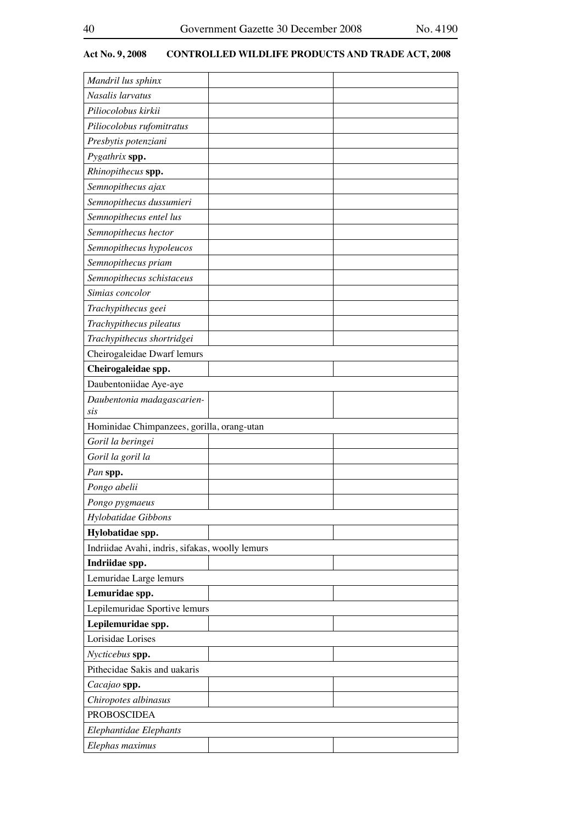| Mandril lus sphinx                              |  |
|-------------------------------------------------|--|
| Nasalis larvatus                                |  |
| Piliocolobus kirkii                             |  |
| Piliocolobus rufomitratus                       |  |
| Presbytis potenziani                            |  |
| Pygathrix spp.                                  |  |
| Rhinopithecus spp.                              |  |
| Semnopithecus ajax                              |  |
| Semnopithecus dussumieri                        |  |
| Semnopithecus entel lus                         |  |
| Semnopithecus hector                            |  |
| Semnopithecus hypoleucos                        |  |
| Semnopithecus priam                             |  |
| Semnopithecus schistaceus                       |  |
| Simias concolor                                 |  |
| Trachypithecus geei                             |  |
| Trachypithecus pileatus                         |  |
| Trachypithecus shortridgei                      |  |
| Cheirogaleidae Dwarf lemurs                     |  |
| Cheirogaleidae spp.                             |  |
| Daubentoniidae Aye-aye                          |  |
| Daubentonia madagascarien-                      |  |
| sis                                             |  |
| Hominidae Chimpanzees, gorilla, orang-utan      |  |
| Goril la beringei                               |  |
| Goril la goril la                               |  |
| Pan spp.                                        |  |
| Pongo abelii                                    |  |
| Pongo pygmaeus                                  |  |
| Hylobatidae Gibbons                             |  |
| Hylobatidae spp.                                |  |
| Indriidae Avahi, indris, sifakas, woolly lemurs |  |
| Indriidae spp.                                  |  |
| Lemuridae Large lemurs                          |  |
| Lemuridae spp.                                  |  |
| Lepilemuridae Sportive lemurs                   |  |
| Lepilemuridae spp.                              |  |
| Lorisidae Lorises                               |  |
| Nycticebus spp.                                 |  |
| Pithecidae Sakis and uakaris                    |  |
| Cacajao spp.                                    |  |
| Chiropotes albinasus                            |  |
| <b>PROBOSCIDEA</b>                              |  |
| Elephantidae Elephants                          |  |
| Elephas maximus                                 |  |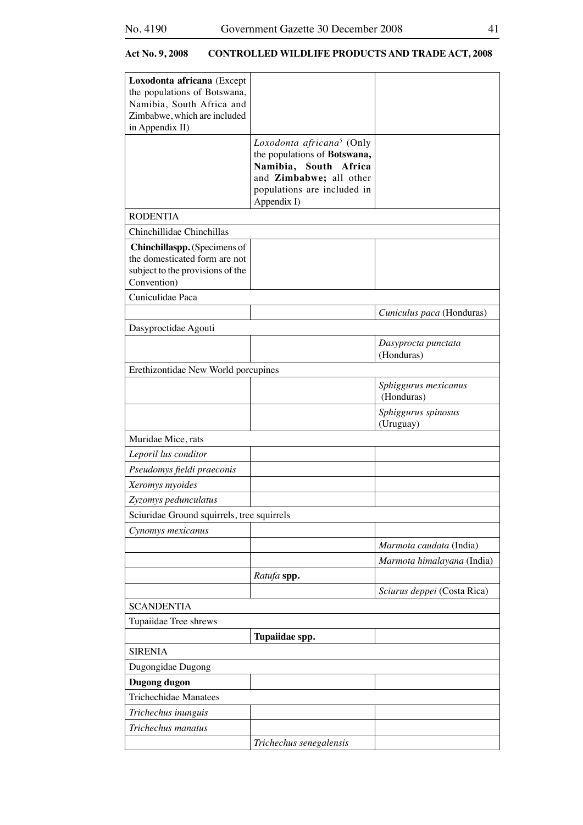| Loxodonta africana (Except<br>the populations of Botswana,<br>Namibia, South Africa and<br>Zimbabwe, which are included |                                                                       |                                    |
|-------------------------------------------------------------------------------------------------------------------------|-----------------------------------------------------------------------|------------------------------------|
| in Appendix II)                                                                                                         |                                                                       |                                    |
|                                                                                                                         | Loxodonta africana <sup>5</sup> (Only<br>the populations of Botswana, |                                    |
|                                                                                                                         | Namibia, South<br>Africa                                              |                                    |
|                                                                                                                         | and Zimbabwe; all other                                               |                                    |
|                                                                                                                         | populations are included in<br>Appendix I)                            |                                    |
| <b>RODENTIA</b>                                                                                                         |                                                                       |                                    |
| Chinchillidae Chinchillas                                                                                               |                                                                       |                                    |
| <b>Chinchillaspp.</b> (Specimens of<br>the domesticated form are not<br>subject to the provisions of the<br>Convention) |                                                                       |                                    |
| Cuniculidae Paca                                                                                                        |                                                                       |                                    |
|                                                                                                                         |                                                                       | Cuniculus paca (Honduras)          |
| Dasyproctidae Agouti                                                                                                    |                                                                       |                                    |
|                                                                                                                         |                                                                       | Dasyprocta punctata                |
|                                                                                                                         |                                                                       | (Honduras)                         |
| Erethizontidae New World porcupines                                                                                     |                                                                       |                                    |
|                                                                                                                         |                                                                       | Sphiggurus mexicanus<br>(Honduras) |
|                                                                                                                         |                                                                       | Sphiggurus spinosus<br>(Uruguay)   |
| Muridae Mice, rats                                                                                                      |                                                                       |                                    |
| Leporil lus conditor                                                                                                    |                                                                       |                                    |
| Pseudomys fieldi praeconis                                                                                              |                                                                       |                                    |
| Xeromys myoides                                                                                                         |                                                                       |                                    |
| Zyzomys pedunculatus                                                                                                    |                                                                       |                                    |
| Sciuridae Ground squirrels, tree squirrels                                                                              |                                                                       |                                    |
| Cynomys mexicanus                                                                                                       |                                                                       |                                    |
|                                                                                                                         |                                                                       | Marmota caudata (India)            |
|                                                                                                                         |                                                                       | Marmota himalayana (India)         |
|                                                                                                                         | Ratufa spp.                                                           |                                    |
|                                                                                                                         |                                                                       | Sciurus deppei (Costa Rica)        |
| <b>SCANDENTIA</b>                                                                                                       |                                                                       |                                    |
| Tupaiidae Tree shrews                                                                                                   |                                                                       |                                    |
|                                                                                                                         | Tupaiidae spp.                                                        |                                    |
| <b>SIRENIA</b>                                                                                                          |                                                                       |                                    |
| Dugongidae Dugong                                                                                                       |                                                                       |                                    |
| Dugong dugon                                                                                                            |                                                                       |                                    |
| <b>Trichechidae Manatees</b>                                                                                            |                                                                       |                                    |
| Trichechus inunguis                                                                                                     |                                                                       |                                    |
| Trichechus manatus                                                                                                      |                                                                       |                                    |
|                                                                                                                         | Trichechus senegalensis                                               |                                    |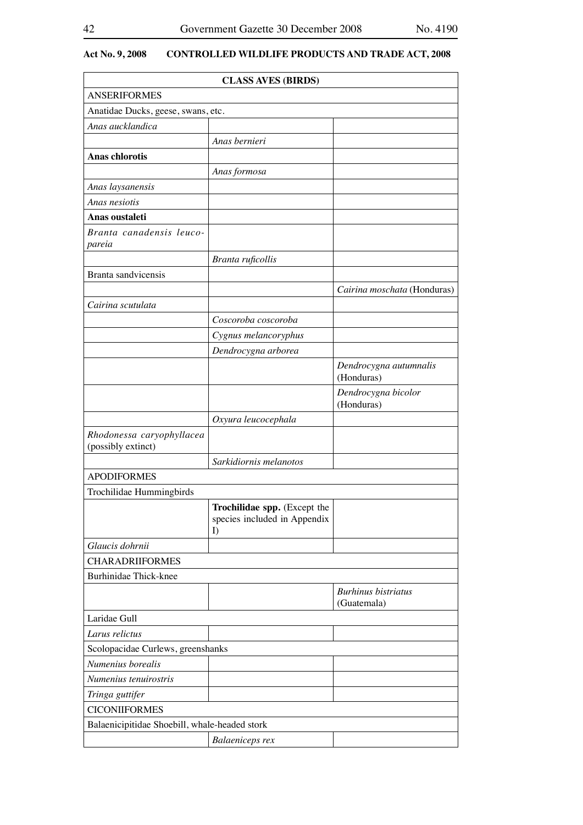| <b>CLASS AVES (BIRDS)</b>                       |                                                                    |                                           |  |
|-------------------------------------------------|--------------------------------------------------------------------|-------------------------------------------|--|
| <b>ANSERIFORMES</b>                             |                                                                    |                                           |  |
| Anatidae Ducks, geese, swans, etc.              |                                                                    |                                           |  |
| Anas aucklandica                                |                                                                    |                                           |  |
|                                                 | Anas bernieri                                                      |                                           |  |
| <b>Anas chlorotis</b>                           |                                                                    |                                           |  |
|                                                 | Anas formosa                                                       |                                           |  |
| Anas laysanensis                                |                                                                    |                                           |  |
| Anas nesiotis                                   |                                                                    |                                           |  |
| Anas oustaleti                                  |                                                                    |                                           |  |
| Branta canadensis leuco-<br>pareia              |                                                                    |                                           |  |
|                                                 | Branta ruficollis                                                  |                                           |  |
| Branta sandvicensis                             |                                                                    |                                           |  |
|                                                 |                                                                    | Cairina moschata (Honduras)               |  |
| Cairina scutulata                               |                                                                    |                                           |  |
|                                                 | Coscoroba coscoroba                                                |                                           |  |
|                                                 | Cygnus melancoryphus                                               |                                           |  |
|                                                 | Dendrocygna arborea                                                |                                           |  |
|                                                 |                                                                    | Dendrocygna autumnalis<br>(Honduras)      |  |
|                                                 |                                                                    | Dendrocygna bicolor<br>(Honduras)         |  |
|                                                 | Oxyura leucocephala                                                |                                           |  |
| Rhodonessa caryophyllacea<br>(possibly extinct) |                                                                    |                                           |  |
|                                                 | Sarkidiornis melanotos                                             |                                           |  |
| <b>APODIFORMES</b>                              |                                                                    |                                           |  |
| Trochilidae Hummingbirds                        |                                                                    |                                           |  |
|                                                 | Trochilidae spp. (Except the<br>species included in Appendix<br>I) |                                           |  |
| Glaucis dohrnii                                 |                                                                    |                                           |  |
| <b>CHARADRIIFORMES</b>                          |                                                                    |                                           |  |
| <b>Burhinidae Thick-knee</b>                    |                                                                    |                                           |  |
|                                                 |                                                                    | <b>Burhinus bistriatus</b><br>(Guatemala) |  |
| Laridae Gull                                    |                                                                    |                                           |  |
| Larus relictus                                  |                                                                    |                                           |  |
| Scolopacidae Curlews, greenshanks               |                                                                    |                                           |  |
| Numenius borealis                               |                                                                    |                                           |  |
| Numenius tenuirostris                           |                                                                    |                                           |  |
| Tringa guttifer                                 |                                                                    |                                           |  |
| <b>CICONIIFORMES</b>                            |                                                                    |                                           |  |
| Balaenicipitidae Shoebill, whale-headed stork   |                                                                    |                                           |  |
|                                                 | <b>Balaeniceps rex</b>                                             |                                           |  |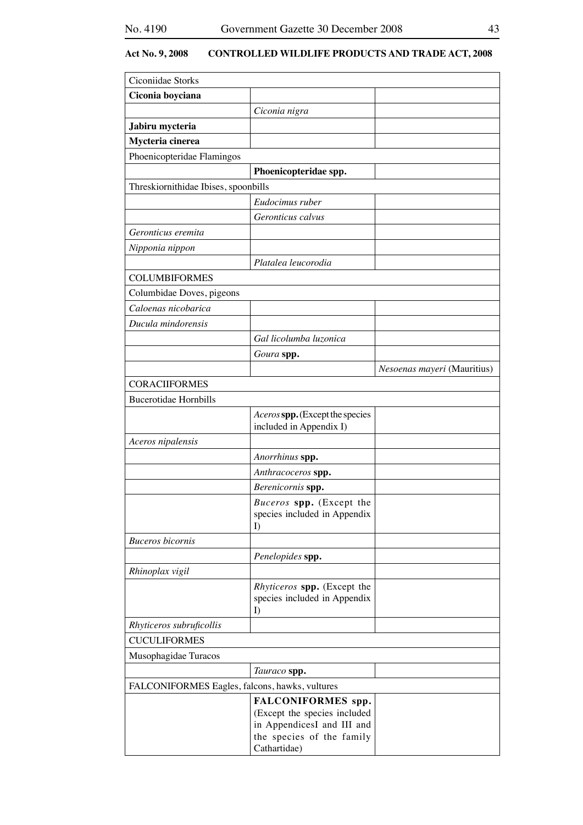| Ciconiidae Storks                              |                                                                                                                               |                             |
|------------------------------------------------|-------------------------------------------------------------------------------------------------------------------------------|-----------------------------|
| Ciconia boyciana                               |                                                                                                                               |                             |
|                                                | Ciconia nigra                                                                                                                 |                             |
| Jabiru mycteria                                |                                                                                                                               |                             |
| Mycteria cinerea                               |                                                                                                                               |                             |
| Phoenicopteridae Flamingos                     |                                                                                                                               |                             |
|                                                | Phoenicopteridae spp.                                                                                                         |                             |
| Threskiornithidae Ibises, spoonbills           |                                                                                                                               |                             |
|                                                | Eudocimus ruber                                                                                                               |                             |
|                                                | Geronticus calvus                                                                                                             |                             |
| Geronticus eremita                             |                                                                                                                               |                             |
| Nipponia nippon                                |                                                                                                                               |                             |
|                                                | Platalea leucorodia                                                                                                           |                             |
| <b>COLUMBIFORMES</b>                           |                                                                                                                               |                             |
| Columbidae Doves, pigeons                      |                                                                                                                               |                             |
| Caloenas nicobarica                            |                                                                                                                               |                             |
| Ducula mindorensis                             |                                                                                                                               |                             |
|                                                | Gal licolumba luzonica                                                                                                        |                             |
|                                                | Goura spp.                                                                                                                    |                             |
|                                                |                                                                                                                               | Nesoenas mayeri (Mauritius) |
| <b>CORACIIFORMES</b>                           |                                                                                                                               |                             |
| <b>Bucerotidae Hornbills</b>                   |                                                                                                                               |                             |
|                                                | Aceros spp. (Except the species<br>included in Appendix I)                                                                    |                             |
| Aceros nipalensis                              |                                                                                                                               |                             |
|                                                | Anorrhinus spp.                                                                                                               |                             |
|                                                | Anthracoceros spp.                                                                                                            |                             |
|                                                | Berenicornis spp.                                                                                                             |                             |
|                                                | Buceros spp. (Except the<br>species included in Appendix<br>I)                                                                |                             |
| <b>Buceros</b> bicornis                        |                                                                                                                               |                             |
|                                                | Penelopides spp.                                                                                                              |                             |
| Rhinoplax vigil                                |                                                                                                                               |                             |
|                                                | Rhyticeros spp. (Except the<br>species included in Appendix<br>I)                                                             |                             |
| Rhyticeros subruficollis                       |                                                                                                                               |                             |
| <b>CUCULIFORMES</b>                            |                                                                                                                               |                             |
| Musophagidae Turacos                           |                                                                                                                               |                             |
|                                                | Tauraco spp.                                                                                                                  |                             |
| FALCONIFORMES Eagles, falcons, hawks, vultures |                                                                                                                               |                             |
|                                                | FALCONIFORMES spp.<br>(Except the species included<br>in AppendicesI and III and<br>the species of the family<br>Cathartidae) |                             |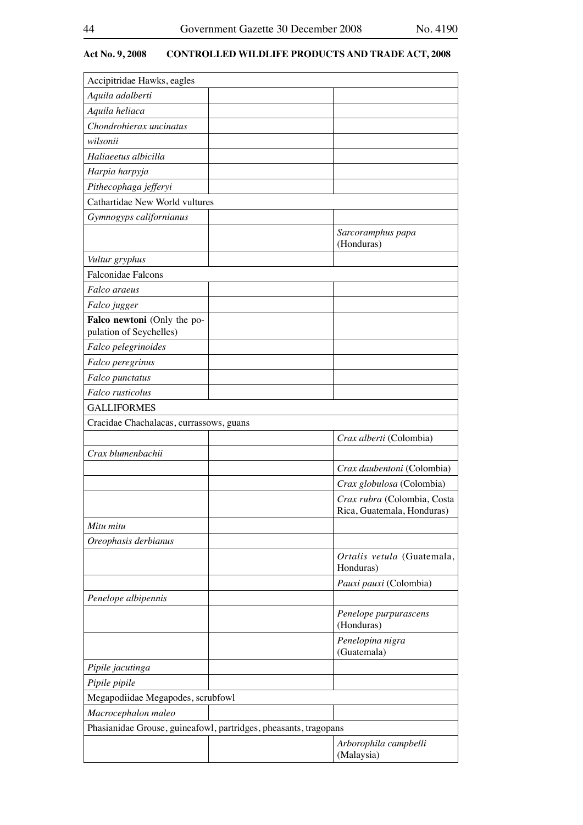| Accipitridae Hawks, eagles                             |                                                                  |                                                           |
|--------------------------------------------------------|------------------------------------------------------------------|-----------------------------------------------------------|
| Aquila adalberti                                       |                                                                  |                                                           |
| Aquila heliaca                                         |                                                                  |                                                           |
| Chondrohierax uncinatus                                |                                                                  |                                                           |
| wilsonii                                               |                                                                  |                                                           |
| Haliaeetus albicilla                                   |                                                                  |                                                           |
| Harpia harpyja                                         |                                                                  |                                                           |
| Pithecophaga jefferyi                                  |                                                                  |                                                           |
| Cathartidae New World vultures                         |                                                                  |                                                           |
| Gymnogyps californianus                                |                                                                  |                                                           |
|                                                        |                                                                  | Sarcoramphus papa<br>(Honduras)                           |
| Vultur gryphus                                         |                                                                  |                                                           |
| Falconidae Falcons                                     |                                                                  |                                                           |
| Falco araeus                                           |                                                                  |                                                           |
| Falco jugger                                           |                                                                  |                                                           |
| Falco newtoni (Only the po-<br>pulation of Seychelles) |                                                                  |                                                           |
| Falco pelegrinoides                                    |                                                                  |                                                           |
| Falco peregrinus                                       |                                                                  |                                                           |
| Falco punctatus                                        |                                                                  |                                                           |
| Falco rusticolus                                       |                                                                  |                                                           |
| <b>GALLIFORMES</b>                                     |                                                                  |                                                           |
| Cracidae Chachalacas, currassows, guans                |                                                                  |                                                           |
|                                                        |                                                                  | Crax alberti (Colombia)                                   |
| Crax blumenbachii                                      |                                                                  |                                                           |
|                                                        |                                                                  | Crax daubentoni (Colombia)                                |
|                                                        |                                                                  | Crax globulosa (Colombia)                                 |
|                                                        |                                                                  | Crax rubra (Colombia, Costa<br>Rica, Guatemala, Honduras) |
| Mitu mitu                                              |                                                                  |                                                           |
| Oreophasis derbianus                                   |                                                                  |                                                           |
|                                                        |                                                                  | Ortalis vetula (Guatemala,<br>Honduras)                   |
|                                                        |                                                                  | Pauxi pauxi (Colombia)                                    |
| Penelope albipennis                                    |                                                                  |                                                           |
|                                                        |                                                                  | Penelope purpurascens<br>(Honduras)                       |
|                                                        |                                                                  | Penelopina nigra                                          |
|                                                        |                                                                  | (Guatemala)                                               |
| Pipile jacutinga                                       |                                                                  |                                                           |
| Pipile pipile                                          |                                                                  |                                                           |
| Megapodiidae Megapodes, scrubfowl                      |                                                                  |                                                           |
| Macrocephalon maleo                                    |                                                                  |                                                           |
|                                                        | Phasianidae Grouse, guineafowl, partridges, pheasants, tragopans |                                                           |
|                                                        |                                                                  | Arborophila campbelli<br>(Malaysia)                       |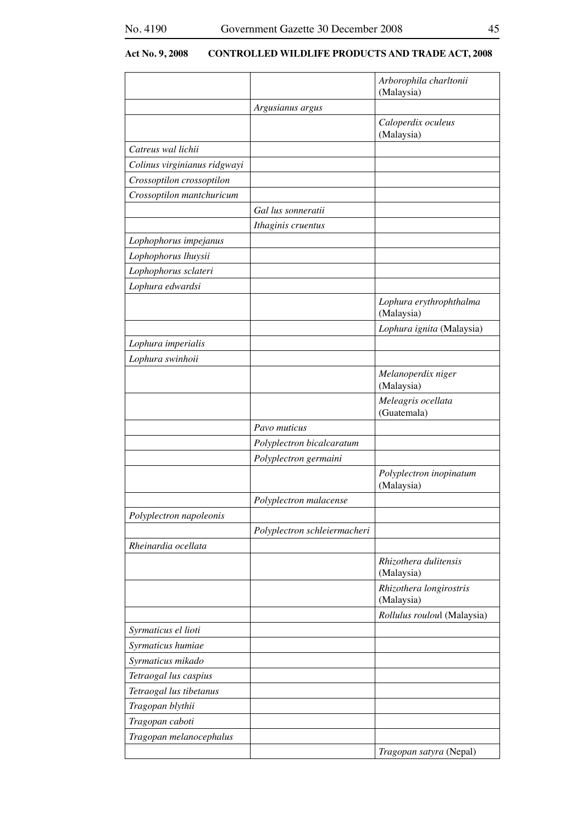|                              |                              | Arborophila charltonii<br>(Malaysia)  |
|------------------------------|------------------------------|---------------------------------------|
|                              | Argusianus argus             |                                       |
|                              |                              | Caloperdix oculeus<br>(Malaysia)      |
| Catreus wal lichii           |                              |                                       |
| Colinus virginianus ridgwayi |                              |                                       |
| Crossoptilon crossoptilon    |                              |                                       |
| Crossoptilon mantchuricum    |                              |                                       |
|                              | Gal lus sonneratii           |                                       |
|                              | Ithaginis cruentus           |                                       |
| Lophophorus impejanus        |                              |                                       |
| Lophophorus lhuysii          |                              |                                       |
| Lophophorus sclateri         |                              |                                       |
| Lophura edwardsi             |                              |                                       |
|                              |                              | Lophura erythrophthalma<br>(Malaysia) |
|                              |                              | Lophura ignita (Malaysia)             |
| Lophura imperialis           |                              |                                       |
| Lophura swinhoii             |                              |                                       |
|                              |                              | Melanoperdix niger<br>(Malaysia)      |
|                              |                              | Meleagris ocellata<br>(Guatemala)     |
|                              | Pavo muticus                 |                                       |
|                              | Polyplectron bicalcaratum    |                                       |
|                              | Polyplectron germaini        |                                       |
|                              |                              | Polyplectron inopinatum<br>(Malaysia) |
|                              | Polyplectron malacense       |                                       |
| Polyplectron napoleonis      |                              |                                       |
|                              | Polyplectron schleiermacheri |                                       |
| Rheinardia ocellata          |                              |                                       |
|                              |                              | Rhizothera dulitensis<br>(Malaysia)   |
|                              |                              | Rhizothera longirostris<br>(Malaysia) |
|                              |                              | Rollulus rouloul (Malaysia)           |
| Syrmaticus el lioti          |                              |                                       |
| Syrmaticus humiae            |                              |                                       |
| Syrmaticus mikado            |                              |                                       |
| Tetraogal lus caspius        |                              |                                       |
| Tetraogal lus tibetanus      |                              |                                       |
| Tragopan blythii             |                              |                                       |
| Tragopan caboti              |                              |                                       |
| Tragopan melanocephalus      |                              |                                       |
|                              |                              | Tragopan satyra (Nepal)               |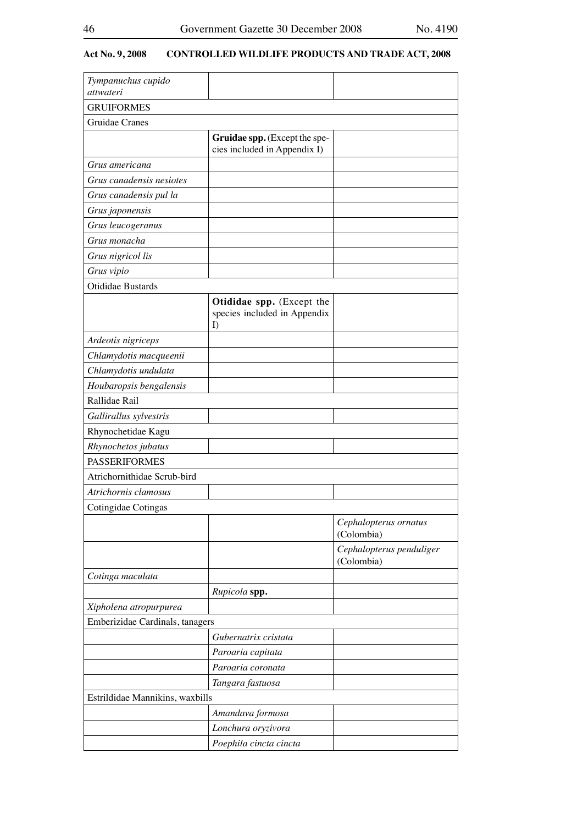| Tympanuchus cupido              |                                                                 |                                        |
|---------------------------------|-----------------------------------------------------------------|----------------------------------------|
| attwateri                       |                                                                 |                                        |
| <b>GRUIFORMES</b>               |                                                                 |                                        |
| Gruidae Cranes                  |                                                                 |                                        |
|                                 | Gruidae spp. (Except the spe-<br>cies included in Appendix I)   |                                        |
| Grus americana                  |                                                                 |                                        |
| Grus canadensis nesiotes        |                                                                 |                                        |
| Grus canadensis pul la          |                                                                 |                                        |
| Grus japonensis                 |                                                                 |                                        |
| Grus leucogeranus               |                                                                 |                                        |
| Grus monacha                    |                                                                 |                                        |
| Grus nigricol lis               |                                                                 |                                        |
| Grus vipio                      |                                                                 |                                        |
| Otididae Bustards               |                                                                 |                                        |
|                                 | Otididae spp. (Except the<br>species included in Appendix<br>I) |                                        |
| Ardeotis nigriceps              |                                                                 |                                        |
| Chlamydotis macqueenii          |                                                                 |                                        |
| Chlamydotis undulata            |                                                                 |                                        |
| Houbaropsis bengalensis         |                                                                 |                                        |
| Rallidae Rail                   |                                                                 |                                        |
| Gallirallus sylvestris          |                                                                 |                                        |
| Rhynochetidae Kagu              |                                                                 |                                        |
| Rhynochetos jubatus             |                                                                 |                                        |
| <b>PASSERIFORMES</b>            |                                                                 |                                        |
| Atrichornithidae Scrub-bird     |                                                                 |                                        |
| Atrichornis clamosus            |                                                                 |                                        |
| Cotingidae Cotingas             |                                                                 |                                        |
|                                 |                                                                 | Cephalopterus ornatus<br>(Colombia)    |
|                                 |                                                                 | Cephalopterus penduliger<br>(Colombia) |
| Cotinga maculata                |                                                                 |                                        |
|                                 | Rupicola spp.                                                   |                                        |
| Xipholena atropurpurea          |                                                                 |                                        |
| Emberizidae Cardinals, tanagers |                                                                 |                                        |
|                                 | Gubernatrix cristata                                            |                                        |
|                                 | Paroaria capitata                                               |                                        |
|                                 | Paroaria coronata                                               |                                        |
|                                 | Tangara fastuosa                                                |                                        |
| Estrildidae Mannikins, waxbills |                                                                 |                                        |
|                                 | Amandava formosa                                                |                                        |
|                                 | Lonchura oryzivora                                              |                                        |
|                                 | Poephila cincta cincta                                          |                                        |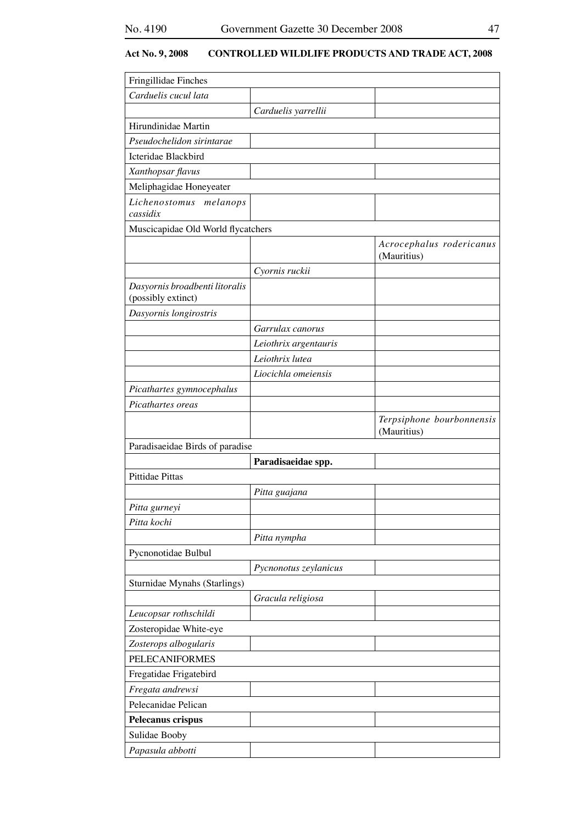| Fringillidae Finches                                 |                       |                                          |
|------------------------------------------------------|-----------------------|------------------------------------------|
| Carduelis cucul lata                                 |                       |                                          |
|                                                      | Carduelis yarrellii   |                                          |
| Hirundinidae Martin                                  |                       |                                          |
| Pseudochelidon sirintarae                            |                       |                                          |
| Icteridae Blackbird                                  |                       |                                          |
| Xanthopsar flavus                                    |                       |                                          |
| Meliphagidae Honeyeater                              |                       |                                          |
| Lichenostomus melanops<br>cassidix                   |                       |                                          |
| Muscicapidae Old World flycatchers                   |                       |                                          |
|                                                      |                       | Acrocephalus rodericanus<br>(Mauritius)  |
|                                                      | Cyornis ruckii        |                                          |
| Dasyornis broadbenti litoralis<br>(possibly extinct) |                       |                                          |
| Dasyornis longirostris                               |                       |                                          |
|                                                      | Garrulax canorus      |                                          |
|                                                      | Leiothrix argentauris |                                          |
|                                                      | Leiothrix lutea       |                                          |
|                                                      | Liocichla omeiensis   |                                          |
| Picathartes gymnocephalus                            |                       |                                          |
| Picathartes oreas                                    |                       |                                          |
|                                                      |                       |                                          |
|                                                      |                       | Terpsiphone bourbonnensis<br>(Mauritius) |
| Paradisaeidae Birds of paradise                      |                       |                                          |
|                                                      | Paradisaeidae spp.    |                                          |
| Pittidae Pittas                                      |                       |                                          |
|                                                      | Pitta guajana         |                                          |
| Pitta gurneyi                                        |                       |                                          |
| Pitta kochi                                          |                       |                                          |
|                                                      | Pitta nympha          |                                          |
| Pycnonotidae Bulbul                                  |                       |                                          |
|                                                      | Pycnonotus zeylanicus |                                          |
| Sturnidae Mynahs (Starlings)                         |                       |                                          |
|                                                      | Gracula religiosa     |                                          |
| Leucopsar rothschildi                                |                       |                                          |
| Zosteropidae White-eye                               |                       |                                          |
| Zosterops albogularis                                |                       |                                          |
| <b>PELECANIFORMES</b>                                |                       |                                          |
| Fregatidae Frigatebird                               |                       |                                          |
| Fregata andrewsi                                     |                       |                                          |
| Pelecanidae Pelican                                  |                       |                                          |
| Pelecanus crispus                                    |                       |                                          |
| Sulidae Booby<br>Papasula abbotti                    |                       |                                          |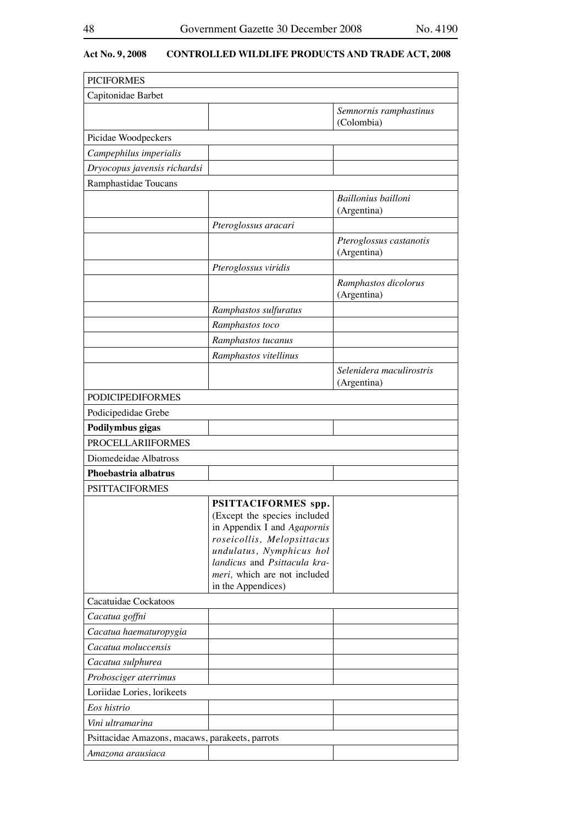| <b>PICIFORMES</b>                               |                                                                                                                                                                                                                                    |                                         |  |
|-------------------------------------------------|------------------------------------------------------------------------------------------------------------------------------------------------------------------------------------------------------------------------------------|-----------------------------------------|--|
| Capitonidae Barbet                              |                                                                                                                                                                                                                                    |                                         |  |
|                                                 |                                                                                                                                                                                                                                    | Semnornis ramphastinus<br>(Colombia)    |  |
| Picidae Woodpeckers                             |                                                                                                                                                                                                                                    |                                         |  |
| Campephilus imperialis                          |                                                                                                                                                                                                                                    |                                         |  |
| Dryocopus javensis richardsi                    |                                                                                                                                                                                                                                    |                                         |  |
| Ramphastidae Toucans                            |                                                                                                                                                                                                                                    |                                         |  |
|                                                 |                                                                                                                                                                                                                                    | Baillonius bailloni<br>(Argentina)      |  |
|                                                 | Pteroglossus aracari                                                                                                                                                                                                               |                                         |  |
|                                                 |                                                                                                                                                                                                                                    | Pteroglossus castanotis<br>(Argentina)  |  |
|                                                 | Pteroglossus viridis                                                                                                                                                                                                               |                                         |  |
|                                                 |                                                                                                                                                                                                                                    | Ramphastos dicolorus<br>(Argentina)     |  |
|                                                 | Ramphastos sulfuratus                                                                                                                                                                                                              |                                         |  |
|                                                 | Ramphastos toco                                                                                                                                                                                                                    |                                         |  |
|                                                 | Ramphastos tucanus                                                                                                                                                                                                                 |                                         |  |
|                                                 | Ramphastos vitellinus                                                                                                                                                                                                              |                                         |  |
|                                                 |                                                                                                                                                                                                                                    | Selenidera maculirostris<br>(Argentina) |  |
| <b>PODICIPEDIFORMES</b>                         |                                                                                                                                                                                                                                    |                                         |  |
| Podicipedidae Grebe                             |                                                                                                                                                                                                                                    |                                         |  |
| Podilymbus gigas                                |                                                                                                                                                                                                                                    |                                         |  |
| <b>PROCELLARIIFORMES</b>                        |                                                                                                                                                                                                                                    |                                         |  |
| Diomedeidae Albatross                           |                                                                                                                                                                                                                                    |                                         |  |
| Phoebastria albatrus                            |                                                                                                                                                                                                                                    |                                         |  |
| <b>PSITTACIFORMES</b>                           |                                                                                                                                                                                                                                    |                                         |  |
|                                                 | PSITTACIFORMES spp.<br>(Except the species included<br>in Appendix I and Agapornis<br>roseicollis, Melopsittacus<br>undulatus, Nymphicus hol<br>landicus and Psittacula kra-<br>meri, which are not included<br>in the Appendices) |                                         |  |
| Cacatuidae Cockatoos                            |                                                                                                                                                                                                                                    |                                         |  |
| Cacatua goffni                                  |                                                                                                                                                                                                                                    |                                         |  |
| Cacatua haematuropygia                          |                                                                                                                                                                                                                                    |                                         |  |
| Cacatua moluccensis                             |                                                                                                                                                                                                                                    |                                         |  |
| Cacatua sulphurea                               |                                                                                                                                                                                                                                    |                                         |  |
| Probosciger aterrimus                           |                                                                                                                                                                                                                                    |                                         |  |
| Loriidae Lories, lorikeets                      |                                                                                                                                                                                                                                    |                                         |  |
| Eos histrio                                     |                                                                                                                                                                                                                                    |                                         |  |
| Vini ultramarina                                |                                                                                                                                                                                                                                    |                                         |  |
| Psittacidae Amazons, macaws, parakeets, parrots |                                                                                                                                                                                                                                    |                                         |  |
| Amazona arausiaca                               |                                                                                                                                                                                                                                    |                                         |  |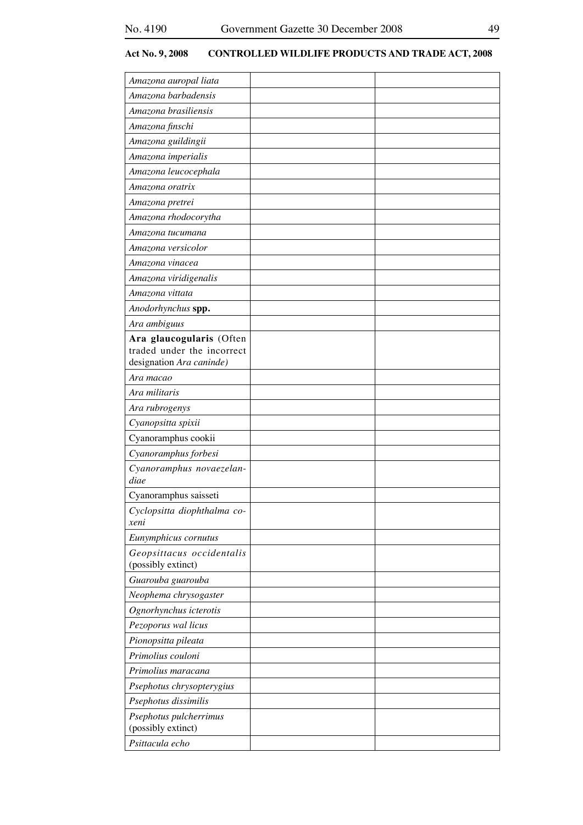| Amazona auropal liata                           |  |
|-------------------------------------------------|--|
| Amazona barbadensis                             |  |
| Amazona brasiliensis                            |  |
| Amazona finschi                                 |  |
| Amazona guildingii                              |  |
| Amazona imperialis                              |  |
| Amazona leucocephala                            |  |
| Amazona oratrix                                 |  |
| Amazona pretrei                                 |  |
| Amazona rhodocorytha                            |  |
| Amazona tucumana                                |  |
| Amazona versicolor                              |  |
| Amazona vinacea                                 |  |
| Amazona viridigenalis                           |  |
| Amazona vittata                                 |  |
| Anodorhynchus spp.                              |  |
| Ara ambiguus                                    |  |
| Ara glaucogularis (Often                        |  |
| traded under the incorrect                      |  |
| designation Ara caninde)                        |  |
| Ara macao                                       |  |
| Ara militaris                                   |  |
| Ara rubrogenys                                  |  |
| Cyanopsitta spixii                              |  |
| Cyanoramphus cookii                             |  |
| Cyanoramphus forbesi                            |  |
| Cyanoramphus novaezelan-<br>diae                |  |
| Cyanoramphus saisseti                           |  |
| Cyclopsitta diophthalma co-<br>xeni             |  |
| Eunymphicus cornutus                            |  |
| Geopsittacus occidentalis<br>(possibly extinct) |  |
| Guarouba guarouba                               |  |
|                                                 |  |
| Neophema chrysogaster                           |  |
| Ognorhynchus icterotis                          |  |
| Pezoporus wal licus                             |  |
| Pionopsitta pileata                             |  |
| Primolius couloni                               |  |
| Primolius maracana                              |  |
| Psephotus chrysopterygius                       |  |
| Psephotus dissimilis                            |  |
| Psephotus pulcherrimus<br>(possibly extinct)    |  |
| Psittacula echo                                 |  |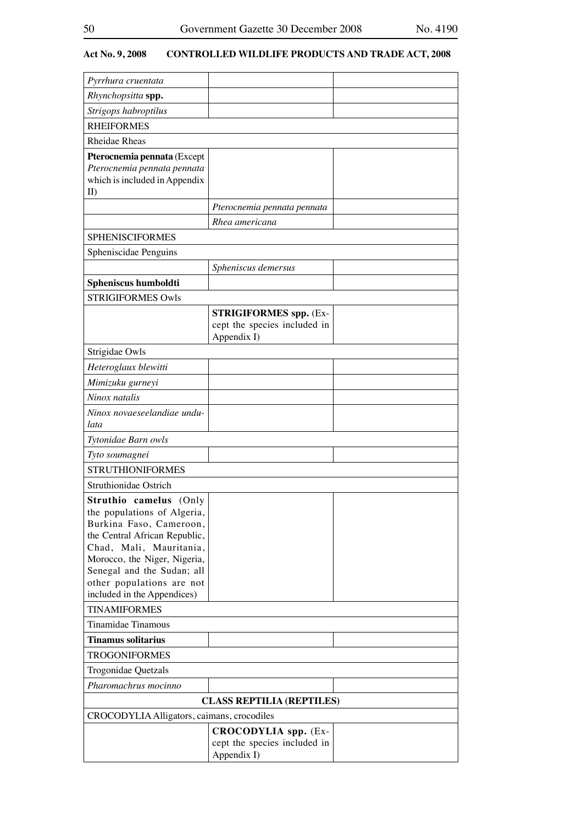| Rhynchopsitta spp.<br>Strigops habroptilus<br><b>RHEIFORMES</b><br><b>Rheidae Rheas</b><br>Pterocnemia pennata (Except<br>Pterocnemia pennata pennata<br>which is included in Appendix<br>$\mathbf{I}$<br>Pterocnemia pennata pennata<br>Rhea americana<br><b>SPHENISCIFORMES</b><br>Spheniscidae Penguins<br>Spheniscus demersus<br>Spheniscus humboldti<br><b>STRIGIFORMES Owls</b><br><b>STRIGIFORMES</b> spp. (Ex-<br>cept the species included in<br>Appendix I)<br>Strigidae Owls<br>Heteroglaux blewitti<br>Mimizuku gurneyi<br>Ninox natalis<br>Ninox novaeseelandiae undu-<br>lata<br>Tytonidae Barn owls<br>Tyto soumagnei<br><b>STRUTHIONIFORMES</b><br>Struthionidae Ostrich<br>Struthio camelus (Only<br>the populations of Algeria,<br>Burkina Faso, Cameroon,<br>the Central African Republic,<br>Chad, Mali, Mauritania,<br>Morocco, the Niger, Nigeria,<br>Senegal and the Sudan; all<br>other populations are not<br>included in the Appendices)<br><b>TINAMIFORMES</b><br>Tinamidae Tinamous | Pyrrhura cruentata |  |
|-----------------------------------------------------------------------------------------------------------------------------------------------------------------------------------------------------------------------------------------------------------------------------------------------------------------------------------------------------------------------------------------------------------------------------------------------------------------------------------------------------------------------------------------------------------------------------------------------------------------------------------------------------------------------------------------------------------------------------------------------------------------------------------------------------------------------------------------------------------------------------------------------------------------------------------------------------------------------------------------------------------------|--------------------|--|
|                                                                                                                                                                                                                                                                                                                                                                                                                                                                                                                                                                                                                                                                                                                                                                                                                                                                                                                                                                                                                 |                    |  |
|                                                                                                                                                                                                                                                                                                                                                                                                                                                                                                                                                                                                                                                                                                                                                                                                                                                                                                                                                                                                                 |                    |  |
|                                                                                                                                                                                                                                                                                                                                                                                                                                                                                                                                                                                                                                                                                                                                                                                                                                                                                                                                                                                                                 |                    |  |
|                                                                                                                                                                                                                                                                                                                                                                                                                                                                                                                                                                                                                                                                                                                                                                                                                                                                                                                                                                                                                 |                    |  |
|                                                                                                                                                                                                                                                                                                                                                                                                                                                                                                                                                                                                                                                                                                                                                                                                                                                                                                                                                                                                                 |                    |  |
|                                                                                                                                                                                                                                                                                                                                                                                                                                                                                                                                                                                                                                                                                                                                                                                                                                                                                                                                                                                                                 |                    |  |
|                                                                                                                                                                                                                                                                                                                                                                                                                                                                                                                                                                                                                                                                                                                                                                                                                                                                                                                                                                                                                 |                    |  |
|                                                                                                                                                                                                                                                                                                                                                                                                                                                                                                                                                                                                                                                                                                                                                                                                                                                                                                                                                                                                                 |                    |  |
|                                                                                                                                                                                                                                                                                                                                                                                                                                                                                                                                                                                                                                                                                                                                                                                                                                                                                                                                                                                                                 |                    |  |
|                                                                                                                                                                                                                                                                                                                                                                                                                                                                                                                                                                                                                                                                                                                                                                                                                                                                                                                                                                                                                 |                    |  |
|                                                                                                                                                                                                                                                                                                                                                                                                                                                                                                                                                                                                                                                                                                                                                                                                                                                                                                                                                                                                                 |                    |  |
|                                                                                                                                                                                                                                                                                                                                                                                                                                                                                                                                                                                                                                                                                                                                                                                                                                                                                                                                                                                                                 |                    |  |
|                                                                                                                                                                                                                                                                                                                                                                                                                                                                                                                                                                                                                                                                                                                                                                                                                                                                                                                                                                                                                 |                    |  |
|                                                                                                                                                                                                                                                                                                                                                                                                                                                                                                                                                                                                                                                                                                                                                                                                                                                                                                                                                                                                                 |                    |  |
|                                                                                                                                                                                                                                                                                                                                                                                                                                                                                                                                                                                                                                                                                                                                                                                                                                                                                                                                                                                                                 |                    |  |
|                                                                                                                                                                                                                                                                                                                                                                                                                                                                                                                                                                                                                                                                                                                                                                                                                                                                                                                                                                                                                 |                    |  |
|                                                                                                                                                                                                                                                                                                                                                                                                                                                                                                                                                                                                                                                                                                                                                                                                                                                                                                                                                                                                                 |                    |  |
|                                                                                                                                                                                                                                                                                                                                                                                                                                                                                                                                                                                                                                                                                                                                                                                                                                                                                                                                                                                                                 |                    |  |
|                                                                                                                                                                                                                                                                                                                                                                                                                                                                                                                                                                                                                                                                                                                                                                                                                                                                                                                                                                                                                 |                    |  |
|                                                                                                                                                                                                                                                                                                                                                                                                                                                                                                                                                                                                                                                                                                                                                                                                                                                                                                                                                                                                                 |                    |  |
|                                                                                                                                                                                                                                                                                                                                                                                                                                                                                                                                                                                                                                                                                                                                                                                                                                                                                                                                                                                                                 |                    |  |
|                                                                                                                                                                                                                                                                                                                                                                                                                                                                                                                                                                                                                                                                                                                                                                                                                                                                                                                                                                                                                 |                    |  |
|                                                                                                                                                                                                                                                                                                                                                                                                                                                                                                                                                                                                                                                                                                                                                                                                                                                                                                                                                                                                                 |                    |  |
|                                                                                                                                                                                                                                                                                                                                                                                                                                                                                                                                                                                                                                                                                                                                                                                                                                                                                                                                                                                                                 |                    |  |
|                                                                                                                                                                                                                                                                                                                                                                                                                                                                                                                                                                                                                                                                                                                                                                                                                                                                                                                                                                                                                 |                    |  |
|                                                                                                                                                                                                                                                                                                                                                                                                                                                                                                                                                                                                                                                                                                                                                                                                                                                                                                                                                                                                                 |                    |  |
|                                                                                                                                                                                                                                                                                                                                                                                                                                                                                                                                                                                                                                                                                                                                                                                                                                                                                                                                                                                                                 |                    |  |
|                                                                                                                                                                                                                                                                                                                                                                                                                                                                                                                                                                                                                                                                                                                                                                                                                                                                                                                                                                                                                 |                    |  |
|                                                                                                                                                                                                                                                                                                                                                                                                                                                                                                                                                                                                                                                                                                                                                                                                                                                                                                                                                                                                                 |                    |  |
|                                                                                                                                                                                                                                                                                                                                                                                                                                                                                                                                                                                                                                                                                                                                                                                                                                                                                                                                                                                                                 |                    |  |
|                                                                                                                                                                                                                                                                                                                                                                                                                                                                                                                                                                                                                                                                                                                                                                                                                                                                                                                                                                                                                 |                    |  |
|                                                                                                                                                                                                                                                                                                                                                                                                                                                                                                                                                                                                                                                                                                                                                                                                                                                                                                                                                                                                                 |                    |  |
|                                                                                                                                                                                                                                                                                                                                                                                                                                                                                                                                                                                                                                                                                                                                                                                                                                                                                                                                                                                                                 |                    |  |
|                                                                                                                                                                                                                                                                                                                                                                                                                                                                                                                                                                                                                                                                                                                                                                                                                                                                                                                                                                                                                 |                    |  |
|                                                                                                                                                                                                                                                                                                                                                                                                                                                                                                                                                                                                                                                                                                                                                                                                                                                                                                                                                                                                                 |                    |  |
|                                                                                                                                                                                                                                                                                                                                                                                                                                                                                                                                                                                                                                                                                                                                                                                                                                                                                                                                                                                                                 |                    |  |
|                                                                                                                                                                                                                                                                                                                                                                                                                                                                                                                                                                                                                                                                                                                                                                                                                                                                                                                                                                                                                 |                    |  |
| <b>Tinamus solitarius</b>                                                                                                                                                                                                                                                                                                                                                                                                                                                                                                                                                                                                                                                                                                                                                                                                                                                                                                                                                                                       |                    |  |
| <b>TROGONIFORMES</b>                                                                                                                                                                                                                                                                                                                                                                                                                                                                                                                                                                                                                                                                                                                                                                                                                                                                                                                                                                                            |                    |  |
| Trogonidae Quetzals                                                                                                                                                                                                                                                                                                                                                                                                                                                                                                                                                                                                                                                                                                                                                                                                                                                                                                                                                                                             |                    |  |
| Pharomachrus mocinno                                                                                                                                                                                                                                                                                                                                                                                                                                                                                                                                                                                                                                                                                                                                                                                                                                                                                                                                                                                            |                    |  |
| <b>CLASS REPTILIA (REPTILES)</b>                                                                                                                                                                                                                                                                                                                                                                                                                                                                                                                                                                                                                                                                                                                                                                                                                                                                                                                                                                                |                    |  |
| CROCODYLIA Alligators, caimans, crocodiles                                                                                                                                                                                                                                                                                                                                                                                                                                                                                                                                                                                                                                                                                                                                                                                                                                                                                                                                                                      |                    |  |
| <b>CROCODYLIA</b> spp. (Ex-                                                                                                                                                                                                                                                                                                                                                                                                                                                                                                                                                                                                                                                                                                                                                                                                                                                                                                                                                                                     |                    |  |
| cept the species included in<br>Appendix I)                                                                                                                                                                                                                                                                                                                                                                                                                                                                                                                                                                                                                                                                                                                                                                                                                                                                                                                                                                     |                    |  |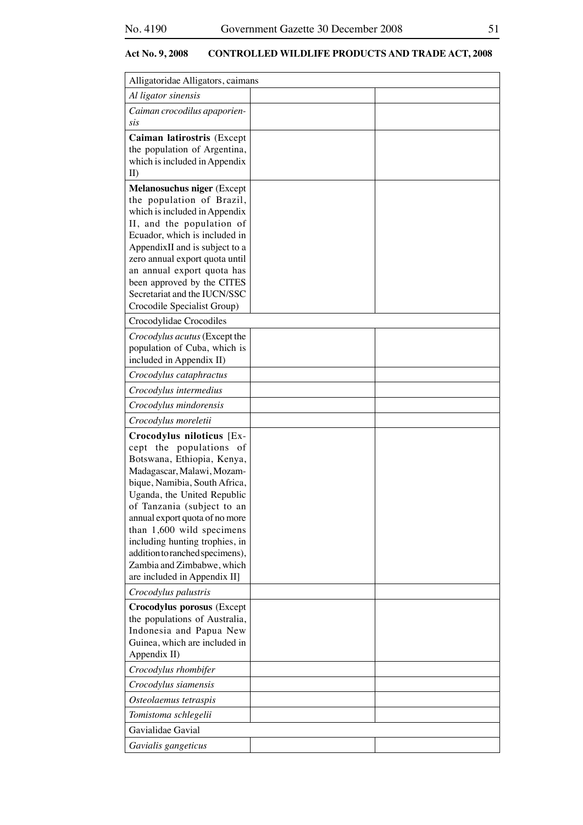| Alligatoridae Alligators, caimans                                                                                                                                                                                                                                                                                                                                                                                |  |  |
|------------------------------------------------------------------------------------------------------------------------------------------------------------------------------------------------------------------------------------------------------------------------------------------------------------------------------------------------------------------------------------------------------------------|--|--|
| Al ligator sinensis                                                                                                                                                                                                                                                                                                                                                                                              |  |  |
| Caiman crocodilus apaporien-<br>sis                                                                                                                                                                                                                                                                                                                                                                              |  |  |
| Caiman latirostris (Except<br>the population of Argentina,<br>which is included in Appendix<br>$_{\rm II)}$                                                                                                                                                                                                                                                                                                      |  |  |
| <b>Melanosuchus niger (Except</b><br>the population of Brazil,<br>which is included in Appendix<br>II, and the population of<br>Ecuador, which is included in<br>AppendixII and is subject to a<br>zero annual export quota until<br>an annual export quota has<br>been approved by the CITES<br>Secretariat and the IUCN/SSC<br>Crocodile Specialist Group)                                                     |  |  |
|                                                                                                                                                                                                                                                                                                                                                                                                                  |  |  |
| Crocodylidae Crocodiles<br>Crocodylus acutus (Except the<br>population of Cuba, which is<br>included in Appendix II)                                                                                                                                                                                                                                                                                             |  |  |
| Crocodylus cataphractus                                                                                                                                                                                                                                                                                                                                                                                          |  |  |
| Crocodylus intermedius                                                                                                                                                                                                                                                                                                                                                                                           |  |  |
| Crocodylus mindorensis                                                                                                                                                                                                                                                                                                                                                                                           |  |  |
| Crocodylus moreletii                                                                                                                                                                                                                                                                                                                                                                                             |  |  |
| Crocodylus niloticus [Ex-<br>cept the populations of<br>Botswana, Ethiopia, Kenya,<br>Madagascar, Malawi, Mozam-<br>bique, Namibia, South Africa,<br>Uganda, the United Republic<br>of Tanzania (subject to an<br>annual export quota of no more<br>than 1,600 wild specimens<br>including hunting trophies, in<br>addition to ranched specimens),<br>Zambia and Zimbabwe, which<br>are included in Appendix II] |  |  |
| Crocodylus palustris                                                                                                                                                                                                                                                                                                                                                                                             |  |  |
| Crocodylus porosus (Except<br>the populations of Australia,<br>Indonesia and Papua New<br>Guinea, which are included in<br>Appendix II)                                                                                                                                                                                                                                                                          |  |  |
| Crocodylus rhombifer                                                                                                                                                                                                                                                                                                                                                                                             |  |  |
| Crocodylus siamensis                                                                                                                                                                                                                                                                                                                                                                                             |  |  |
| Osteolaemus tetraspis                                                                                                                                                                                                                                                                                                                                                                                            |  |  |
| Tomistoma schlegelii                                                                                                                                                                                                                                                                                                                                                                                             |  |  |
| Gavialidae Gavial                                                                                                                                                                                                                                                                                                                                                                                                |  |  |
| Gavialis gangeticus                                                                                                                                                                                                                                                                                                                                                                                              |  |  |
|                                                                                                                                                                                                                                                                                                                                                                                                                  |  |  |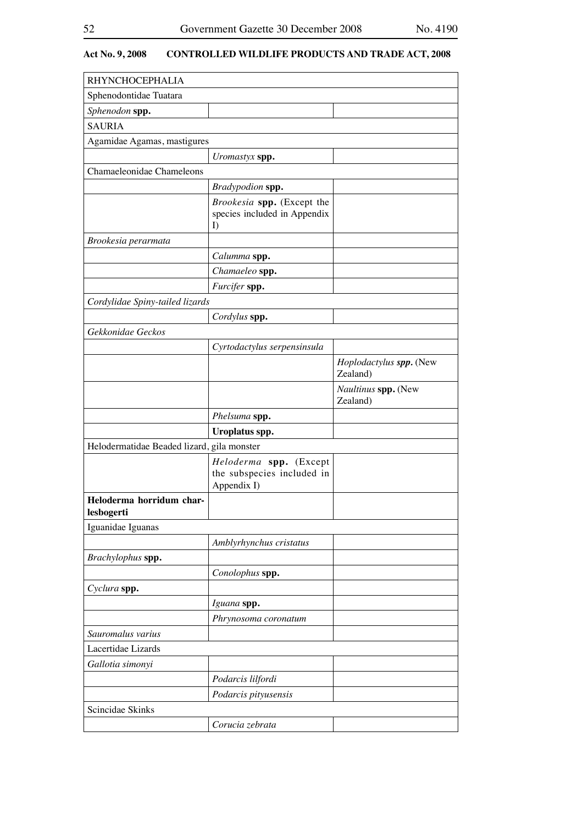| RHYNCHOCEPHALIA                            |                                                                     |                                     |
|--------------------------------------------|---------------------------------------------------------------------|-------------------------------------|
| Sphenodontidae Tuatara                     |                                                                     |                                     |
| Sphenodon spp.                             |                                                                     |                                     |
| <b>SAURIA</b>                              |                                                                     |                                     |
| Agamidae Agamas, mastigures                |                                                                     |                                     |
|                                            | Uromastyx spp.                                                      |                                     |
| Chamaeleonidae Chameleons                  |                                                                     |                                     |
|                                            | Bradypodion spp.                                                    |                                     |
|                                            | Brookesia spp. (Except the<br>species included in Appendix<br>I)    |                                     |
| Brookesia perarmata                        |                                                                     |                                     |
|                                            | Calumma spp.                                                        |                                     |
|                                            | Chamaeleo spp.                                                      |                                     |
|                                            | Furcifer spp.                                                       |                                     |
| Cordylidae Spiny-tailed lizards            |                                                                     |                                     |
|                                            | Cordylus spp.                                                       |                                     |
| Gekkonidae Geckos                          |                                                                     |                                     |
|                                            | Cyrtodactylus serpensinsula                                         |                                     |
|                                            |                                                                     | Hoplodactylus spp. (New<br>Zealand) |
|                                            |                                                                     | Naultinus spp. (New<br>Zealand)     |
|                                            | Phelsuma spp.                                                       |                                     |
|                                            | Uroplatus spp.                                                      |                                     |
| Helodermatidae Beaded lizard, gila monster |                                                                     |                                     |
|                                            | Heloderma spp. (Except<br>the subspecies included in<br>Appendix I) |                                     |
| Heloderma horridum char-<br>lesbogerti     |                                                                     |                                     |
| Iguanidae Iguanas                          |                                                                     |                                     |
|                                            | Amblyrhynchus cristatus                                             |                                     |
| Brachylophus spp.                          |                                                                     |                                     |
|                                            | Conolophus spp.                                                     |                                     |
| Cyclura spp.                               |                                                                     |                                     |
|                                            | Iguana spp.                                                         |                                     |
|                                            | Phrynosoma coronatum                                                |                                     |
| Sauromalus varius                          |                                                                     |                                     |
| Lacertidae Lizards                         |                                                                     |                                     |
| Gallotia simonyi                           |                                                                     |                                     |
|                                            | Podarcis lilfordi                                                   |                                     |
|                                            | Podarcis pityusensis                                                |                                     |
| Scincidae Skinks                           |                                                                     |                                     |
|                                            | Corucia zebrata                                                     |                                     |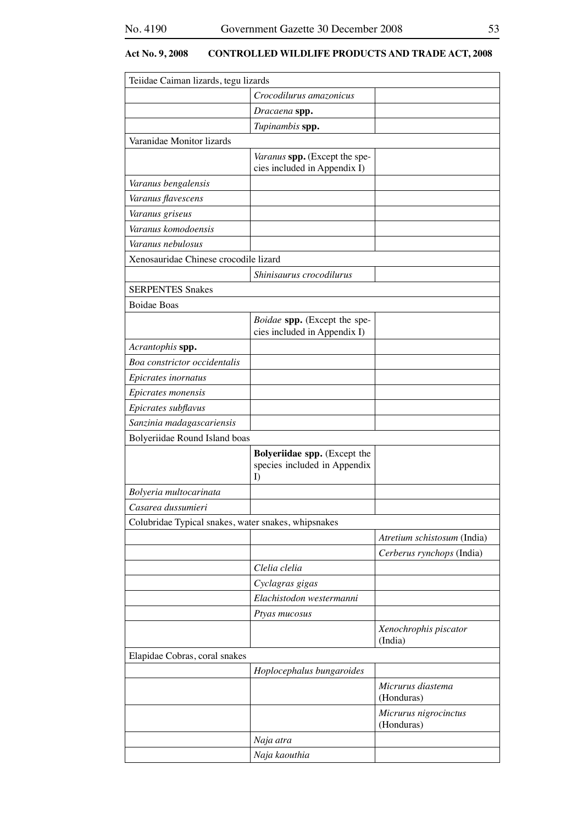| Teiidae Caiman lizards, tegu lizards                |                                                                    |                                  |
|-----------------------------------------------------|--------------------------------------------------------------------|----------------------------------|
|                                                     | Crocodilurus amazonicus                                            |                                  |
|                                                     | Dracaena spp.                                                      |                                  |
|                                                     | Tupinambis spp.                                                    |                                  |
| Varanidae Monitor lizards                           |                                                                    |                                  |
|                                                     | Varanus spp. (Except the spe-<br>cies included in Appendix I)      |                                  |
| Varanus bengalensis                                 |                                                                    |                                  |
| Varanus flavescens                                  |                                                                    |                                  |
|                                                     |                                                                    |                                  |
| Varanus griseus<br>Varanus komodoensis              |                                                                    |                                  |
| Varanus nebulosus                                   |                                                                    |                                  |
| Xenosauridae Chinese crocodile lizard               |                                                                    |                                  |
|                                                     | Shinisaurus crocodilurus                                           |                                  |
|                                                     |                                                                    |                                  |
| <b>SERPENTES Snakes</b>                             |                                                                    |                                  |
| <b>Boidae Boas</b>                                  |                                                                    |                                  |
|                                                     | Boidae spp. (Except the spe-<br>cies included in Appendix I)       |                                  |
| Acrantophis spp.                                    |                                                                    |                                  |
| Boa constrictor occidentalis                        |                                                                    |                                  |
| Epicrates inornatus                                 |                                                                    |                                  |
| Epicrates monensis                                  |                                                                    |                                  |
| Epicrates subflavus                                 |                                                                    |                                  |
| Sanzinia madagascariensis                           |                                                                    |                                  |
| Bolyeriidae Round Island boas                       |                                                                    |                                  |
|                                                     | Bolyeriidae spp. (Except the<br>species included in Appendix<br>I) |                                  |
| Bolyeria multocarinata                              |                                                                    |                                  |
| Casarea dussumieri                                  |                                                                    |                                  |
| Colubridae Typical snakes, water snakes, whipsnakes |                                                                    |                                  |
|                                                     |                                                                    | Atretium schistosum (India)      |
|                                                     |                                                                    | Cerberus rynchops (India)        |
|                                                     | Clelia clelia                                                      |                                  |
|                                                     | Cyclagras gigas                                                    |                                  |
|                                                     | Elachistodon westermanni                                           |                                  |
|                                                     | Ptyas mucosus                                                      |                                  |
|                                                     |                                                                    | Xenochrophis piscator<br>(India) |
| Elapidae Cobras, coral snakes                       |                                                                    |                                  |
|                                                     | Hoplocephalus bungaroides                                          |                                  |
|                                                     |                                                                    | Micrurus diastema<br>(Honduras)  |
|                                                     |                                                                    | Micrurus nigrocinctus            |
|                                                     |                                                                    | (Honduras)                       |
|                                                     | Naja atra                                                          |                                  |
|                                                     | Naja kaouthia                                                      |                                  |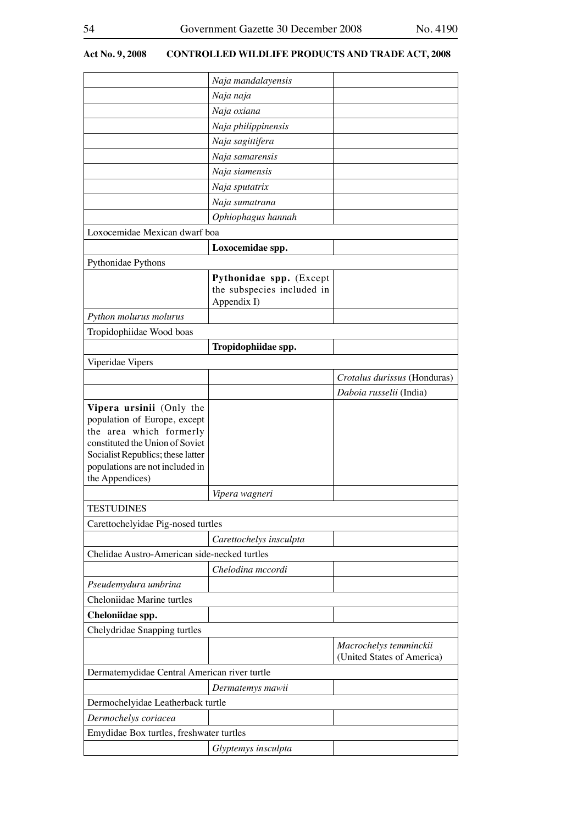|                                                                      | Naja mandalayensis         |                                                      |
|----------------------------------------------------------------------|----------------------------|------------------------------------------------------|
|                                                                      | Naja naja                  |                                                      |
|                                                                      | Naja oxiana                |                                                      |
|                                                                      | Naja philippinensis        |                                                      |
|                                                                      | Naja sagittifera           |                                                      |
|                                                                      | Naja samarensis            |                                                      |
|                                                                      | Naja siamensis             |                                                      |
|                                                                      | Naja sputatrix             |                                                      |
|                                                                      | Naja sumatrana             |                                                      |
|                                                                      | Ophiophagus hannah         |                                                      |
| Loxocemidae Mexican dwarf boa                                        |                            |                                                      |
|                                                                      | Loxocemidae spp.           |                                                      |
| Pythonidae Pythons                                                   |                            |                                                      |
|                                                                      | Pythonidae spp. (Except    |                                                      |
|                                                                      | the subspecies included in |                                                      |
|                                                                      | Appendix I)                |                                                      |
| Python molurus molurus                                               |                            |                                                      |
| Tropidophiidae Wood boas                                             |                            |                                                      |
|                                                                      | Tropidophiidae spp.        |                                                      |
| Viperidae Vipers                                                     |                            |                                                      |
|                                                                      |                            | Crotalus durissus (Honduras)                         |
|                                                                      |                            | Daboia russelii (India)                              |
| Vipera ursinii (Only the                                             |                            |                                                      |
| population of Europe, except                                         |                            |                                                      |
| the area which formerly                                              |                            |                                                      |
| constituted the Union of Soviet                                      |                            |                                                      |
| Socialist Republics; these latter<br>populations are not included in |                            |                                                      |
| the Appendices)                                                      |                            |                                                      |
|                                                                      | Vipera wagneri             |                                                      |
| <b>TESTUDINES</b>                                                    |                            |                                                      |
| Carettochelyidae Pig-nosed turtles                                   |                            |                                                      |
|                                                                      | Carettochelys insculpta    |                                                      |
| Chelidae Austro-American side-necked turtles                         |                            |                                                      |
|                                                                      | Chelodina mccordi          |                                                      |
| Pseudemydura umbrina                                                 |                            |                                                      |
| Cheloniidae Marine turtles                                           |                            |                                                      |
| Cheloniidae spp.                                                     |                            |                                                      |
|                                                                      |                            |                                                      |
| Chelydridae Snapping turtles                                         |                            |                                                      |
|                                                                      |                            | Macrochelys temminckii<br>(United States of America) |
| Dermatemydidae Central American river turtle                         |                            |                                                      |
|                                                                      | Dermatemys mawii           |                                                      |
| Dermochelyidae Leatherback turtle                                    |                            |                                                      |
| Dermochelys coriacea                                                 |                            |                                                      |
| Emydidae Box turtles, freshwater turtles                             |                            |                                                      |
|                                                                      | Glyptemys insculpta        |                                                      |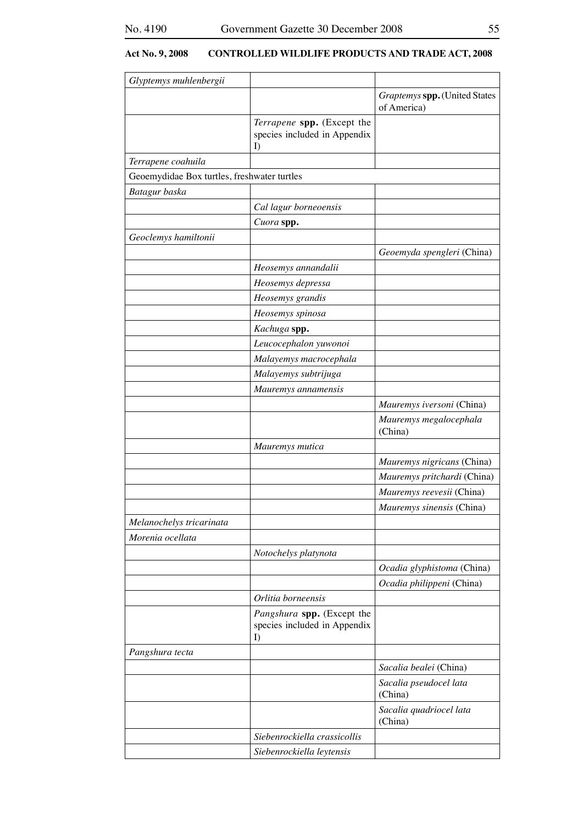| Glyptemys muhlenbergii                      |                                                                           |                                              |
|---------------------------------------------|---------------------------------------------------------------------------|----------------------------------------------|
|                                             |                                                                           | Graptemys spp. (United States<br>of America) |
|                                             | Terrapene spp. (Except the<br>species included in Appendix<br>$_{\rm I)}$ |                                              |
| Terrapene coahuila                          |                                                                           |                                              |
| Geoemydidae Box turtles, freshwater turtles |                                                                           |                                              |
| Batagur baska                               |                                                                           |                                              |
|                                             | Cal lagur borneoensis                                                     |                                              |
|                                             | Cuora spp.                                                                |                                              |
| Geoclemys hamiltonii                        |                                                                           |                                              |
|                                             |                                                                           | Geoemyda spengleri (China)                   |
|                                             | Heosemys annandalii                                                       |                                              |
|                                             | Heosemys depressa                                                         |                                              |
|                                             | Heosemys grandis                                                          |                                              |
|                                             | Heosemys spinosa                                                          |                                              |
|                                             | Kachuga spp.                                                              |                                              |
|                                             | Leucocephalon yuwonoi                                                     |                                              |
|                                             | Malayemys macrocephala                                                    |                                              |
|                                             | Malayemys subtrijuga                                                      |                                              |
|                                             | Mauremys annamensis                                                       |                                              |
|                                             |                                                                           | Mauremys iversoni (China)                    |
|                                             |                                                                           | Mauremys megalocephala<br>(China)            |
|                                             | Mauremys mutica                                                           |                                              |
|                                             |                                                                           | Mauremys nigricans (China)                   |
|                                             |                                                                           | Mauremys pritchardi (China)                  |
|                                             |                                                                           | Mauremys reevesii (China)                    |
|                                             |                                                                           | Mauremys sinensis (China)                    |
| Melanochelys tricarinata                    |                                                                           |                                              |
| Morenia ocellata                            |                                                                           |                                              |
|                                             | Notochelys platynota                                                      |                                              |
|                                             |                                                                           | Ocadia glyphistoma (China)                   |
|                                             |                                                                           | Ocadia philippeni (China)                    |
|                                             | Orlitia borneensis                                                        |                                              |
|                                             | Pangshura spp. (Except the<br>species included in Appendix<br>$_{\rm I}$  |                                              |
| Pangshura tecta                             |                                                                           |                                              |
|                                             |                                                                           | Sacalia bealei (China)                       |
|                                             |                                                                           | Sacalia pseudocel lata<br>(China)            |
|                                             |                                                                           | Sacalia quadriocel lata                      |
|                                             |                                                                           | (China)                                      |
|                                             | Siebenrockiella crassicollis                                              |                                              |
|                                             | Siebenrockiella leytensis                                                 |                                              |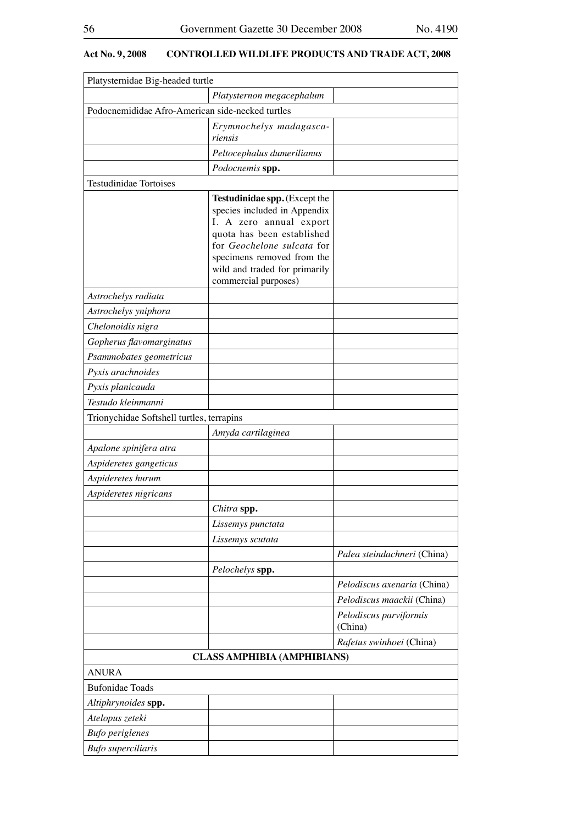| Platysternidae Big-headed turtle                 |                                                                                                                                                                                                                                             |                                   |
|--------------------------------------------------|---------------------------------------------------------------------------------------------------------------------------------------------------------------------------------------------------------------------------------------------|-----------------------------------|
|                                                  | Platysternon megacephalum                                                                                                                                                                                                                   |                                   |
| Podocnemididae Afro-American side-necked turtles |                                                                                                                                                                                                                                             |                                   |
|                                                  | Erymnochelys madagasca-<br>riensis                                                                                                                                                                                                          |                                   |
|                                                  | Peltocephalus dumerilianus                                                                                                                                                                                                                  |                                   |
|                                                  | Podocnemis spp.                                                                                                                                                                                                                             |                                   |
| <b>Testudinidae Tortoises</b>                    |                                                                                                                                                                                                                                             |                                   |
|                                                  | Testudinidae spp. (Except the<br>species included in Appendix<br>I. A zero annual export<br>quota has been established<br>for Geochelone sulcata for<br>specimens removed from the<br>wild and traded for primarily<br>commercial purposes) |                                   |
| Astrochelys radiata                              |                                                                                                                                                                                                                                             |                                   |
| Astrochelys yniphora                             |                                                                                                                                                                                                                                             |                                   |
| Chelonoidis nigra                                |                                                                                                                                                                                                                                             |                                   |
| Gopherus flavomarginatus                         |                                                                                                                                                                                                                                             |                                   |
| Psammobates geometricus                          |                                                                                                                                                                                                                                             |                                   |
| Pyxis arachnoides                                |                                                                                                                                                                                                                                             |                                   |
| Pyxis planicauda                                 |                                                                                                                                                                                                                                             |                                   |
| Testudo kleinmanni                               |                                                                                                                                                                                                                                             |                                   |
| Trionychidae Softshell turtles, terrapins        |                                                                                                                                                                                                                                             |                                   |
|                                                  | Amyda cartilaginea                                                                                                                                                                                                                          |                                   |
| Apalone spinifera atra                           |                                                                                                                                                                                                                                             |                                   |
| Aspideretes gangeticus                           |                                                                                                                                                                                                                                             |                                   |
| Aspideretes hurum                                |                                                                                                                                                                                                                                             |                                   |
| Aspideretes nigricans                            |                                                                                                                                                                                                                                             |                                   |
|                                                  | Chitra spp.                                                                                                                                                                                                                                 |                                   |
|                                                  | Lissemys punctata                                                                                                                                                                                                                           |                                   |
|                                                  | Lissemys scutata                                                                                                                                                                                                                            |                                   |
|                                                  |                                                                                                                                                                                                                                             | Palea steindachneri (China)       |
|                                                  | Pelochelys spp.                                                                                                                                                                                                                             |                                   |
|                                                  |                                                                                                                                                                                                                                             | Pelodiscus axenaria (China)       |
|                                                  |                                                                                                                                                                                                                                             | Pelodiscus maackii (China)        |
|                                                  |                                                                                                                                                                                                                                             | Pelodiscus parviformis<br>(China) |
|                                                  |                                                                                                                                                                                                                                             | Rafetus swinhoei (China)          |
|                                                  | <b>CLASS AMPHIBIA (AMPHIBIANS)</b>                                                                                                                                                                                                          |                                   |
| <b>ANURA</b>                                     |                                                                                                                                                                                                                                             |                                   |
| <b>Bufonidae Toads</b>                           |                                                                                                                                                                                                                                             |                                   |
| Altiphrynoides spp.                              |                                                                                                                                                                                                                                             |                                   |
| Atelopus zeteki                                  |                                                                                                                                                                                                                                             |                                   |
| <b>Bufo</b> periglenes                           |                                                                                                                                                                                                                                             |                                   |
| <b>Bufo</b> superciliaris                        |                                                                                                                                                                                                                                             |                                   |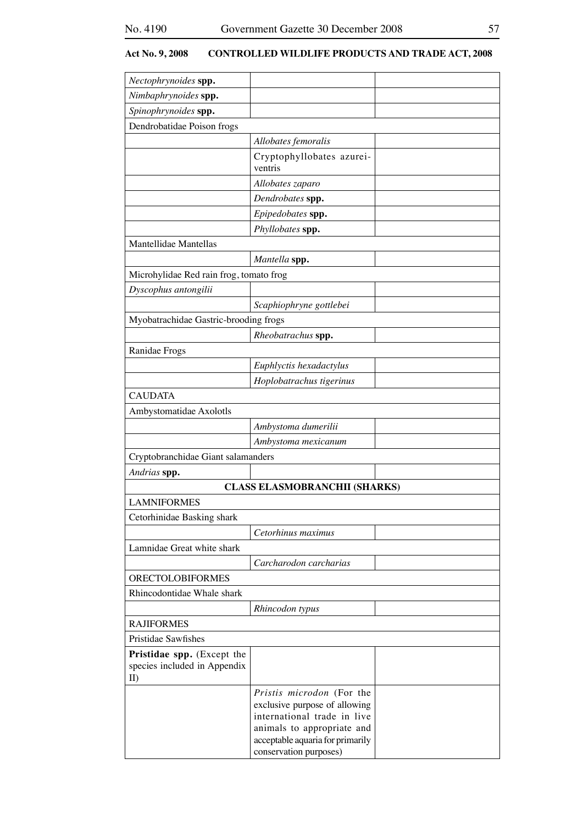| Nectophrynoides spp.                                              |                                                                                                                                                                                       |  |
|-------------------------------------------------------------------|---------------------------------------------------------------------------------------------------------------------------------------------------------------------------------------|--|
| Nimbaphrynoides spp.                                              |                                                                                                                                                                                       |  |
| Spinophrynoides spp.                                              |                                                                                                                                                                                       |  |
| Dendrobatidae Poison frogs                                        |                                                                                                                                                                                       |  |
|                                                                   | Allobates femoralis                                                                                                                                                                   |  |
|                                                                   | Cryptophyllobates azurei-<br>ventris                                                                                                                                                  |  |
|                                                                   | Allobates zaparo                                                                                                                                                                      |  |
|                                                                   | Dendrobates spp.                                                                                                                                                                      |  |
|                                                                   | Epipedobates spp.                                                                                                                                                                     |  |
|                                                                   | Phyllobates spp.                                                                                                                                                                      |  |
| Mantellidae Mantellas                                             |                                                                                                                                                                                       |  |
|                                                                   | Mantella spp.                                                                                                                                                                         |  |
| Microhylidae Red rain frog, tomato frog                           |                                                                                                                                                                                       |  |
| Dyscophus antongilii                                              |                                                                                                                                                                                       |  |
|                                                                   | Scaphiophryne gottlebei                                                                                                                                                               |  |
| Myobatrachidae Gastric-brooding frogs                             |                                                                                                                                                                                       |  |
|                                                                   | Rheobatrachus spp.                                                                                                                                                                    |  |
| Ranidae Frogs                                                     |                                                                                                                                                                                       |  |
|                                                                   | Euphlyctis hexadactylus                                                                                                                                                               |  |
|                                                                   | Hoplobatrachus tigerinus                                                                                                                                                              |  |
| <b>CAUDATA</b>                                                    |                                                                                                                                                                                       |  |
| Ambystomatidae Axolotls                                           |                                                                                                                                                                                       |  |
|                                                                   | Ambystoma dumerilii                                                                                                                                                                   |  |
|                                                                   | Ambystoma mexicanum                                                                                                                                                                   |  |
| Cryptobranchidae Giant salamanders                                |                                                                                                                                                                                       |  |
| Andrias spp.                                                      |                                                                                                                                                                                       |  |
|                                                                   | <b>CLASS ELASMOBRANCHII (SHARKS)</b>                                                                                                                                                  |  |
| <b>LAMNIFORMES</b>                                                |                                                                                                                                                                                       |  |
| Cetorhinidae Basking shark                                        |                                                                                                                                                                                       |  |
|                                                                   | Cetorhinus maximus                                                                                                                                                                    |  |
| Lamnidae Great white shark                                        |                                                                                                                                                                                       |  |
|                                                                   | Carcharodon carcharias                                                                                                                                                                |  |
| <b>ORECTOLOBIFORMES</b>                                           |                                                                                                                                                                                       |  |
| Rhincodontidae Whale shark                                        |                                                                                                                                                                                       |  |
|                                                                   | Rhincodon typus                                                                                                                                                                       |  |
| <b>RAJIFORMES</b>                                                 |                                                                                                                                                                                       |  |
| Pristidae Sawfishes                                               |                                                                                                                                                                                       |  |
| Pristidae spp. (Except the<br>species included in Appendix<br>II) |                                                                                                                                                                                       |  |
|                                                                   | Pristis microdon (For the<br>exclusive purpose of allowing<br>international trade in live<br>animals to appropriate and<br>acceptable aquaria for primarily<br>conservation purposes) |  |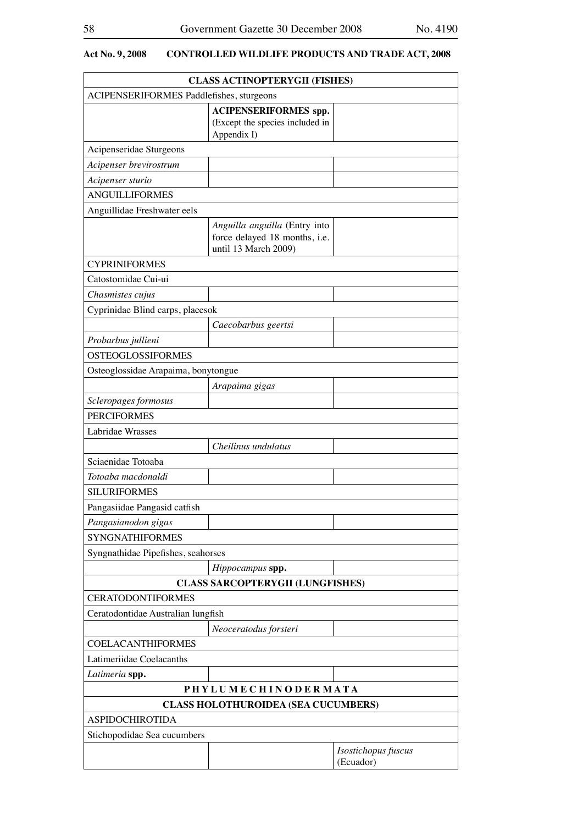| <b>CLASS ACTINOPTERYGII (FISHES)</b>       |                                                                                        |                                  |  |
|--------------------------------------------|----------------------------------------------------------------------------------------|----------------------------------|--|
|                                            | ACIPENSERIFORMES Paddlefishes, sturgeons                                               |                                  |  |
|                                            | <b>ACIPENSERIFORMES</b> spp.<br>(Except the species included in<br>Appendix I)         |                                  |  |
| Acipenseridae Sturgeons                    |                                                                                        |                                  |  |
| Acipenser brevirostrum                     |                                                                                        |                                  |  |
| Acipenser sturio                           |                                                                                        |                                  |  |
| <b>ANGUILLIFORMES</b>                      |                                                                                        |                                  |  |
| Anguillidae Freshwater eels                |                                                                                        |                                  |  |
|                                            | Anguilla anguilla (Entry into<br>force delayed 18 months, i.e.<br>until 13 March 2009) |                                  |  |
| <b>CYPRINIFORMES</b>                       |                                                                                        |                                  |  |
| Catostomidae Cui-ui                        |                                                                                        |                                  |  |
| Chasmistes cujus                           |                                                                                        |                                  |  |
| Cyprinidae Blind carps, plaeesok           |                                                                                        |                                  |  |
|                                            | Caecobarbus geertsi                                                                    |                                  |  |
| Probarbus jullieni                         |                                                                                        |                                  |  |
| <b>OSTEOGLOSSIFORMES</b>                   |                                                                                        |                                  |  |
| Osteoglossidae Arapaima, bonytongue        |                                                                                        |                                  |  |
|                                            | Arapaima gigas                                                                         |                                  |  |
| Scleropages formosus                       |                                                                                        |                                  |  |
| <b>PERCIFORMES</b>                         |                                                                                        |                                  |  |
| Labridae Wrasses                           |                                                                                        |                                  |  |
|                                            | Cheilinus undulatus                                                                    |                                  |  |
| Sciaenidae Totoaba                         |                                                                                        |                                  |  |
| Totoaba macdonaldi                         |                                                                                        |                                  |  |
| <b>SILURIFORMES</b>                        |                                                                                        |                                  |  |
| Pangasiidae Pangasid catfish               |                                                                                        |                                  |  |
| Pangasianodon gigas                        |                                                                                        |                                  |  |
| <b>SYNGNATHIFORMES</b>                     |                                                                                        |                                  |  |
| Syngnathidae Pipefishes, seahorses         |                                                                                        |                                  |  |
|                                            | Hippocampus spp.                                                                       |                                  |  |
|                                            | <b>CLASS SARCOPTERYGII (LUNGFISHES)</b>                                                |                                  |  |
| <b>CERATODONTIFORMES</b>                   |                                                                                        |                                  |  |
| Ceratodontidae Australian lungfish         |                                                                                        |                                  |  |
|                                            | Neoceratodus forsteri                                                                  |                                  |  |
| <b>COELACANTHIFORMES</b>                   |                                                                                        |                                  |  |
| Latimeriidae Coelacanths                   |                                                                                        |                                  |  |
| Latimeria spp.                             |                                                                                        |                                  |  |
| PHYLUMECHINODERMATA                        |                                                                                        |                                  |  |
| <b>CLASS HOLOTHUROIDEA (SEA CUCUMBERS)</b> |                                                                                        |                                  |  |
| <b>ASPIDOCHIROTIDA</b>                     |                                                                                        |                                  |  |
| Stichopodidae Sea cucumbers                |                                                                                        |                                  |  |
|                                            |                                                                                        | Isostichopus fuscus<br>(Ecuador) |  |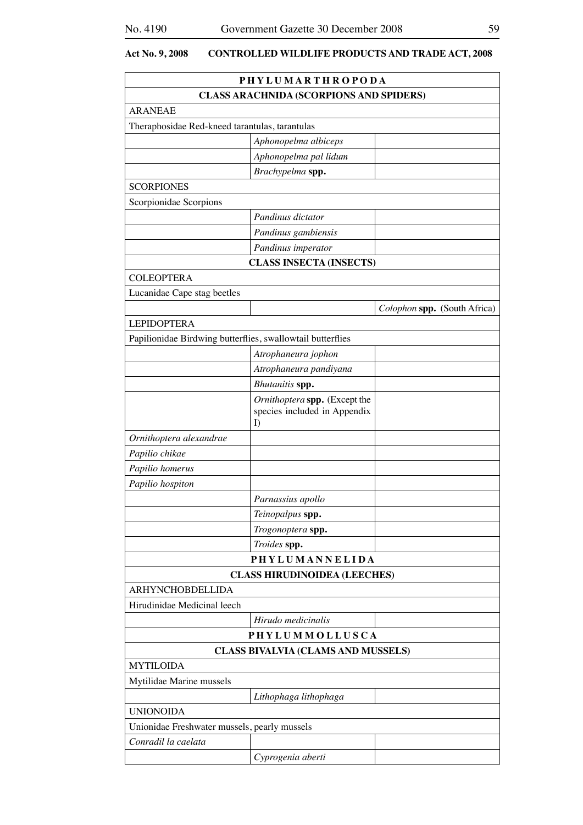|                                                            | <b>PHYLUMARTHROPODA</b>                   |                              |
|------------------------------------------------------------|-------------------------------------------|------------------------------|
| <b>CLASS ARACHNIDA (SCORPIONS AND SPIDERS)</b>             |                                           |                              |
| <b>ARANEAE</b>                                             |                                           |                              |
| Theraphosidae Red-kneed tarantulas, tarantulas             |                                           |                              |
|                                                            | Aphonopelma albiceps                      |                              |
|                                                            | Aphonopelma pal lidum                     |                              |
|                                                            | Brachypelma spp.                          |                              |
| <b>SCORPIONES</b>                                          |                                           |                              |
| Scorpionidae Scorpions                                     |                                           |                              |
|                                                            | Pandinus dictator                         |                              |
|                                                            | Pandinus gambiensis                       |                              |
|                                                            | Pandinus imperator                        |                              |
|                                                            | <b>CLASS INSECTA (INSECTS)</b>            |                              |
| <b>COLEOPTERA</b>                                          |                                           |                              |
| Lucanidae Cape stag beetles                                |                                           |                              |
|                                                            |                                           | Colophon spp. (South Africa) |
| <b>LEPIDOPTERA</b>                                         |                                           |                              |
| Papilionidae Birdwing butterflies, swallowtail butterflies |                                           |                              |
|                                                            | Atrophaneura jophon                       |                              |
|                                                            | Atrophaneura pandiyana                    |                              |
|                                                            | Bhutanitis spp.                           |                              |
|                                                            | Ornithoptera spp. (Except the             |                              |
|                                                            | species included in Appendix              |                              |
|                                                            | I)                                        |                              |
| Ornithoptera alexandrae                                    |                                           |                              |
| Papilio chikae                                             |                                           |                              |
| Papilio homerus                                            |                                           |                              |
| Papilio hospiton                                           |                                           |                              |
|                                                            | Parnassius apollo                         |                              |
|                                                            | Teinopalpus spp.                          |                              |
|                                                            | Trogonoptera spp.                         |                              |
|                                                            | Troides spp.                              |                              |
|                                                            | PHYLUMANNELIDA                            |                              |
|                                                            | <b>CLASS HIRUDINOIDEA (LEECHES)</b>       |                              |
| ARHYNCHOBDELLIDA                                           |                                           |                              |
| Hirudinidae Medicinal leech                                |                                           |                              |
|                                                            | Hirudo medicinalis                        |                              |
|                                                            | PHYLUMMOLLUSCA                            |                              |
|                                                            | <b>CLASS BIVALVIA (CLAMS AND MUSSELS)</b> |                              |
| <b>MYTILOIDA</b>                                           |                                           |                              |
| Mytilidae Marine mussels                                   |                                           |                              |
|                                                            | Lithophaga lithophaga                     |                              |
| <b>UNIONOIDA</b>                                           |                                           |                              |
| Unionidae Freshwater mussels, pearly mussels               |                                           |                              |
| Conradil la caelata                                        |                                           |                              |
|                                                            | Cyprogenia aberti                         |                              |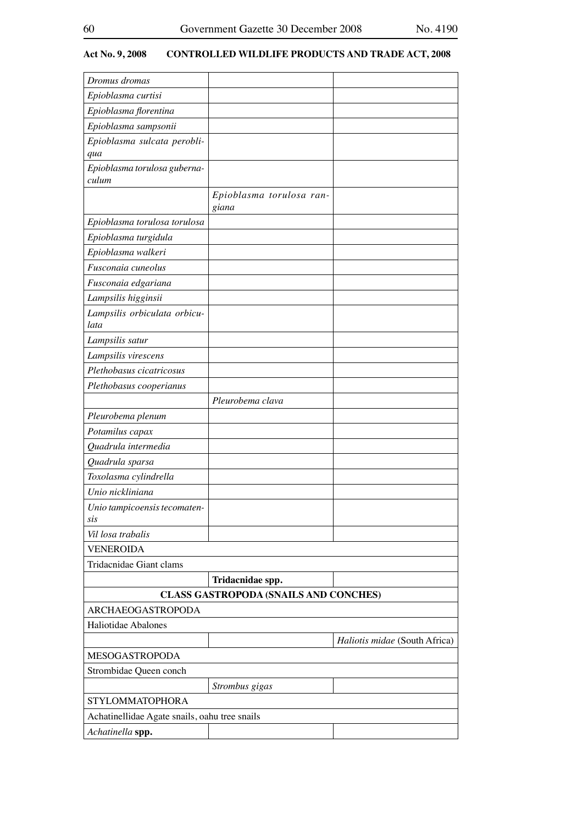| Dromus dromas                                 |                                              |                               |
|-----------------------------------------------|----------------------------------------------|-------------------------------|
| Epioblasma curtisi                            |                                              |                               |
| Epioblasma florentina                         |                                              |                               |
| Epioblasma sampsonii                          |                                              |                               |
| Epioblasma sulcata perobli-<br>qua            |                                              |                               |
| Epioblasma torulosa guberna-<br>culum         |                                              |                               |
|                                               | Epioblasma torulosa ran-<br>giana            |                               |
| Epioblasma torulosa torulosa                  |                                              |                               |
| Epioblasma turgidula                          |                                              |                               |
| Epioblasma walkeri                            |                                              |                               |
| Fusconaia cuneolus                            |                                              |                               |
| Fusconaia edgariana                           |                                              |                               |
| Lampsilis higginsii                           |                                              |                               |
| Lampsilis orbiculata orbicu-<br>lata          |                                              |                               |
| Lampsilis satur                               |                                              |                               |
| Lampsilis virescens                           |                                              |                               |
| Plethobasus cicatricosus                      |                                              |                               |
| Plethobasus cooperianus                       |                                              |                               |
|                                               | Pleurobema clava                             |                               |
| Pleurobema plenum                             |                                              |                               |
| Potamilus capax                               |                                              |                               |
| Quadrula intermedia                           |                                              |                               |
| Quadrula sparsa                               |                                              |                               |
| Toxolasma cylindrella                         |                                              |                               |
| Unio nickliniana                              |                                              |                               |
| Unio tampicoensis tecomaten-<br>sis           |                                              |                               |
| Vil losa trabalis                             |                                              |                               |
| <b>VENEROIDA</b>                              |                                              |                               |
| Tridacnidae Giant clams                       |                                              |                               |
|                                               | Tridacnidae spp.                             |                               |
|                                               | <b>CLASS GASTROPODA (SNAILS AND CONCHES)</b> |                               |
| <b>ARCHAEOGASTROPODA</b>                      |                                              |                               |
| Haliotidae Abalones                           |                                              |                               |
|                                               |                                              | Haliotis midae (South Africa) |
| MESOGASTROPODA                                |                                              |                               |
| Strombidae Queen conch                        |                                              |                               |
|                                               | Strombus gigas                               |                               |
| <b>STYLOMMATOPHORA</b>                        |                                              |                               |
| Achatinellidae Agate snails, oahu tree snails |                                              |                               |
| Achatinella spp.                              |                                              |                               |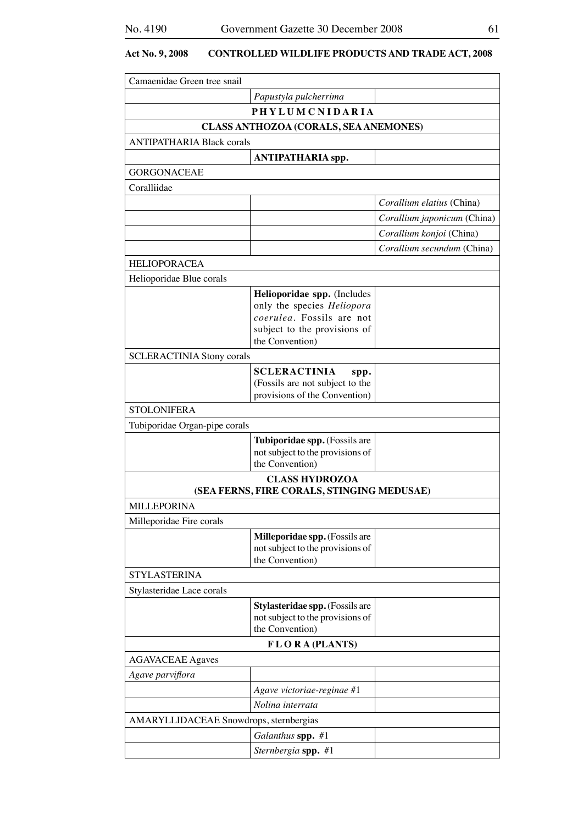| Camaenidae Green tree snail            |                                                           |                             |  |
|----------------------------------------|-----------------------------------------------------------|-----------------------------|--|
|                                        | Papustyla pulcherrima                                     |                             |  |
|                                        | PHYLUMCNIDARIA                                            |                             |  |
|                                        | <b>CLASS ANTHOZOA (CORALS, SEA ANEMONES)</b>              |                             |  |
| <b>ANTIPATHARIA Black corals</b>       |                                                           |                             |  |
|                                        | <b>ANTIPATHARIA spp.</b>                                  |                             |  |
| <b>GORGONACEAE</b>                     |                                                           |                             |  |
| Coralliidae                            |                                                           |                             |  |
|                                        |                                                           | Corallium elatius (China)   |  |
|                                        |                                                           | Corallium japonicum (China) |  |
|                                        |                                                           | Corallium konjoi (China)    |  |
|                                        |                                                           | Corallium secundum (China)  |  |
| <b>HELIOPORACEA</b>                    |                                                           |                             |  |
| Helioporidae Blue corals               |                                                           |                             |  |
|                                        | Helioporidae spp. (Includes                               |                             |  |
|                                        | only the species Heliopora                                |                             |  |
|                                        | coerulea. Fossils are not<br>subject to the provisions of |                             |  |
|                                        | the Convention)                                           |                             |  |
| <b>SCLERACTINIA Stony corals</b>       |                                                           |                             |  |
|                                        | <b>SCLERACTINIA</b><br>spp.                               |                             |  |
|                                        | (Fossils are not subject to the                           |                             |  |
|                                        | provisions of the Convention)                             |                             |  |
| <b>STOLONIFERA</b>                     |                                                           |                             |  |
| Tubiporidae Organ-pipe corals          |                                                           |                             |  |
|                                        | Tubiporidae spp. (Fossils are                             |                             |  |
|                                        | not subject to the provisions of<br>the Convention)       |                             |  |
|                                        | <b>CLASS HYDROZOA</b>                                     |                             |  |
|                                        | (SEA FERNS, FIRE CORALS, STINGING MEDUSAE)                |                             |  |
| <b>MILLEPORINA</b>                     |                                                           |                             |  |
| Milleporidae Fire corals               |                                                           |                             |  |
|                                        | Milleporidae spp. (Fossils are                            |                             |  |
|                                        | not subject to the provisions of                          |                             |  |
|                                        | the Convention)                                           |                             |  |
| <b>STYLASTERINA</b>                    |                                                           |                             |  |
| Stylasteridae Lace corals              |                                                           |                             |  |
|                                        | Stylasteridae spp. (Fossils are                           |                             |  |
|                                        | not subject to the provisions of<br>the Convention)       |                             |  |
|                                        | FLORA (PLANTS)                                            |                             |  |
| <b>AGAVACEAE Agaves</b>                |                                                           |                             |  |
| Agave parviflora                       |                                                           |                             |  |
|                                        | Agave victoriae-reginae #1                                |                             |  |
|                                        | Nolina interrata                                          |                             |  |
|                                        |                                                           |                             |  |
| AMARYLLIDACEAE Snowdrops, sternbergias |                                                           |                             |  |
|                                        | Galanthus spp. #1                                         |                             |  |
|                                        | Sternbergia spp. #1                                       |                             |  |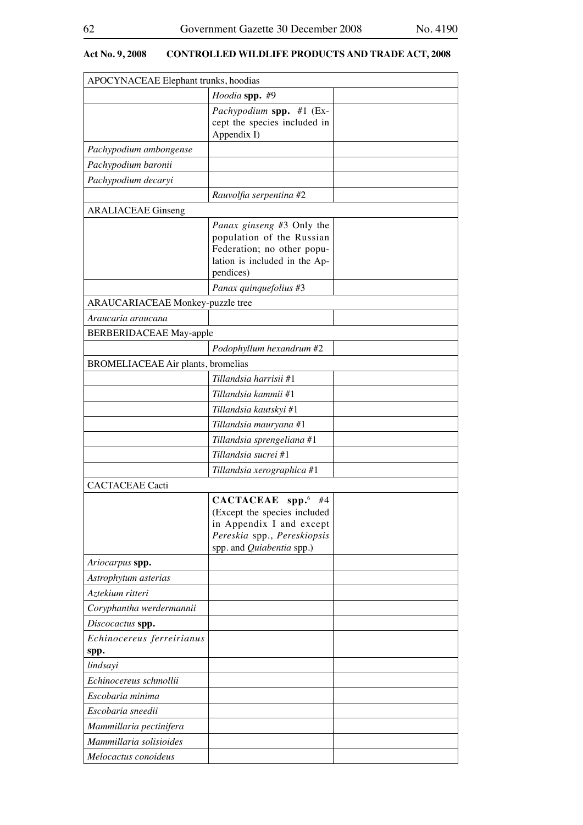| APOCYNACEAE Elephant trunks, hoodias |                                                                                                                                                        |  |
|--------------------------------------|--------------------------------------------------------------------------------------------------------------------------------------------------------|--|
|                                      | Hoodia spp. #9                                                                                                                                         |  |
|                                      | Pachypodium spp. #1 (Ex-<br>cept the species included in<br>Appendix I)                                                                                |  |
| Pachypodium ambongense               |                                                                                                                                                        |  |
| Pachypodium baronii                  |                                                                                                                                                        |  |
| Pachypodium decaryi                  |                                                                                                                                                        |  |
|                                      | Rauvolfia serpentina #2                                                                                                                                |  |
| <b>ARALIACEAE Ginseng</b>            |                                                                                                                                                        |  |
|                                      | Panax ginseng #3 Only the<br>population of the Russian<br>Federation; no other popu-<br>lation is included in the Ap-<br>pendices)                     |  |
|                                      | Panax quinquefolius #3                                                                                                                                 |  |
| ARAUCARIACEAE Monkey-puzzle tree     |                                                                                                                                                        |  |
| Araucaria araucana                   |                                                                                                                                                        |  |
| BERBERIDACEAE May-apple              |                                                                                                                                                        |  |
|                                      | Podophyllum hexandrum #2                                                                                                                               |  |
| BROMELIACEAE Air plants, bromelias   |                                                                                                                                                        |  |
|                                      | Tillandsia harrisii #1                                                                                                                                 |  |
|                                      | Tillandsia kammii #1                                                                                                                                   |  |
|                                      | Tillandsia kautskyi #1                                                                                                                                 |  |
|                                      | Tillandsia mauryana #1                                                                                                                                 |  |
|                                      | Tillandsia sprengeliana #1                                                                                                                             |  |
|                                      | Tillandsia sucrei #1                                                                                                                                   |  |
|                                      | Tillandsia xerographica #1                                                                                                                             |  |
| <b>CACTACEAE Cacti</b>               |                                                                                                                                                        |  |
|                                      | CACTACEAE spp. <sup>6</sup> #4<br>(Except the species included<br>in Appendix I and except<br>Pereskia spp., Pereskiopsis<br>spp. and Quiabentia spp.) |  |
| Ariocarpus spp.                      |                                                                                                                                                        |  |
| Astrophytum asterias                 |                                                                                                                                                        |  |
| Aztekium ritteri                     |                                                                                                                                                        |  |
| Coryphantha werdermannii             |                                                                                                                                                        |  |
| Discocactus spp.                     |                                                                                                                                                        |  |
| Echinocereus ferreirianus<br>spp.    |                                                                                                                                                        |  |
| lindsayi                             |                                                                                                                                                        |  |
| Echinocereus schmollii               |                                                                                                                                                        |  |
| Escobaria minima                     |                                                                                                                                                        |  |
| Escobaria sneedii                    |                                                                                                                                                        |  |
| Mammillaria pectinifera              |                                                                                                                                                        |  |
| Mammillaria solisioides              |                                                                                                                                                        |  |
| Melocactus conoideus                 |                                                                                                                                                        |  |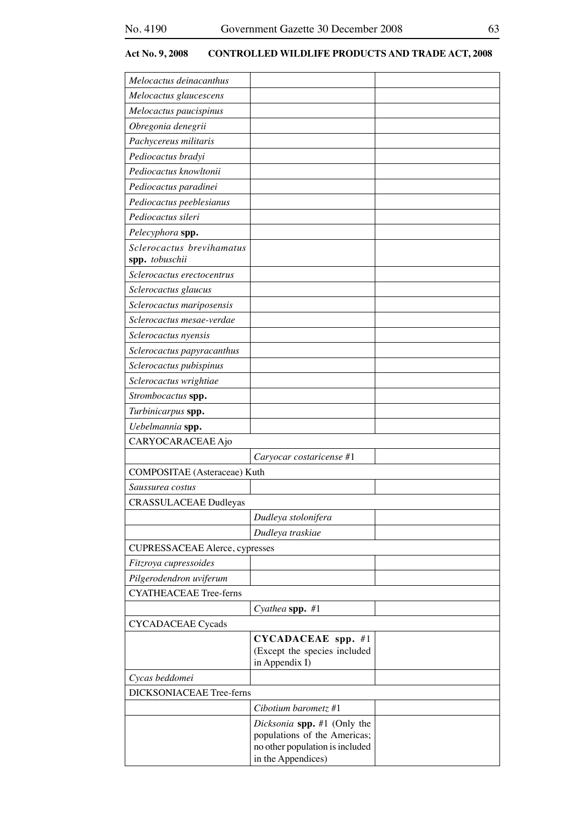| Melocactus deinacanthus                     |                                                                                                                      |  |
|---------------------------------------------|----------------------------------------------------------------------------------------------------------------------|--|
| Melocactus glaucescens                      |                                                                                                                      |  |
| Melocactus paucispinus                      |                                                                                                                      |  |
| Obregonia denegrii                          |                                                                                                                      |  |
| Pachycereus militaris                       |                                                                                                                      |  |
| Pediocactus bradyi                          |                                                                                                                      |  |
| Pediocactus knowltonii                      |                                                                                                                      |  |
| Pediocactus paradinei                       |                                                                                                                      |  |
| Pediocactus peeblesianus                    |                                                                                                                      |  |
| Pediocactus sileri                          |                                                                                                                      |  |
| Pelecyphora spp.                            |                                                                                                                      |  |
| Sclerocactus brevihamatus<br>spp. tobuschii |                                                                                                                      |  |
| Sclerocactus erectocentrus                  |                                                                                                                      |  |
| Sclerocactus glaucus                        |                                                                                                                      |  |
| Sclerocactus mariposensis                   |                                                                                                                      |  |
| Sclerocactus mesae-verdae                   |                                                                                                                      |  |
| Sclerocactus nyensis                        |                                                                                                                      |  |
| Sclerocactus papyracanthus                  |                                                                                                                      |  |
| Sclerocactus pubispinus                     |                                                                                                                      |  |
| Sclerocactus wrightiae                      |                                                                                                                      |  |
| Strombocactus spp.                          |                                                                                                                      |  |
| Turbinicarpus spp.                          |                                                                                                                      |  |
| Uebelmannia spp.                            |                                                                                                                      |  |
| CARYOCARACEAE Ajo                           |                                                                                                                      |  |
|                                             | Caryocar costaricense #1                                                                                             |  |
| COMPOSITAE (Asteraceae) Kuth                |                                                                                                                      |  |
| Saussurea costus                            |                                                                                                                      |  |
| <b>CRASSULACEAE Dudleyas</b>                |                                                                                                                      |  |
|                                             | Dudleya stolonifera                                                                                                  |  |
|                                             | Dudleya traskiae                                                                                                     |  |
| <b>CUPRESSACEAE Alerce, cypresses</b>       |                                                                                                                      |  |
| Fitzroya cupressoides                       |                                                                                                                      |  |
| Pilgerodendron uviferum                     |                                                                                                                      |  |
| <b>CYATHEACEAE</b> Tree-ferns               |                                                                                                                      |  |
|                                             | Cyathea spp. #1                                                                                                      |  |
| <b>CYCADACEAE</b> Cycads                    |                                                                                                                      |  |
|                                             | CYCADACEAE spp. #1                                                                                                   |  |
|                                             | (Except the species included<br>in Appendix I)                                                                       |  |
| Cycas beddomei                              |                                                                                                                      |  |
| DICKSONIACEAE Tree-ferns                    |                                                                                                                      |  |
|                                             | Cibotium barometz #1                                                                                                 |  |
|                                             | Dicksonia spp. #1 (Only the<br>populations of the Americas;<br>no other population is included<br>in the Appendices) |  |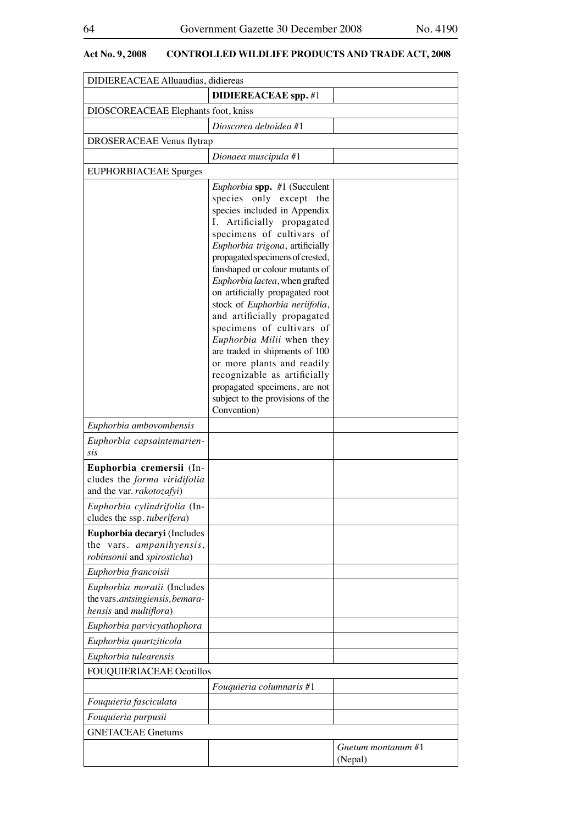| DIDIEREACEAE Alluaudias, didiereas                                                                                    |                                                                                                                                                                                                                                                                                                                                                                                                                                                                                                                                                                                                                                                 |                               |  |
|-----------------------------------------------------------------------------------------------------------------------|-------------------------------------------------------------------------------------------------------------------------------------------------------------------------------------------------------------------------------------------------------------------------------------------------------------------------------------------------------------------------------------------------------------------------------------------------------------------------------------------------------------------------------------------------------------------------------------------------------------------------------------------------|-------------------------------|--|
|                                                                                                                       | <b>DIDIEREACEAE</b> spp. #1                                                                                                                                                                                                                                                                                                                                                                                                                                                                                                                                                                                                                     |                               |  |
| DIOSCOREACEAE Elephants foot, kniss                                                                                   |                                                                                                                                                                                                                                                                                                                                                                                                                                                                                                                                                                                                                                                 |                               |  |
|                                                                                                                       | Dioscorea deltoidea #1                                                                                                                                                                                                                                                                                                                                                                                                                                                                                                                                                                                                                          |                               |  |
| DROSERACEAE Venus flytrap                                                                                             |                                                                                                                                                                                                                                                                                                                                                                                                                                                                                                                                                                                                                                                 |                               |  |
|                                                                                                                       | Dionaea muscipula #1                                                                                                                                                                                                                                                                                                                                                                                                                                                                                                                                                                                                                            |                               |  |
| EUPHORBIACEAE Spurges                                                                                                 |                                                                                                                                                                                                                                                                                                                                                                                                                                                                                                                                                                                                                                                 |                               |  |
|                                                                                                                       | Euphorbia spp. #1 (Succulent<br>species only except the<br>species included in Appendix<br>I. Artificially propagated<br>specimens of cultivars of<br>Euphorbia trigona, artificially<br>propagated specimens of crested,<br>fanshaped or colour mutants of<br>Euphorbia lactea, when grafted<br>on artificially propagated root<br>stock of Euphorbia neriifolia,<br>and artificially propagated<br>specimens of cultivars of<br>Euphorbia Milii when they<br>are traded in shipments of 100<br>or more plants and readily<br>recognizable as artificially<br>propagated specimens, are not<br>subject to the provisions of the<br>Convention) |                               |  |
| Euphorbia ambovombensis                                                                                               |                                                                                                                                                                                                                                                                                                                                                                                                                                                                                                                                                                                                                                                 |                               |  |
| Euphorbia capsaintemarien-<br>sis                                                                                     |                                                                                                                                                                                                                                                                                                                                                                                                                                                                                                                                                                                                                                                 |                               |  |
| Euphorbia cremersii (In-<br>cludes the forma viridifolia<br>and the var. rakotozafyi)<br>Euphorbia cylindrifolia (In- |                                                                                                                                                                                                                                                                                                                                                                                                                                                                                                                                                                                                                                                 |                               |  |
| cludes the ssp. tuberifera)                                                                                           |                                                                                                                                                                                                                                                                                                                                                                                                                                                                                                                                                                                                                                                 |                               |  |
| Euphorbia decaryi (Includes<br>the vars. ampanihyensis,<br>robinsonii and spirosticha)                                |                                                                                                                                                                                                                                                                                                                                                                                                                                                                                                                                                                                                                                                 |                               |  |
| Euphorbia francoisii                                                                                                  |                                                                                                                                                                                                                                                                                                                                                                                                                                                                                                                                                                                                                                                 |                               |  |
| Euphorbia moratii (Includes<br>the vars.antsingiensis, bemara-<br>hensis and multiflora)                              |                                                                                                                                                                                                                                                                                                                                                                                                                                                                                                                                                                                                                                                 |                               |  |
| Euphorbia parvicyathophora                                                                                            |                                                                                                                                                                                                                                                                                                                                                                                                                                                                                                                                                                                                                                                 |                               |  |
| Euphorbia quartziticola                                                                                               |                                                                                                                                                                                                                                                                                                                                                                                                                                                                                                                                                                                                                                                 |                               |  |
| Euphorbia tulearensis                                                                                                 |                                                                                                                                                                                                                                                                                                                                                                                                                                                                                                                                                                                                                                                 |                               |  |
| <b>FOUQUIERIACEAE Ocotillos</b>                                                                                       |                                                                                                                                                                                                                                                                                                                                                                                                                                                                                                                                                                                                                                                 |                               |  |
|                                                                                                                       | Fouquieria columnaris #1                                                                                                                                                                                                                                                                                                                                                                                                                                                                                                                                                                                                                        |                               |  |
| Fouquieria fasciculata                                                                                                |                                                                                                                                                                                                                                                                                                                                                                                                                                                                                                                                                                                                                                                 |                               |  |
| Fouquieria purpusii                                                                                                   |                                                                                                                                                                                                                                                                                                                                                                                                                                                                                                                                                                                                                                                 |                               |  |
| <b>GNETACEAE Gnetums</b>                                                                                              |                                                                                                                                                                                                                                                                                                                                                                                                                                                                                                                                                                                                                                                 |                               |  |
|                                                                                                                       |                                                                                                                                                                                                                                                                                                                                                                                                                                                                                                                                                                                                                                                 | Gnetum montanum #1<br>(Nepal) |  |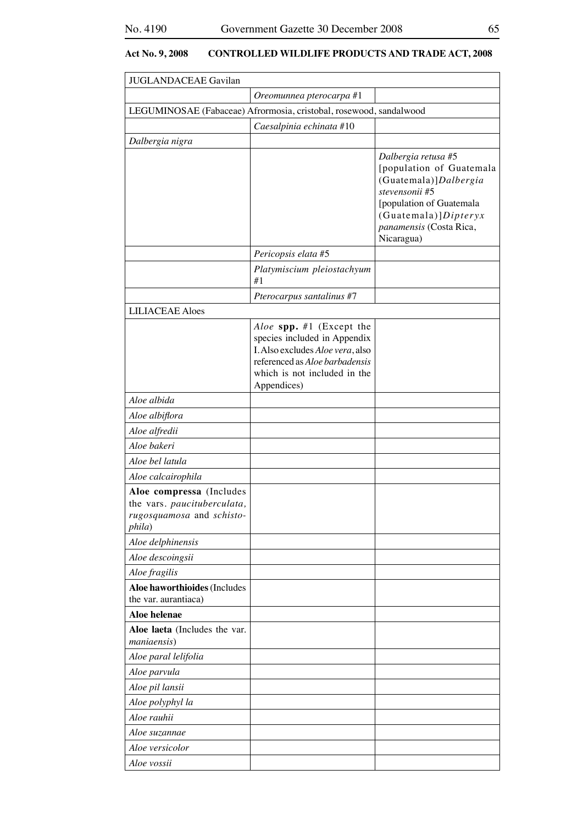| <b>JUGLANDACEAE Gavilan</b>                                                                    |                                                                                                                                                                               |                                                                                                                                                                                            |  |
|------------------------------------------------------------------------------------------------|-------------------------------------------------------------------------------------------------------------------------------------------------------------------------------|--------------------------------------------------------------------------------------------------------------------------------------------------------------------------------------------|--|
|                                                                                                | Oreomunnea pterocarpa #1                                                                                                                                                      |                                                                                                                                                                                            |  |
| LEGUMINOSAE (Fabaceae) Afrormosia, cristobal, rosewood, sandalwood                             |                                                                                                                                                                               |                                                                                                                                                                                            |  |
|                                                                                                | Caesalpinia echinata #10                                                                                                                                                      |                                                                                                                                                                                            |  |
| Dalbergia nigra                                                                                |                                                                                                                                                                               |                                                                                                                                                                                            |  |
|                                                                                                |                                                                                                                                                                               | Dalbergia retusa #5<br>[population of Guatemala<br>(Guatemala)]Dalbergia<br>stevensonii #5<br>[population of Guatemala<br>$(Guatemala)]$ Dipteryx<br>panamensis (Costa Rica,<br>Nicaragua) |  |
|                                                                                                | Pericopsis elata #5                                                                                                                                                           |                                                                                                                                                                                            |  |
|                                                                                                | Platymiscium pleiostachyum<br>#1                                                                                                                                              |                                                                                                                                                                                            |  |
|                                                                                                | Pterocarpus santalinus #7                                                                                                                                                     |                                                                                                                                                                                            |  |
| <b>LILIACEAE</b> Aloes                                                                         |                                                                                                                                                                               |                                                                                                                                                                                            |  |
|                                                                                                | Aloe spp. #1 (Except the<br>species included in Appendix<br>I. Also excludes Aloe vera, also<br>referenced as Aloe barbadensis<br>which is not included in the<br>Appendices) |                                                                                                                                                                                            |  |
| Aloe albida                                                                                    |                                                                                                                                                                               |                                                                                                                                                                                            |  |
| Aloe albiflora                                                                                 |                                                                                                                                                                               |                                                                                                                                                                                            |  |
| Aloe alfredii                                                                                  |                                                                                                                                                                               |                                                                                                                                                                                            |  |
| Aloe bakeri                                                                                    |                                                                                                                                                                               |                                                                                                                                                                                            |  |
| Aloe bel latula                                                                                |                                                                                                                                                                               |                                                                                                                                                                                            |  |
| Aloe calcairophila                                                                             |                                                                                                                                                                               |                                                                                                                                                                                            |  |
| Aloe compressa (Includes<br>the vars. paucituberculata,<br>rugosquamosa and schisto-<br>phila) |                                                                                                                                                                               |                                                                                                                                                                                            |  |
| Aloe delphinensis                                                                              |                                                                                                                                                                               |                                                                                                                                                                                            |  |
| Aloe descoingsii                                                                               |                                                                                                                                                                               |                                                                                                                                                                                            |  |
| Aloe fragilis                                                                                  |                                                                                                                                                                               |                                                                                                                                                                                            |  |
| Aloe haworthioides (Includes<br>the var. aurantiaca)                                           |                                                                                                                                                                               |                                                                                                                                                                                            |  |
| Aloe helenae                                                                                   |                                                                                                                                                                               |                                                                                                                                                                                            |  |
| Aloe laeta (Includes the var.<br>maniaensis)                                                   |                                                                                                                                                                               |                                                                                                                                                                                            |  |
| Aloe paral lelifolia                                                                           |                                                                                                                                                                               |                                                                                                                                                                                            |  |
| Aloe parvula                                                                                   |                                                                                                                                                                               |                                                                                                                                                                                            |  |
| Aloe pil lansii                                                                                |                                                                                                                                                                               |                                                                                                                                                                                            |  |
| Aloe polyphyl la                                                                               |                                                                                                                                                                               |                                                                                                                                                                                            |  |
| Aloe rauhii                                                                                    |                                                                                                                                                                               |                                                                                                                                                                                            |  |
| Aloe suzannae                                                                                  |                                                                                                                                                                               |                                                                                                                                                                                            |  |
| Aloe versicolor                                                                                |                                                                                                                                                                               |                                                                                                                                                                                            |  |
| Aloe vossii                                                                                    |                                                                                                                                                                               |                                                                                                                                                                                            |  |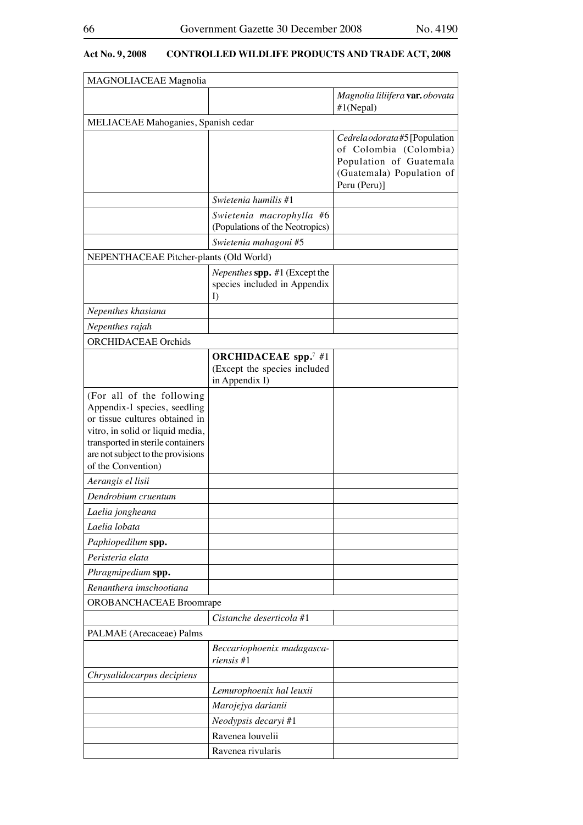| MAGNOLIACEAE Magnolia                                                                                                                                                                                                           |                                                                                           |                                                                                                                                |  |
|---------------------------------------------------------------------------------------------------------------------------------------------------------------------------------------------------------------------------------|-------------------------------------------------------------------------------------------|--------------------------------------------------------------------------------------------------------------------------------|--|
|                                                                                                                                                                                                                                 |                                                                                           | Magnolia liliifera var. obovata<br>#1(Nepal)                                                                                   |  |
| MELIACEAE Mahoganies, Spanish cedar                                                                                                                                                                                             |                                                                                           |                                                                                                                                |  |
|                                                                                                                                                                                                                                 |                                                                                           | Cedrelaodorata#5 [Population<br>of Colombia (Colombia)<br>Population of Guatemala<br>(Guatemala) Population of<br>Peru (Peru)] |  |
|                                                                                                                                                                                                                                 | Swietenia humilis #1                                                                      |                                                                                                                                |  |
|                                                                                                                                                                                                                                 | Swietenia macrophylla #6<br>(Populations of the Neotropics)                               |                                                                                                                                |  |
|                                                                                                                                                                                                                                 | Swietenia mahagoni #5                                                                     |                                                                                                                                |  |
| NEPENTHACEAE Pitcher-plants (Old World)                                                                                                                                                                                         |                                                                                           |                                                                                                                                |  |
|                                                                                                                                                                                                                                 | Nepenthes spp. #1 (Except the<br>species included in Appendix<br>I)                       |                                                                                                                                |  |
| Nepenthes khasiana                                                                                                                                                                                                              |                                                                                           |                                                                                                                                |  |
| Nepenthes rajah                                                                                                                                                                                                                 |                                                                                           |                                                                                                                                |  |
| <b>ORCHIDACEAE Orchids</b>                                                                                                                                                                                                      |                                                                                           |                                                                                                                                |  |
|                                                                                                                                                                                                                                 | <b>ORCHIDACEAE</b> spp. <sup>7</sup> #1<br>(Except the species included<br>in Appendix I) |                                                                                                                                |  |
| (For all of the following<br>Appendix-I species, seedling<br>or tissue cultures obtained in<br>vitro, in solid or liquid media,<br>transported in sterile containers<br>are not subject to the provisions<br>of the Convention) |                                                                                           |                                                                                                                                |  |
| Aerangis el lisii                                                                                                                                                                                                               |                                                                                           |                                                                                                                                |  |
| Dendrobium cruentum                                                                                                                                                                                                             |                                                                                           |                                                                                                                                |  |
| Laelia jongheana                                                                                                                                                                                                                |                                                                                           |                                                                                                                                |  |
| Laelia lobata                                                                                                                                                                                                                   |                                                                                           |                                                                                                                                |  |
| Paphiopedilum spp.                                                                                                                                                                                                              |                                                                                           |                                                                                                                                |  |
| Peristeria elata                                                                                                                                                                                                                |                                                                                           |                                                                                                                                |  |
| Phragmipedium spp.                                                                                                                                                                                                              |                                                                                           |                                                                                                                                |  |
| Renanthera imschootiana                                                                                                                                                                                                         |                                                                                           |                                                                                                                                |  |
| OROBANCHACEAE Broomrape                                                                                                                                                                                                         |                                                                                           |                                                                                                                                |  |
|                                                                                                                                                                                                                                 | Cistanche deserticola #1                                                                  |                                                                                                                                |  |
| PALMAE (Arecaceae) Palms                                                                                                                                                                                                        |                                                                                           |                                                                                                                                |  |
|                                                                                                                                                                                                                                 | Beccariophoenix madagasca-<br>riensis#1                                                   |                                                                                                                                |  |
| Chrysalidocarpus decipiens                                                                                                                                                                                                      |                                                                                           |                                                                                                                                |  |
|                                                                                                                                                                                                                                 | Lemurophoenix hal leuxii                                                                  |                                                                                                                                |  |
|                                                                                                                                                                                                                                 | Marojejya darianii                                                                        |                                                                                                                                |  |
|                                                                                                                                                                                                                                 | Neodypsis decaryi #1                                                                      |                                                                                                                                |  |
|                                                                                                                                                                                                                                 | Ravenea louvelii                                                                          |                                                                                                                                |  |
|                                                                                                                                                                                                                                 | Ravenea rivularis                                                                         |                                                                                                                                |  |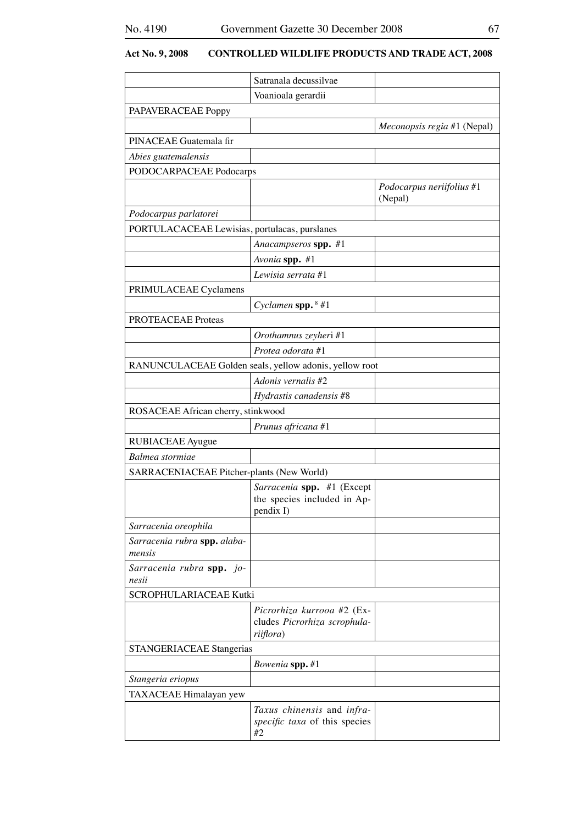|                                               | Satranala decussilvae                                                   |                                      |  |
|-----------------------------------------------|-------------------------------------------------------------------------|--------------------------------------|--|
|                                               | Voanioala gerardii                                                      |                                      |  |
| PAPAVERACEAE Poppy                            |                                                                         |                                      |  |
|                                               |                                                                         | Meconopsis regia #1 (Nepal)          |  |
| PINACEAE Guatemala fir                        |                                                                         |                                      |  |
| Abies guatemalensis                           |                                                                         |                                      |  |
| PODOCARPACEAE Podocarps                       |                                                                         |                                      |  |
|                                               |                                                                         | Podocarpus neriifolius #1<br>(Nepal) |  |
| Podocarpus parlatorei                         |                                                                         |                                      |  |
| PORTULACACEAE Lewisias, portulacas, purslanes |                                                                         |                                      |  |
|                                               | Anacampseros spp. #1                                                    |                                      |  |
|                                               | Avonia spp. #1                                                          |                                      |  |
|                                               | Lewisia serrata #1                                                      |                                      |  |
| PRIMULACEAE Cyclamens                         |                                                                         |                                      |  |
|                                               | Cyclamen spp. $8#1$                                                     |                                      |  |
| PROTEACEAE Proteas                            |                                                                         |                                      |  |
|                                               | Orothamnus zeyheri #1                                                   |                                      |  |
|                                               | Protea odorata #1                                                       |                                      |  |
|                                               | RANUNCULACEAE Golden seals, yellow adonis, yellow root                  |                                      |  |
|                                               | Adonis vernalis #2                                                      |                                      |  |
|                                               | Hydrastis canadensis #8                                                 |                                      |  |
| ROSACEAE African cherry, stinkwood            |                                                                         |                                      |  |
|                                               | Prunus africana #1                                                      |                                      |  |
| RUBIACEAE Ayugue                              |                                                                         |                                      |  |
| Balmea stormiae                               |                                                                         |                                      |  |
| SARRACENIACEAE Pitcher-plants (New World)     |                                                                         |                                      |  |
|                                               | Sarracenia spp. #1 (Except<br>the species included in Ap-<br>pendix I)  |                                      |  |
| Sarracenia oreophila                          |                                                                         |                                      |  |
| Sarracenia rubra spp. alaba-<br>mensis        |                                                                         |                                      |  |
| Sarracenia rubra spp. jo-<br>nesii            |                                                                         |                                      |  |
| <b>SCROPHULARIACEAE Kutki</b>                 |                                                                         |                                      |  |
|                                               | Picrorhiza kurrooa #2 (Ex-<br>cludes Picrorhiza scrophula-<br>riiflora) |                                      |  |
|                                               | STANGERIACEAE Stangerias                                                |                                      |  |
|                                               | Bowenia spp. #1                                                         |                                      |  |
| Stangeria eriopus                             |                                                                         |                                      |  |
| TAXACEAE Himalayan yew                        |                                                                         |                                      |  |
|                                               | Taxus chinensis and infra-<br>specific taxa of this species<br>#2       |                                      |  |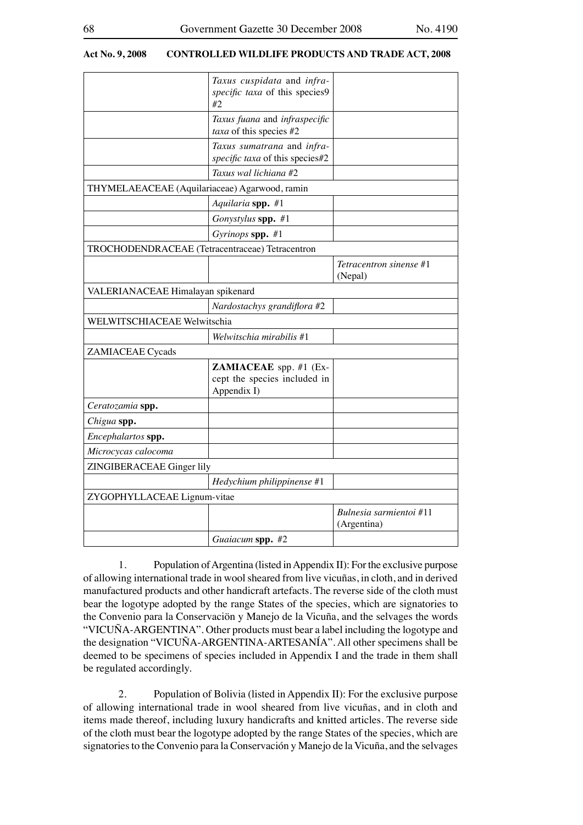|                                               | Taxus cuspidata and infra-<br>specific taxa of this species9<br>#2           |                                           |
|-----------------------------------------------|------------------------------------------------------------------------------|-------------------------------------------|
|                                               | Taxus fuana and infraspecific<br>taxa of this species #2                     |                                           |
|                                               | Taxus sumatrana and infra-<br>specific taxa of this species#2                |                                           |
|                                               | Taxus wal lichiana #2                                                        |                                           |
| THYMELAEACEAE (Aquilariaceae) Agarwood, ramin |                                                                              |                                           |
|                                               | Aquilaria spp. #1                                                            |                                           |
|                                               | Gonystylus spp. #1                                                           |                                           |
|                                               | Gyrinops spp. #1                                                             |                                           |
|                                               | TROCHODENDRACEAE (Tetracentraceae) Tetracentron                              |                                           |
|                                               |                                                                              | <i>Tetracentron sinense</i> #1<br>(Nepal) |
| VALERIANACEAE Himalayan spikenard             |                                                                              |                                           |
|                                               | Nardostachys grandiflora #2                                                  |                                           |
| WELWITSCHIACEAE Welwitschia                   |                                                                              |                                           |
|                                               | Welwitschia mirabilis #1                                                     |                                           |
| ZAMIACEAE Cycads                              |                                                                              |                                           |
|                                               | <b>ZAMIACEAE</b> spp. #1 (Ex-<br>cept the species included in<br>Appendix I) |                                           |
| Ceratozamia spp.                              |                                                                              |                                           |
| Chigua spp.                                   |                                                                              |                                           |
| Encephalartos spp.                            |                                                                              |                                           |
| Microcycas calocoma                           |                                                                              |                                           |
| ZINGIBERACEAE Ginger lily                     |                                                                              |                                           |
|                                               | Hedychium philippinense #1                                                   |                                           |
| ZYGOPHYLLACEAE Lignum-vitae                   |                                                                              |                                           |
|                                               |                                                                              | Bulnesia sarmientoi #11<br>(Argentina)    |
|                                               | Guaiacum spp. #2                                                             |                                           |

1. Population of Argentina (listed in Appendix II): For the exclusive purpose of allowing international trade in wool sheared from live vicuñas, in cloth, and in derived manufactured products and other handicraft artefacts. The reverse side of the cloth must bear the logotype adopted by the range States of the species, which are signatories to the Convenio para la Conservaciön y Manejo de la Vicuña, and the selvages the words "VICUÑA-ARGENTINA". Other products must bear a label including the logotype and the designation "VICUÑA-ARGENTINA-ARTESANÍA". All other specimens shall be deemed to be specimens of species included in Appendix I and the trade in them shall be regulated accordingly.

2. Population of Bolivia (listed in Appendix II): For the exclusive purpose of allowing international trade in wool sheared from live vicuñas, and in cloth and items made thereof, including luxury handicrafts and knitted articles. The reverse side of the cloth must bear the logotype adopted by the range States of the species, which are signatories to the Convenio para la Conservación y Manejo de la Vicuña, and the selvages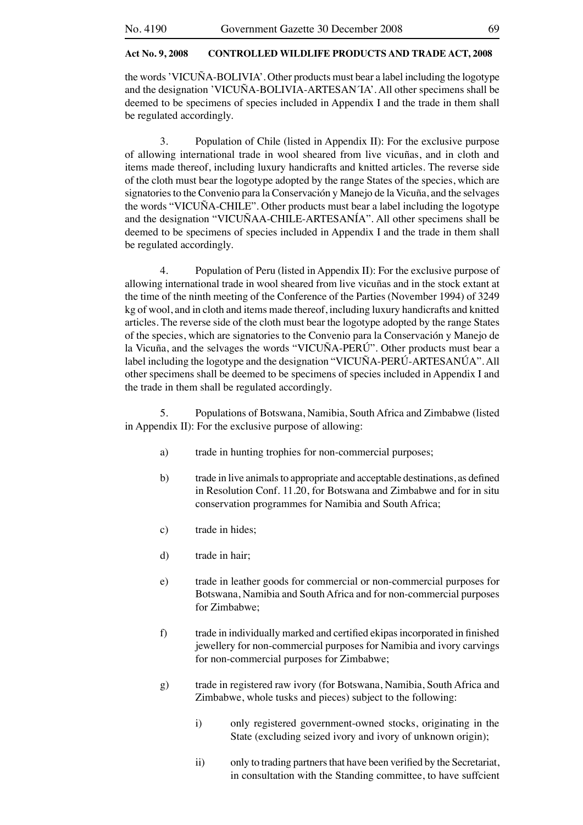the words 'VICUÑA-BOLIVIA'. Other products must bear a label including the logotype and the designation 'VICUÑA-BOLIVIA-ARTESAN´IA'. All other specimens shall be deemed to be specimens of species included in Appendix I and the trade in them shall be regulated accordingly.

3. Population of Chile (listed in Appendix II): For the exclusive purpose of allowing international trade in wool sheared from live vicuñas, and in cloth and items made thereof, including luxury handicrafts and knitted articles. The reverse side of the cloth must bear the logotype adopted by the range States of the species, which are signatories to the Convenio para la Conservación y Manejo de la Vicuña, and the selvages the words "VICUÑA-CHILE". Other products must bear a label including the logotype and the designation "VICUÑAA-CHILE-ARTESANÍA". All other specimens shall be deemed to be specimens of species included in Appendix I and the trade in them shall be regulated accordingly.

4. Population of Peru (listed in Appendix II): For the exclusive purpose of allowing international trade in wool sheared from live vicuñas and in the stock extant at the time of the ninth meeting of the Conference of the Parties (November 1994) of 3249 kg of wool, and in cloth and items made thereof, including luxury handicrafts and knitted articles. The reverse side of the cloth must bear the logotype adopted by the range States of the species, which are signatories to the Convenio para la Conservación y Manejo de la Vicuña, and the selvages the words "VICUÑA-PERÚ". Other products must bear a label including the logotype and the designation "VICUÑA-PERÚ-ARTESANÚA". All other specimens shall be deemed to be specimens of species included in Appendix I and the trade in them shall be regulated accordingly.

5. Populations of Botswana, Namibia, South Africa and Zimbabwe (listed in Appendix II): For the exclusive purpose of allowing:

- a) trade in hunting trophies for non-commercial purposes;
- b) trade in live animals to appropriate and acceptable destinations, as defined in Resolution Conf. 11.20, for Botswana and Zimbabwe and for in situ conservation programmes for Namibia and South Africa;
- c) trade in hides;
- d) trade in hair;
- e) trade in leather goods for commercial or non-commercial purposes for Botswana, Namibia and South Africa and for non-commercial purposes for Zimbabwe;
- f) trade in individually marked and certified ekipas incorporated in finished jewellery for non-commercial purposes for Namibia and ivory carvings for non-commercial purposes for Zimbabwe;
- g) trade in registered raw ivory (for Botswana, Namibia, South Africa and Zimbabwe, whole tusks and pieces) subject to the following:
	- i) only registered government-owned stocks, originating in the State (excluding seized ivory and ivory of unknown origin);
	- ii) only to trading partners that have been verified by the Secretariat, in consultation with the Standing committee, to have suffcient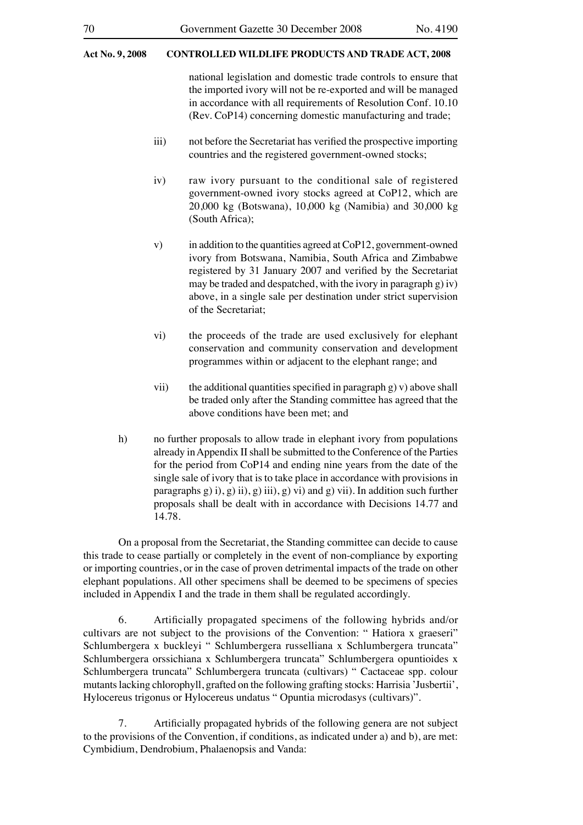national legislation and domestic trade controls to ensure that the imported ivory will not be re-exported and will be managed in accordance with all requirements of Resolution Conf. 10.10 (Rev. CoP14) concerning domestic manufacturing and trade;

- iii) not before the Secretariat has verified the prospective importing countries and the registered government-owned stocks;
- iv) raw ivory pursuant to the conditional sale of registered government-owned ivory stocks agreed at CoP12, which are 20,000 kg (Botswana), 10,000 kg (Namibia) and 30,000 kg (South Africa);
- v) in addition to the quantities agreed at CoP12, government-owned ivory from Botswana, Namibia, South Africa and Zimbabwe registered by 31 January 2007 and verified by the Secretariat may be traded and despatched, with the ivory in paragraph g) iv) above, in a single sale per destination under strict supervision of the Secretariat;
- vi) the proceeds of the trade are used exclusively for elephant conservation and community conservation and development programmes within or adjacent to the elephant range; and
- vii) the additional quantities specified in paragraph g) v) above shall be traded only after the Standing committee has agreed that the above conditions have been met; and
- h) no further proposals to allow trade in elephant ivory from populations already in Appendix II shall be submitted to the Conference of the Parties for the period from CoP14 and ending nine years from the date of the single sale of ivory that is to take place in accordance with provisions in paragraphs g) i), g) ii), g) iii), g) vi) and g) vii). In addition such further proposals shall be dealt with in accordance with Decisions 14.77 and 14.78.

On a proposal from the Secretariat, the Standing committee can decide to cause this trade to cease partially or completely in the event of non-compliance by exporting or importing countries, or in the case of proven detrimental impacts of the trade on other elephant populations. All other specimens shall be deemed to be specimens of species included in Appendix I and the trade in them shall be regulated accordingly.

6. Artificially propagated specimens of the following hybrids and/or cultivars are not subject to the provisions of the Convention: " Hatiora x graeseri" Schlumbergera x buckleyi " Schlumbergera russelliana x Schlumbergera truncata" Schlumbergera orssichiana x Schlumbergera truncata" Schlumbergera opuntioides x Schlumbergera truncata" Schlumbergera truncata (cultivars) " Cactaceae spp. colour mutants lacking chlorophyll, grafted on the following grafting stocks: Harrisia 'Jusbertii', Hylocereus trigonus or Hylocereus undatus " Opuntia microdasys (cultivars)".

7. Artificially propagated hybrids of the following genera are not subject to the provisions of the Convention, if conditions, as indicated under a) and b), are met: Cymbidium, Dendrobium, Phalaenopsis and Vanda: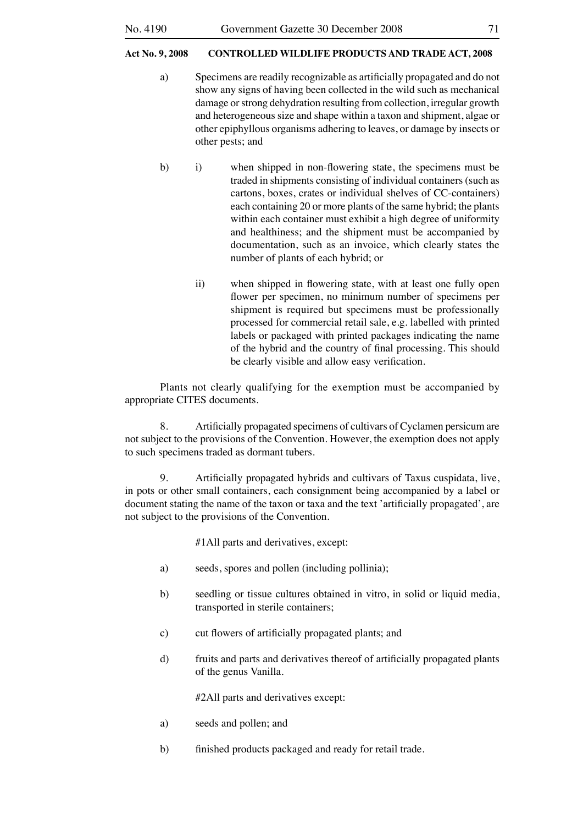#### No. 4190 Government Gazette 30 December 2008 71

#### **Act No. 9, 2008 CONTROLLED WILDLIFE PRODUCTS AND TRADE ACT, 2008**

- a) Specimens are readily recognizable as artificially propagated and do not show any signs of having been collected in the wild such as mechanical damage or strong dehydration resulting from collection, irregular growth and heterogeneous size and shape within a taxon and shipment, algae or other epiphyllous organisms adhering to leaves, or damage by insects or other pests; and
- b) i) when shipped in non-flowering state, the specimens must be traded in shipments consisting of individual containers (such as cartons, boxes, crates or individual shelves of CC-containers) each containing 20 or more plants of the same hybrid; the plants within each container must exhibit a high degree of uniformity and healthiness; and the shipment must be accompanied by documentation, such as an invoice, which clearly states the number of plants of each hybrid; or
	- ii) when shipped in flowering state, with at least one fully open flower per specimen, no minimum number of specimens per shipment is required but specimens must be professionally processed for commercial retail sale, e.g. labelled with printed labels or packaged with printed packages indicating the name of the hybrid and the country of final processing. This should be clearly visible and allow easy verification.

Plants not clearly qualifying for the exemption must be accompanied by appropriate CITES documents.

8. Artificially propagated specimens of cultivars of Cyclamen persicum are not subject to the provisions of the Convention. However, the exemption does not apply to such specimens traded as dormant tubers.

9. Artificially propagated hybrids and cultivars of Taxus cuspidata, live, in pots or other small containers, each consignment being accompanied by a label or document stating the name of the taxon or taxa and the text 'artificially propagated', are not subject to the provisions of the Convention.

#1All parts and derivatives, except:

- a) seeds, spores and pollen (including pollinia);
- b) seedling or tissue cultures obtained in vitro, in solid or liquid media, transported in sterile containers;
- c) cut flowers of artificially propagated plants; and
- d) fruits and parts and derivatives thereof of artificially propagated plants of the genus Vanilla.

#2All parts and derivatives except:

- a) seeds and pollen; and
- b) finished products packaged and ready for retail trade.